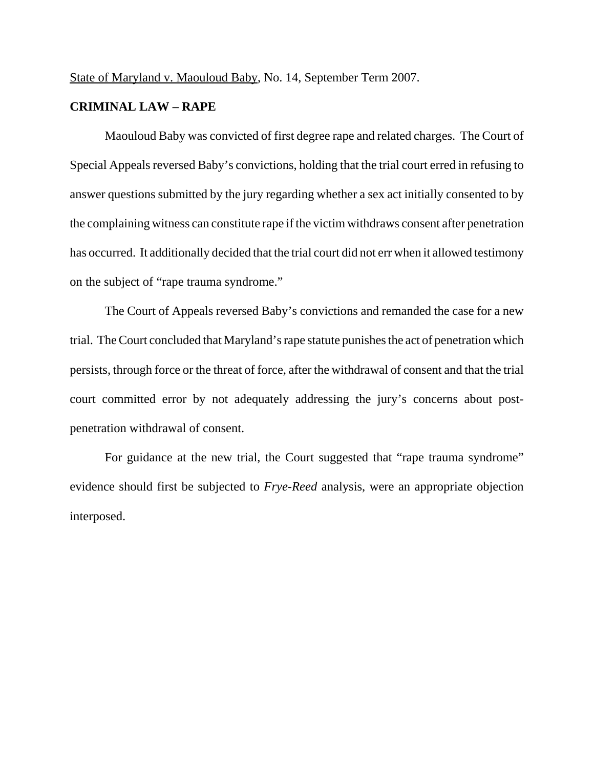State of Maryland v. Maouloud Baby, No. 14, September Term 2007.

### **CRIMINAL LAW – RAPE**

Maouloud Baby was convicted of first degree rape and related charges. The Court of Special Appeals reversed Baby's convictions, holding that the trial court erred in refusing to answer questions submitted by the jury regarding whether a sex act initially consented to by the complaining witness can constitute rape if the victim withdraws consent after penetration has occurred. It additionally decided that the trial court did not err when it allowed testimony on the subject of "rape trauma syndrome."

The Court of Appeals reversed Baby's convictions and remanded the case for a new trial. The Court concluded that Maryland's rape statute punishes the act of penetration which persists, through force or the threat of force, after the withdrawal of consent and that the trial court committed error by not adequately addressing the jury's concerns about postpenetration withdrawal of consent.

For guidance at the new trial, the Court suggested that "rape trauma syndrome" evidence should first be subjected to *Frye-Reed* analysis, were an appropriate objection interposed.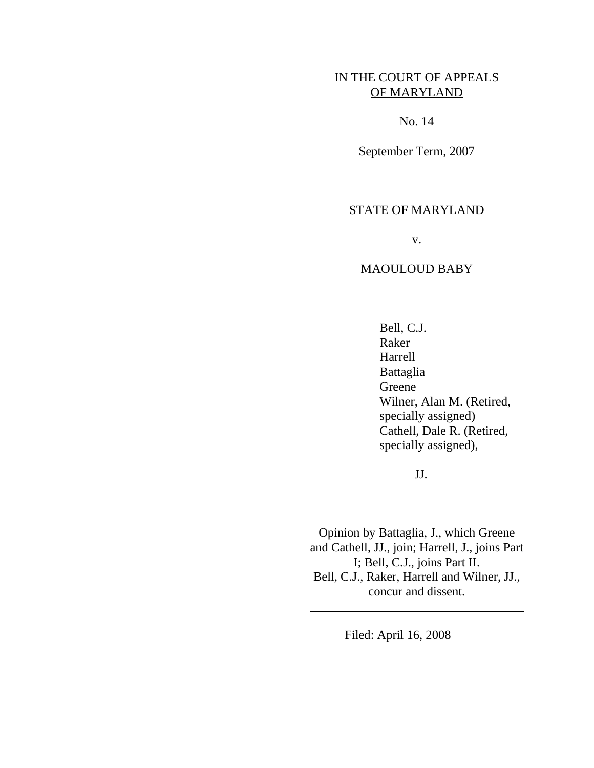# IN THE COURT OF APPEALS OF MARYLAND

No. 14

September Term, 2007

# STATE OF MARYLAND

 $\overline{a}$ 

 $\overline{a}$ 

 $\overline{a}$ 

 $\overline{a}$ 

v.

## MAOULOUD BABY

Bell, C.J. Raker Harrell Battaglia Greene Wilner, Alan M. (Retired, specially assigned) Cathell, Dale R. (Retired, specially assigned),

JJ.

Opinion by Battaglia, J., which Greene and Cathell, JJ., join; Harrell, J., joins Part I; Bell, C.J., joins Part II. Bell, C.J., Raker, Harrell and Wilner, JJ., concur and dissent.

Filed: April 16, 2008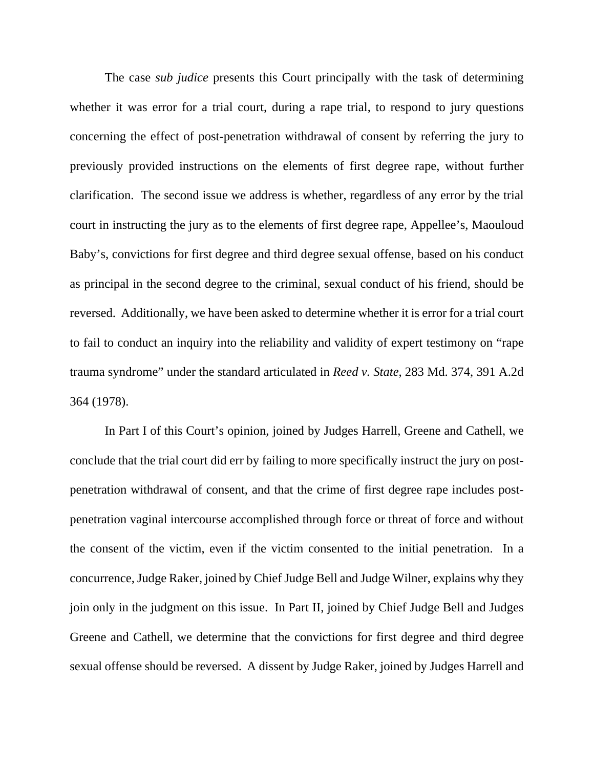The case *sub judice* presents this Court principally with the task of determining whether it was error for a trial court, during a rape trial, to respond to jury questions concerning the effect of post-penetration withdrawal of consent by referring the jury to previously provided instructions on the elements of first degree rape, without further clarification. The second issue we address is whether, regardless of any error by the trial court in instructing the jury as to the elements of first degree rape, Appellee's, Maouloud Baby's, convictions for first degree and third degree sexual offense, based on his conduct as principal in the second degree to the criminal, sexual conduct of his friend, should be reversed. Additionally, we have been asked to determine whether it is error for a trial court to fail to conduct an inquiry into the reliability and validity of expert testimony on "rape trauma syndrome" under the standard articulated in *Reed v. State*, 283 Md. 374, 391 A.2d 364 (1978).

In Part I of this Court's opinion, joined by Judges Harrell, Greene and Cathell, we conclude that the trial court did err by failing to more specifically instruct the jury on postpenetration withdrawal of consent, and that the crime of first degree rape includes postpenetration vaginal intercourse accomplished through force or threat of force and without the consent of the victim, even if the victim consented to the initial penetration. In a concurrence, Judge Raker, joined by Chief Judge Bell and Judge Wilner, explains why they join only in the judgment on this issue. In Part II, joined by Chief Judge Bell and Judges Greene and Cathell, we determine that the convictions for first degree and third degree sexual offense should be reversed. A dissent by Judge Raker, joined by Judges Harrell and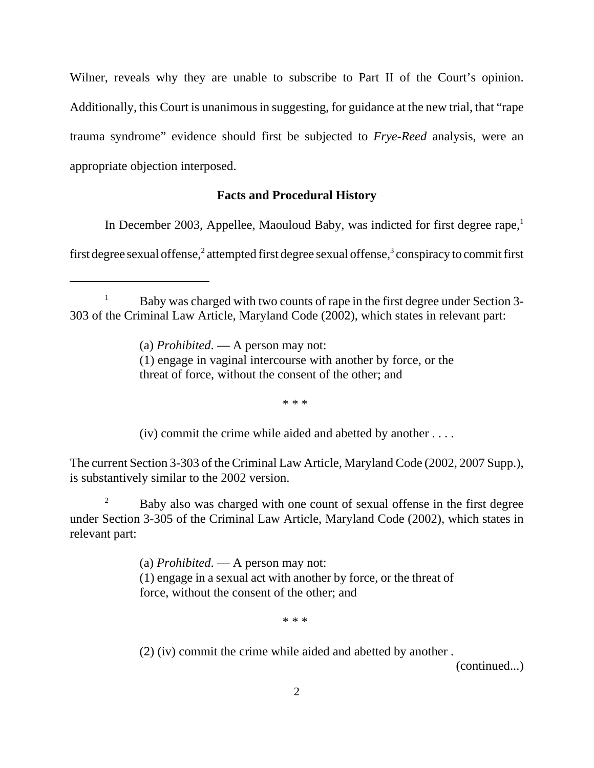Wilner, reveals why they are unable to subscribe to Part II of the Court's opinion. Additionally, this Court is unanimous in suggesting, for guidance at the new trial, that "rape trauma syndrome" evidence should first be subjected to *Frye-Reed* analysis, were an appropriate objection interposed.

#### **Facts and Procedural History**

In December 2003, Appellee, Maouloud Baby, was indicted for first degree rape, $<sup>1</sup>$ </sup>

first degree sexual offense,<sup>2</sup> attempted first degree sexual offense,<sup>3</sup> conspiracy to commit first

\* \* \*

 $(iv)$  commit the crime while aided and abetted by another  $\dots$ .

The current Section 3-303 of the Criminal Law Article, Maryland Code (2002, 2007 Supp.), is substantively similar to the 2002 version.

 $2^2$  Baby also was charged with one count of sexual offense in the first degree under Section 3-305 of the Criminal Law Article, Maryland Code (2002), which states in relevant part:

> (a) *Prohibited*. — A person may not: (1) engage in a sexual act with another by force, or the threat of force, without the consent of the other; and

> > \* \* \*

(2) (iv) commit the crime while aided and abetted by another .

(continued...)

 $1$  Baby was charged with two counts of rape in the first degree under Section 3-303 of the Criminal Law Article, Maryland Code (2002), which states in relevant part:

<sup>(</sup>a) *Prohibited*. — A person may not:

<sup>(1)</sup> engage in vaginal intercourse with another by force, or the threat of force, without the consent of the other; and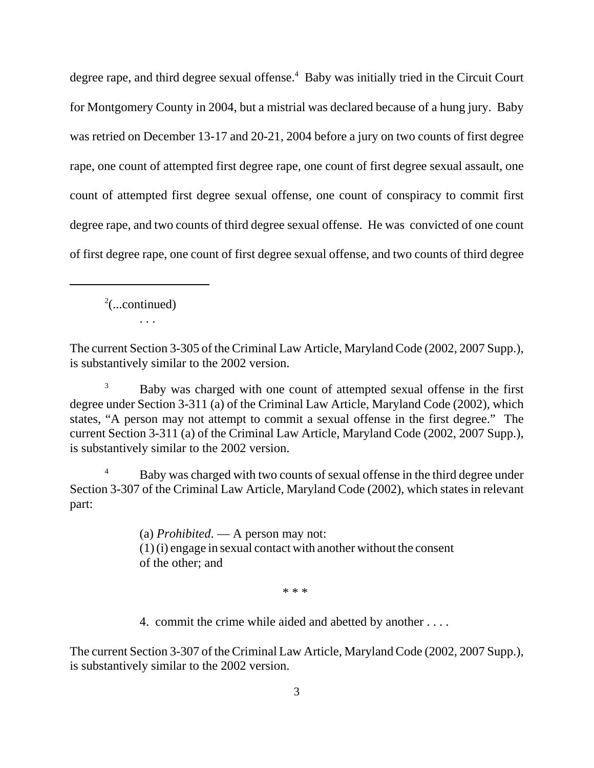degree rape, and third degree sexual offense.<sup>4</sup> Baby was initially tried in the Circuit Court for Montgomery County in 2004, but a mistrial was declared because of a hung jury. Baby was retried on December 13-17 and 20-21, 2004 before a jury on two counts of first degree rape, one count of attempted first degree rape, one count of first degree sexual assault, one count of attempted first degree sexual offense, one count of conspiracy to commit first degree rape, and two counts of third degree sexual offense. He was convicted of one count of first degree rape, one count of first degree sexual offense, and two counts of third degree

 $2$ (...continued)

. . .

The current Section 3-305 of the Criminal Law Article, Maryland Code (2002, 2007 Supp.), is substantively similar to the 2002 version.

<sup>3</sup> Baby was charged with one count of attempted sexual offense in the first degree under Section 3-311 (a) of the Criminal Law Article, Maryland Code (2002), which states, "A person may not attempt to commit a sexual offense in the first degree." The current Section 3-311 (a) of the Criminal Law Article, Maryland Code (2002, 2007 Supp.), is substantively similar to the 2002 version.

<sup>4</sup> Baby was charged with two counts of sexual offense in the third degree under Section 3-307 of the Criminal Law Article, Maryland Code (2002), which states in relevant part:

> (a) *Prohibited*. — A person may not: (1) (i) engage in sexual contact with another without the consent of the other; and

> > \* \* \*

4. commit the crime while aided and abetted by another . . . .

The current Section 3-307 of the Criminal Law Article, Maryland Code (2002, 2007 Supp.), is substantively similar to the 2002 version.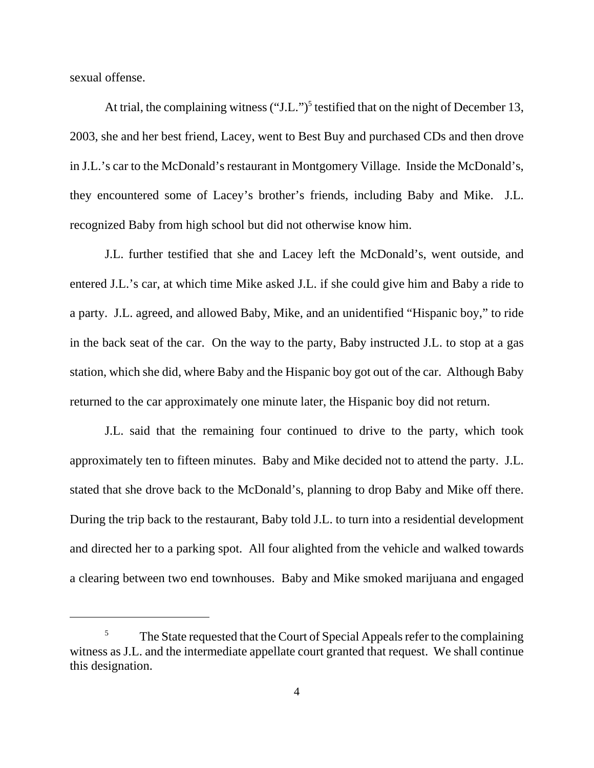sexual offense.

At trial, the complaining witness  $("J.L.")<sup>5</sup>$  testified that on the night of December 13, 2003, she and her best friend, Lacey, went to Best Buy and purchased CDs and then drove in J.L.'s car to the McDonald's restaurant in Montgomery Village. Inside the McDonald's, they encountered some of Lacey's brother's friends, including Baby and Mike. J.L. recognized Baby from high school but did not otherwise know him.

J.L. further testified that she and Lacey left the McDonald's, went outside, and entered J.L.'s car, at which time Mike asked J.L. if she could give him and Baby a ride to a party. J.L. agreed, and allowed Baby, Mike, and an unidentified "Hispanic boy," to ride in the back seat of the car. On the way to the party, Baby instructed J.L. to stop at a gas station, which she did, where Baby and the Hispanic boy got out of the car. Although Baby returned to the car approximately one minute later, the Hispanic boy did not return.

J.L. said that the remaining four continued to drive to the party, which took approximately ten to fifteen minutes. Baby and Mike decided not to attend the party. J.L. stated that she drove back to the McDonald's, planning to drop Baby and Mike off there. During the trip back to the restaurant, Baby told J.L. to turn into a residential development and directed her to a parking spot. All four alighted from the vehicle and walked towards a clearing between two end townhouses. Baby and Mike smoked marijuana and engaged

<sup>&</sup>lt;sup>5</sup> The State requested that the Court of Special Appeals refer to the complaining witness as J.L. and the intermediate appellate court granted that request. We shall continue this designation.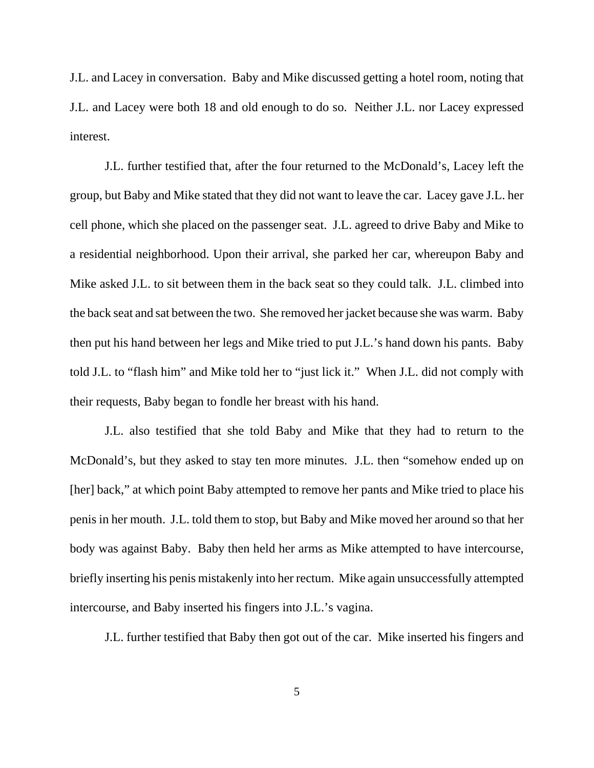J.L. and Lacey in conversation. Baby and Mike discussed getting a hotel room, noting that J.L. and Lacey were both 18 and old enough to do so. Neither J.L. nor Lacey expressed interest.

J.L. further testified that, after the four returned to the McDonald's, Lacey left the group, but Baby and Mike stated that they did not want to leave the car. Lacey gave J.L. her cell phone, which she placed on the passenger seat. J.L. agreed to drive Baby and Mike to a residential neighborhood. Upon their arrival, she parked her car, whereupon Baby and Mike asked J.L. to sit between them in the back seat so they could talk. J.L. climbed into the back seat and sat between the two. She removed her jacket because she was warm. Baby then put his hand between her legs and Mike tried to put J.L.'s hand down his pants. Baby told J.L. to "flash him" and Mike told her to "just lick it." When J.L. did not comply with their requests, Baby began to fondle her breast with his hand.

J.L. also testified that she told Baby and Mike that they had to return to the McDonald's, but they asked to stay ten more minutes. J.L. then "somehow ended up on [her] back," at which point Baby attempted to remove her pants and Mike tried to place his penis in her mouth. J.L. told them to stop, but Baby and Mike moved her around so that her body was against Baby. Baby then held her arms as Mike attempted to have intercourse, briefly inserting his penis mistakenly into her rectum. Mike again unsuccessfully attempted intercourse, and Baby inserted his fingers into J.L.'s vagina.

J.L. further testified that Baby then got out of the car. Mike inserted his fingers and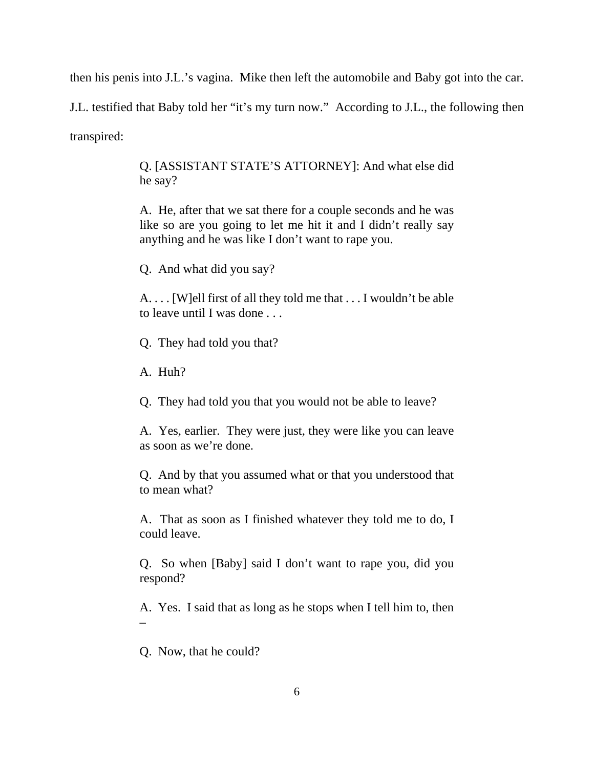then his penis into J.L.'s vagina. Mike then left the automobile and Baby got into the car.

J.L. testified that Baby told her "it's my turn now." According to J.L., the following then

transpired:

Q. [ASSISTANT STATE'S ATTORNEY]: And what else did he say?

A. He, after that we sat there for a couple seconds and he was like so are you going to let me hit it and I didn't really say anything and he was like I don't want to rape you.

Q. And what did you say?

A. . . . [W]ell first of all they told me that . . . I wouldn't be able to leave until I was done . . .

Q. They had told you that?

A. Huh?

Q. They had told you that you would not be able to leave?

A. Yes, earlier. They were just, they were like you can leave as soon as we're done.

Q. And by that you assumed what or that you understood that to mean what?

A. That as soon as I finished whatever they told me to do, I could leave.

Q. So when [Baby] said I don't want to rape you, did you respond?

A. Yes. I said that as long as he stops when I tell him to, then

Q. Now, that he could?

–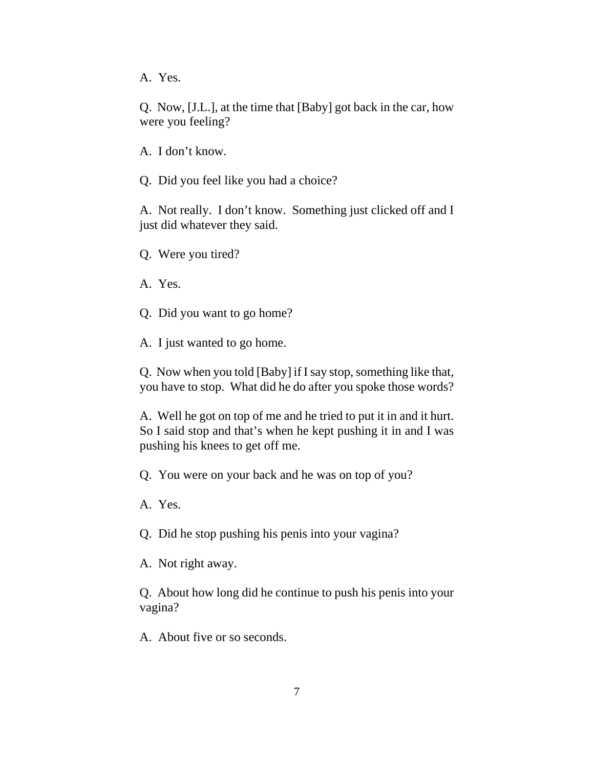A. Yes.

Q. Now, [J.L.], at the time that [Baby] got back in the car, how were you feeling?

A. I don't know.

Q. Did you feel like you had a choice?

A. Not really. I don't know. Something just clicked off and I just did whatever they said.

Q. Were you tired?

A. Yes.

Q. Did you want to go home?

A. I just wanted to go home.

Q. Now when you told [Baby] if I say stop, something like that, you have to stop. What did he do after you spoke those words?

A. Well he got on top of me and he tried to put it in and it hurt. So I said stop and that's when he kept pushing it in and I was pushing his knees to get off me.

Q. You were on your back and he was on top of you?

A. Yes.

Q. Did he stop pushing his penis into your vagina?

A. Not right away.

Q. About how long did he continue to push his penis into your vagina?

A. About five or so seconds.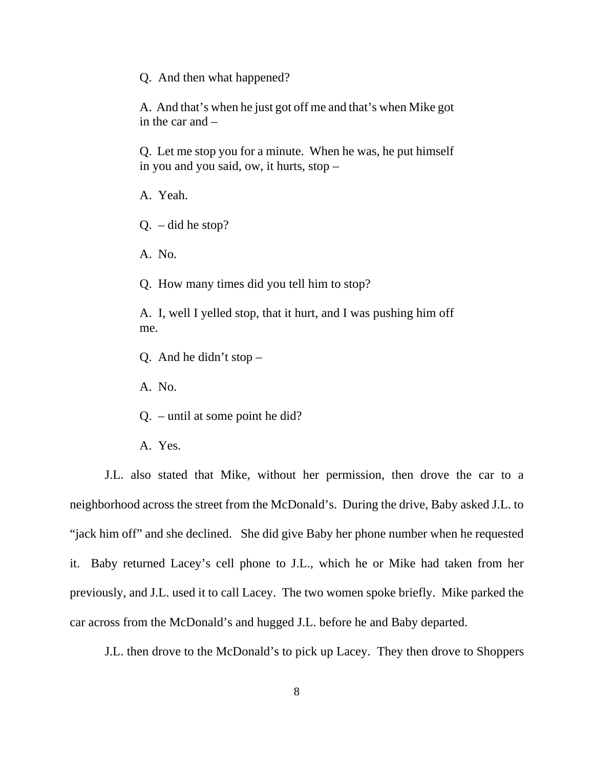Q. And then what happened?

A. And that's when he just got off me and that's when Mike got in the car and –

Q. Let me stop you for a minute. When he was, he put himself in you and you said, ow, it hurts, stop –

A. Yeah.

Q. – did he stop?

A. No.

Q. How many times did you tell him to stop?

A. I, well I yelled stop, that it hurt, and I was pushing him off me.

Q. And he didn't stop –

A. No.

Q. – until at some point he did?

A. Yes.

J.L. also stated that Mike, without her permission, then drove the car to a neighborhood across the street from the McDonald's. During the drive, Baby asked J.L. to "jack him off" and she declined. She did give Baby her phone number when he requested it. Baby returned Lacey's cell phone to J.L., which he or Mike had taken from her previously, and J.L. used it to call Lacey. The two women spoke briefly. Mike parked the car across from the McDonald's and hugged J.L. before he and Baby departed.

J.L. then drove to the McDonald's to pick up Lacey. They then drove to Shoppers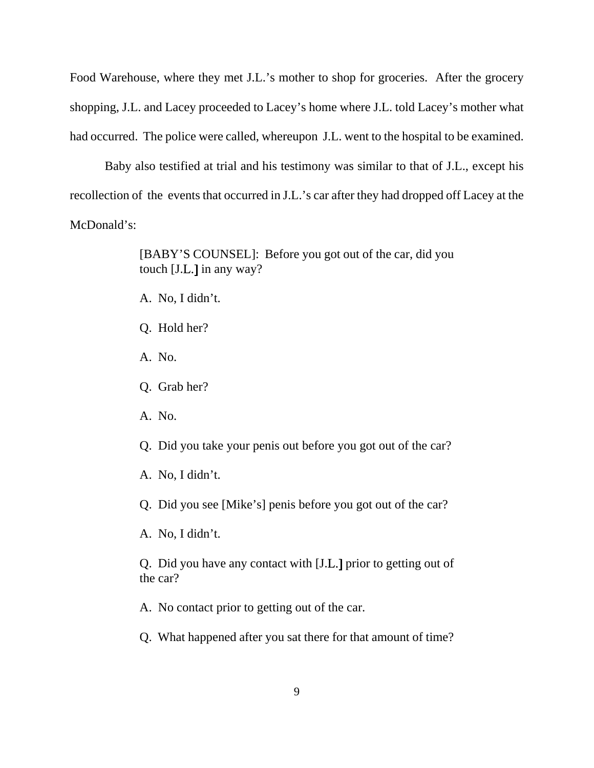Food Warehouse, where they met J.L.'s mother to shop for groceries. After the grocery shopping, J.L. and Lacey proceeded to Lacey's home where J.L. told Lacey's mother what had occurred. The police were called, whereupon J.L. went to the hospital to be examined.

Baby also testified at trial and his testimony was similar to that of J.L., except his recollection of the events that occurred in J.L.'s car after they had dropped off Lacey at the McDonald's:

> [BABY'S COUNSEL]: Before you got out of the car, did you touch  $[J.L.]$  in any way?

- A. No, I didn't.
- Q. Hold her?
- A. No.
- Q. Grab her?
- A. No.
- Q. Did you take your penis out before you got out of the car?
- A. No, I didn't.
- Q. Did you see [Mike's] penis before you got out of the car?
- A. No, I didn't.

Q. Did you have any contact with [J.L.] prior to getting out of the car?

- A. No contact prior to getting out of the car.
- Q. What happened after you sat there for that amount of time?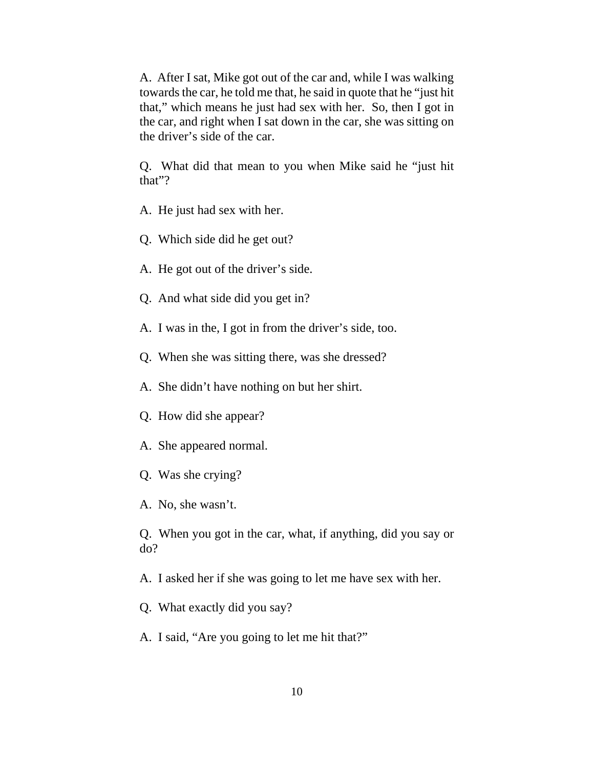A. After I sat, Mike got out of the car and, while I was walking towards the car, he told me that, he said in quote that he "just hit that," which means he just had sex with her. So, then I got in the car, and right when I sat down in the car, she was sitting on the driver's side of the car.

Q. What did that mean to you when Mike said he "just hit that"?

- A. He just had sex with her.
- Q. Which side did he get out?
- A. He got out of the driver's side.
- Q. And what side did you get in?
- A. I was in the, I got in from the driver's side, too.
- Q. When she was sitting there, was she dressed?
- A. She didn't have nothing on but her shirt.
- Q. How did she appear?
- A. She appeared normal.
- Q. Was she crying?
- A. No, she wasn't.

Q. When you got in the car, what, if anything, did you say or do?

A. I asked her if she was going to let me have sex with her.

- Q. What exactly did you say?
- A. I said, "Are you going to let me hit that?"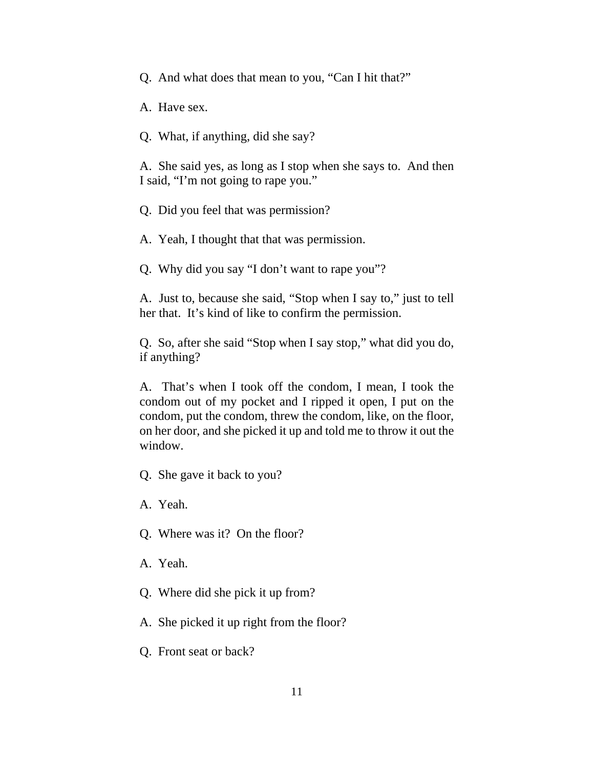Q. And what does that mean to you, "Can I hit that?"

A. Have sex.

Q. What, if anything, did she say?

A. She said yes, as long as I stop when she says to. And then I said, "I'm not going to rape you."

Q. Did you feel that was permission?

A. Yeah, I thought that that was permission.

Q. Why did you say "I don't want to rape you"?

A. Just to, because she said, "Stop when I say to," just to tell her that. It's kind of like to confirm the permission.

Q. So, after she said "Stop when I say stop," what did you do, if anything?

A. That's when I took off the condom, I mean, I took the condom out of my pocket and I ripped it open, I put on the condom, put the condom, threw the condom, like, on the floor, on her door, and she picked it up and told me to throw it out the window.

Q. She gave it back to you?

A. Yeah.

Q. Where was it? On the floor?

A. Yeah.

Q. Where did she pick it up from?

A. She picked it up right from the floor?

Q. Front seat or back?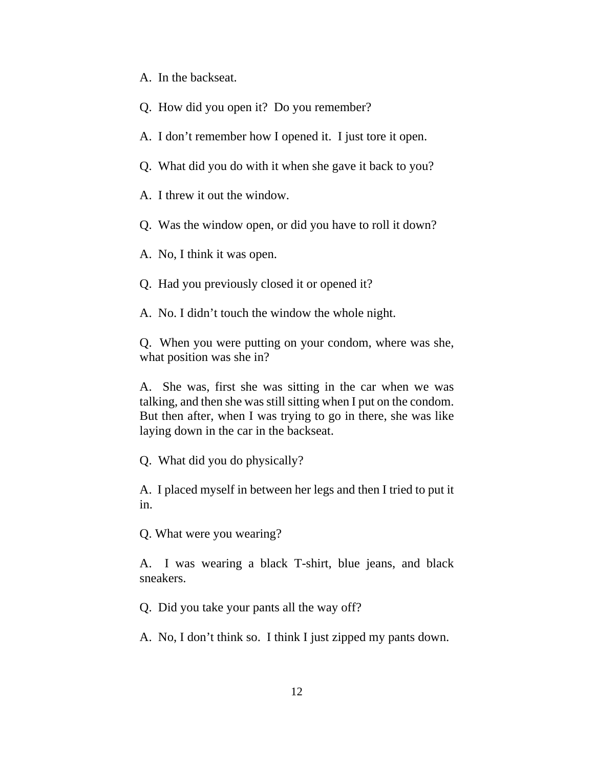- A. In the backseat.
- Q. How did you open it? Do you remember?
- A. I don't remember how I opened it. I just tore it open.
- Q. What did you do with it when she gave it back to you?
- A. I threw it out the window.
- Q. Was the window open, or did you have to roll it down?
- A. No, I think it was open.
- Q. Had you previously closed it or opened it?
- A. No. I didn't touch the window the whole night.

Q. When you were putting on your condom, where was she, what position was she in?

A. She was, first she was sitting in the car when we was talking, and then she was still sitting when I put on the condom. But then after, when I was trying to go in there, she was like laying down in the car in the backseat.

Q. What did you do physically?

A. I placed myself in between her legs and then I tried to put it in.

Q. What were you wearing?

A. I was wearing a black T-shirt, blue jeans, and black sneakers.

Q. Did you take your pants all the way off?

A. No, I don't think so. I think I just zipped my pants down.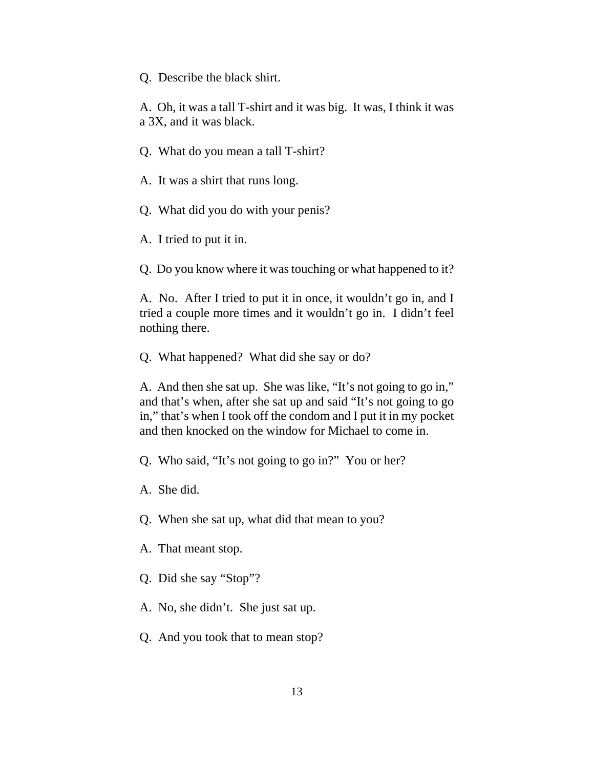Q. Describe the black shirt.

A. Oh, it was a tall T-shirt and it was big. It was, I think it was a 3X, and it was black.

Q. What do you mean a tall T-shirt?

A. It was a shirt that runs long.

Q. What did you do with your penis?

A. I tried to put it in.

Q. Do you know where it was touching or what happened to it?

A. No. After I tried to put it in once, it wouldn't go in, and I tried a couple more times and it wouldn't go in. I didn't feel nothing there.

Q. What happened? What did she say or do?

A. And then she sat up. She was like, "It's not going to go in," and that's when, after she sat up and said "It's not going to go in," that's when I took off the condom and I put it in my pocket and then knocked on the window for Michael to come in.

Q. Who said, "It's not going to go in?" You or her?

A. She did.

Q. When she sat up, what did that mean to you?

A. That meant stop.

Q. Did she say "Stop"?

A. No, she didn't. She just sat up.

Q. And you took that to mean stop?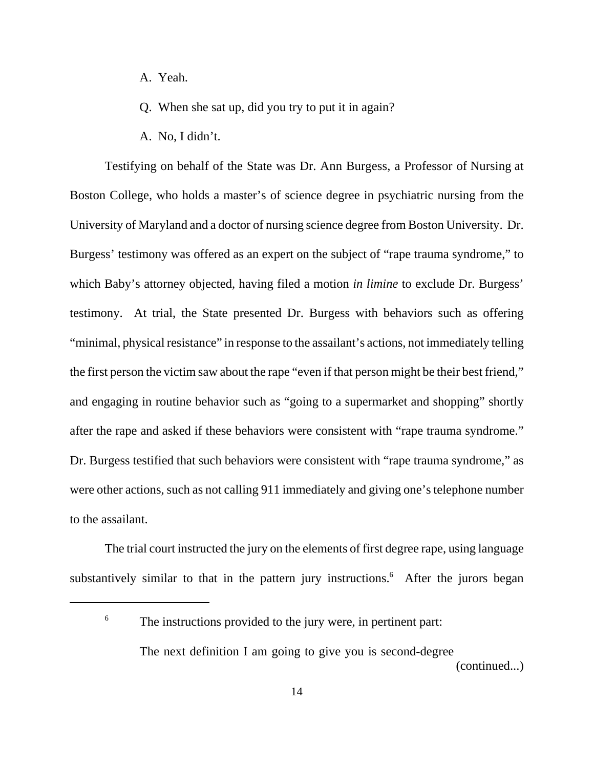- A. Yeah.
- Q. When she sat up, did you try to put it in again?
- A. No, I didn't.

 Testifying on behalf of the State was Dr. Ann Burgess, a Professor of Nursing at Boston College, who holds a master's of science degree in psychiatric nursing from the University of Maryland and a doctor of nursing science degree from Boston University. Dr. Burgess' testimony was offered as an expert on the subject of "rape trauma syndrome," to which Baby's attorney objected, having filed a motion *in limine* to exclude Dr. Burgess' testimony. At trial, the State presented Dr. Burgess with behaviors such as offering "minimal, physical resistance" in response to the assailant's actions, not immediately telling the first person the victim saw about the rape "even if that person might be their best friend," and engaging in routine behavior such as "going to a supermarket and shopping" shortly after the rape and asked if these behaviors were consistent with "rape trauma syndrome." Dr. Burgess testified that such behaviors were consistent with "rape trauma syndrome," as were other actions, such as not calling 911 immediately and giving one's telephone number to the assailant.

The trial court instructed the jury on the elements of first degree rape, using language substantively similar to that in the pattern jury instructions.<sup>6</sup> After the jurors began

(continued...)

<sup>&</sup>lt;sup>6</sup> The instructions provided to the jury were, in pertinent part: The next definition I am going to give you is second-degree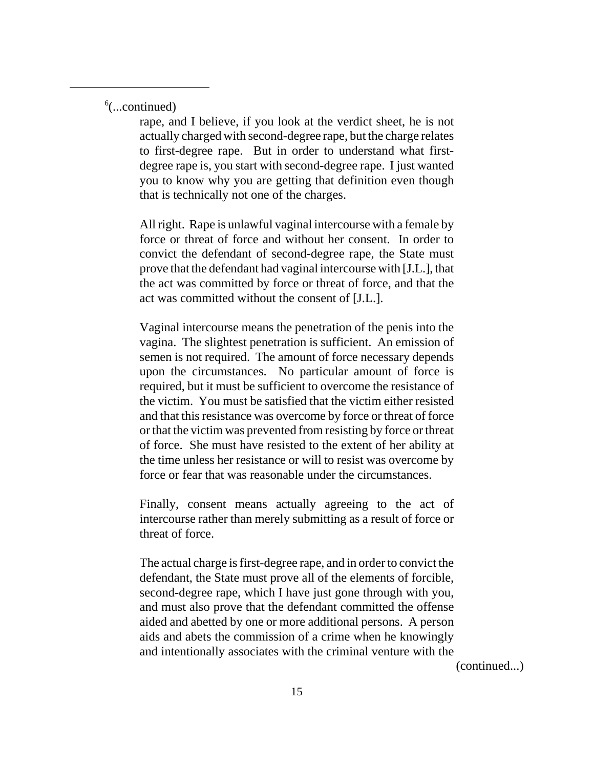$6$ (...continued)

rape, and I believe, if you look at the verdict sheet, he is not actually charged with second-degree rape, but the charge relates to first-degree rape. But in order to understand what firstdegree rape is, you start with second-degree rape. I just wanted you to know why you are getting that definition even though that is technically not one of the charges.

All right. Rape is unlawful vaginal intercourse with a female by force or threat of force and without her consent. In order to convict the defendant of second-degree rape, the State must prove that the defendant had vaginal intercourse with [J.L.], that the act was committed by force or threat of force, and that the act was committed without the consent of [J.L.].

Vaginal intercourse means the penetration of the penis into the vagina. The slightest penetration is sufficient. An emission of semen is not required. The amount of force necessary depends upon the circumstances. No particular amount of force is required, but it must be sufficient to overcome the resistance of the victim. You must be satisfied that the victim either resisted and that this resistance was overcome by force or threat of force or that the victim was prevented from resisting by force or threat of force. She must have resisted to the extent of her ability at the time unless her resistance or will to resist was overcome by force or fear that was reasonable under the circumstances.

Finally, consent means actually agreeing to the act of intercourse rather than merely submitting as a result of force or threat of force.

The actual charge is first-degree rape, and in order to convict the defendant, the State must prove all of the elements of forcible, second-degree rape, which I have just gone through with you, and must also prove that the defendant committed the offense aided and abetted by one or more additional persons. A person aids and abets the commission of a crime when he knowingly and intentionally associates with the criminal venture with the

(continued...)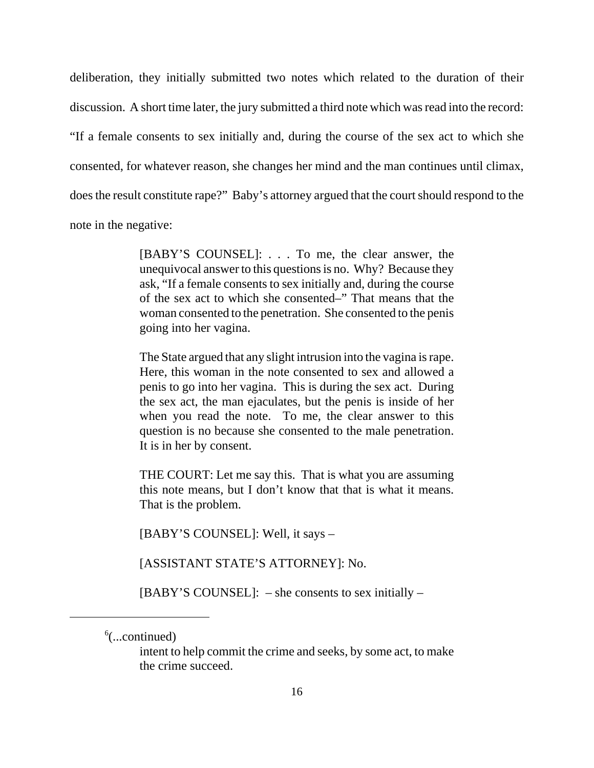deliberation, they initially submitted two notes which related to the duration of their discussion. A short time later, the jury submitted a third note which was read into the record: "If a female consents to sex initially and, during the course of the sex act to which she consented, for whatever reason, she changes her mind and the man continues until climax, does the result constitute rape?" Baby's attorney argued that the court should respond to the note in the negative:

> [BABY'S COUNSEL]: . . . To me, the clear answer, the unequivocal answer to this questions is no. Why? Because they ask, "If a female consents to sex initially and, during the course of the sex act to which she consented–" That means that the woman consented to the penetration. She consented to the penis going into her vagina.

> The State argued that any slight intrusion into the vagina is rape. Here, this woman in the note consented to sex and allowed a penis to go into her vagina. This is during the sex act. During the sex act, the man ejaculates, but the penis is inside of her when you read the note. To me, the clear answer to this question is no because she consented to the male penetration. It is in her by consent.

> THE COURT: Let me say this. That is what you are assuming this note means, but I don't know that that is what it means. That is the problem.

[BABY'S COUNSEL]: Well, it says –

[ASSISTANT STATE'S ATTORNEY]: No.

[BABY'S COUNSEL]: – she consents to sex initially –

 $6$ (...continued)

intent to help commit the crime and seeks, by some act, to make the crime succeed.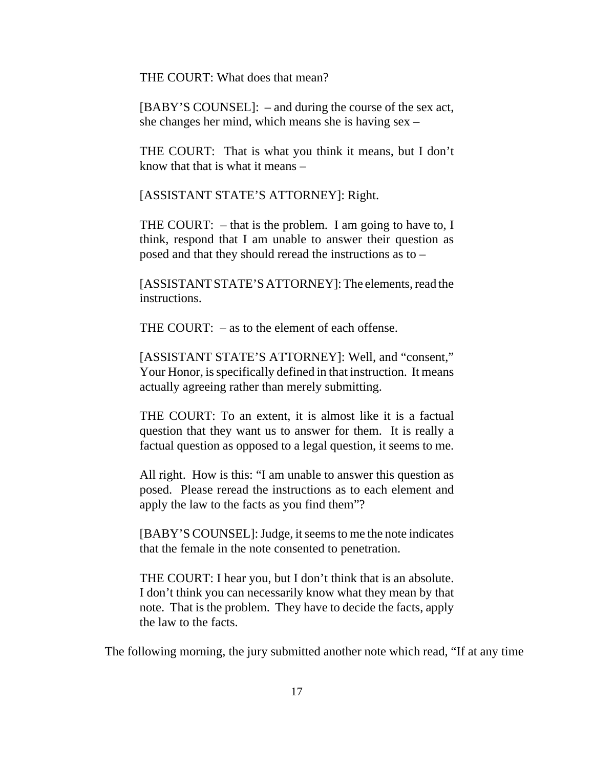THE COURT: What does that mean?

[BABY'S COUNSEL]: – and during the course of the sex act, she changes her mind, which means she is having sex –

THE COURT: That is what you think it means, but I don't know that that is what it means  $-$ 

[ASSISTANT STATE'S ATTORNEY]: Right.

THE COURT: – that is the problem. I am going to have to, I think, respond that I am unable to answer their question as posed and that they should reread the instructions as to –

[ASSISTANT STATE'S ATTORNEY]: The elements, read the instructions.

THE COURT:  $-$  as to the element of each offense.

[ASSISTANT STATE'S ATTORNEY]: Well, and "consent," Your Honor, is specifically defined in that instruction. It means actually agreeing rather than merely submitting.

THE COURT: To an extent, it is almost like it is a factual question that they want us to answer for them. It is really a factual question as opposed to a legal question, it seems to me.

All right. How is this: "I am unable to answer this question as posed. Please reread the instructions as to each element and apply the law to the facts as you find them"?

[BABY'S COUNSEL]: Judge, it seems to me the note indicates that the female in the note consented to penetration.

THE COURT: I hear you, but I don't think that is an absolute. I don't think you can necessarily know what they mean by that note. That is the problem. They have to decide the facts, apply the law to the facts.

The following morning, the jury submitted another note which read, "If at any time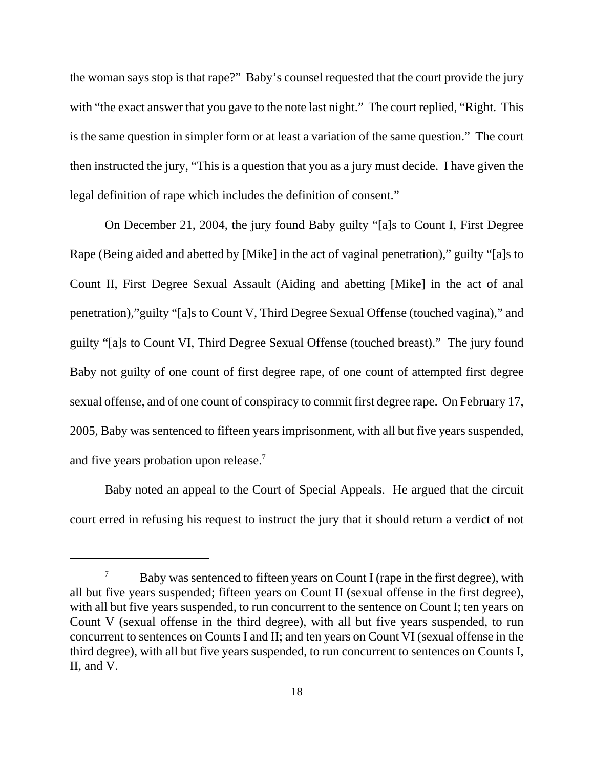the woman says stop is that rape?" Baby's counsel requested that the court provide the jury with "the exact answer that you gave to the note last night." The court replied, "Right. This is the same question in simpler form or at least a variation of the same question." The court then instructed the jury, "This is a question that you as a jury must decide. I have given the legal definition of rape which includes the definition of consent."

On December 21, 2004, the jury found Baby guilty "[a]s to Count I, First Degree Rape (Being aided and abetted by [Mike] in the act of vaginal penetration)," guilty "[a]s to Count II, First Degree Sexual Assault (Aiding and abetting [Mike] in the act of anal penetration),"guilty "[a]s to Count V, Third Degree Sexual Offense (touched vagina)," and guilty "[a]s to Count VI, Third Degree Sexual Offense (touched breast)." The jury found Baby not guilty of one count of first degree rape, of one count of attempted first degree sexual offense, and of one count of conspiracy to commit first degree rape. On February 17, 2005, Baby was sentenced to fifteen years imprisonment, with all but five years suspended, and five years probation upon release.7

Baby noted an appeal to the Court of Special Appeals. He argued that the circuit court erred in refusing his request to instruct the jury that it should return a verdict of not

<sup>&</sup>lt;sup>7</sup> Baby was sentenced to fifteen years on Count I (rape in the first degree), with all but five years suspended; fifteen years on Count II (sexual offense in the first degree), with all but five years suspended, to run concurrent to the sentence on Count I; ten years on Count V (sexual offense in the third degree), with all but five years suspended, to run concurrent to sentences on Counts I and II; and ten years on Count VI (sexual offense in the third degree), with all but five years suspended, to run concurrent to sentences on Counts I, II, and V.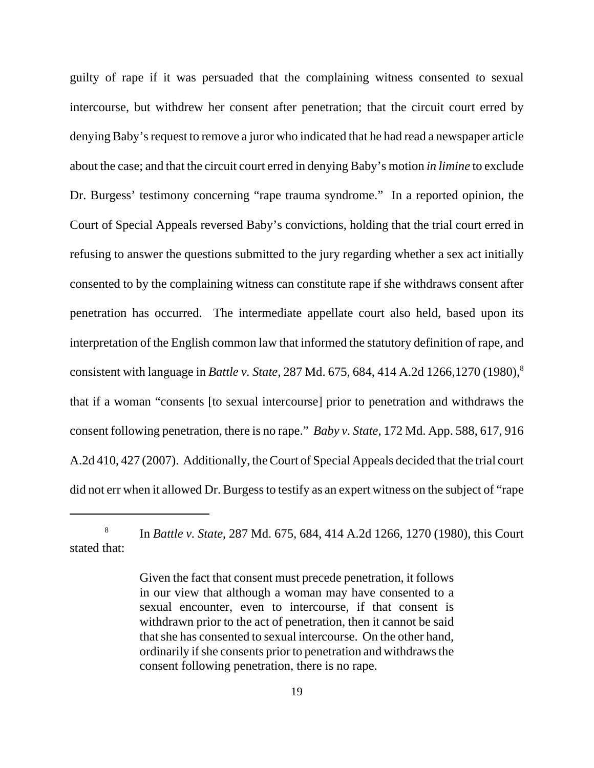guilty of rape if it was persuaded that the complaining witness consented to sexual intercourse, but withdrew her consent after penetration; that the circuit court erred by denying Baby's request to remove a juror who indicated that he had read a newspaper article about the case; and that the circuit court erred in denying Baby's motion *in limine* to exclude Dr. Burgess' testimony concerning "rape trauma syndrome." In a reported opinion, the Court of Special Appeals reversed Baby's convictions, holding that the trial court erred in refusing to answer the questions submitted to the jury regarding whether a sex act initially consented to by the complaining witness can constitute rape if she withdraws consent after penetration has occurred. The intermediate appellate court also held, based upon its interpretation of the English common law that informed the statutory definition of rape, and consistent with language in *Battle v. State*, 287 Md. 675, 684, 414 A.2d 1266, 1270 (1980),<sup>8</sup> that if a woman "consents [to sexual intercourse] prior to penetration and withdraws the consent following penetration, there is no rape." *Baby v. State*, 172 Md. App. 588, 617, 916 A.2d 410, 427 (2007). Additionally, the Court of Special Appeals decided that the trial court did not err when it allowed Dr. Burgess to testify as an expert witness on the subject of "rape

<sup>8</sup> In *Battle v. State*, 287 Md. 675, 684, 414 A.2d 1266, 1270 (1980), this Court stated that:

Given the fact that consent must precede penetration, it follows in our view that although a woman may have consented to a sexual encounter, even to intercourse, if that consent is withdrawn prior to the act of penetration, then it cannot be said that she has consented to sexual intercourse. On the other hand, ordinarily if she consents prior to penetration and withdraws the consent following penetration, there is no rape.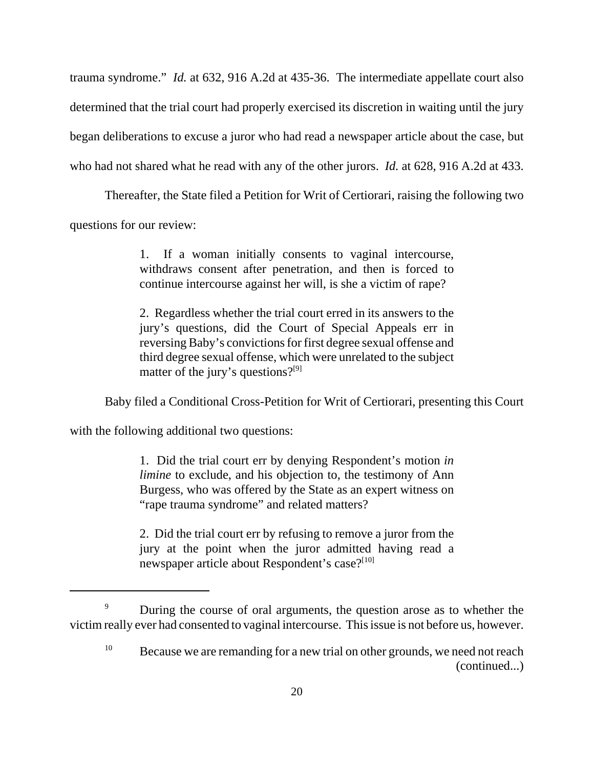trauma syndrome." *Id.* at 632, 916 A.2d at 435-36. The intermediate appellate court also determined that the trial court had properly exercised its discretion in waiting until the jury began deliberations to excuse a juror who had read a newspaper article about the case, but who had not shared what he read with any of the other jurors. *Id.* at 628, 916 A.2d at 433.

Thereafter, the State filed a Petition for Writ of Certiorari, raising the following two

questions for our review:

1. If a woman initially consents to vaginal intercourse, withdraws consent after penetration, and then is forced to continue intercourse against her will, is she a victim of rape?

2. Regardless whether the trial court erred in its answers to the jury's questions, did the Court of Special Appeals err in reversing Baby's convictions for first degree sexual offense and third degree sexual offense, which were unrelated to the subject matter of the jury's questions?<sup>[9]</sup>

Baby filed a Conditional Cross-Petition for Writ of Certiorari, presenting this Court

with the following additional two questions:

1. Did the trial court err by denying Respondent's motion *in limine* to exclude, and his objection to, the testimony of Ann Burgess, who was offered by the State as an expert witness on "rape trauma syndrome" and related matters?

2. Did the trial court err by refusing to remove a juror from the jury at the point when the juror admitted having read a newspaper article about Respondent's case?[10]

<sup>&</sup>lt;sup>9</sup> During the course of oral arguments, the question arose as to whether the victim really ever had consented to vaginal intercourse. This issue is not before us, however.

 $10$  Because we are remanding for a new trial on other grounds, we need not reach (continued...)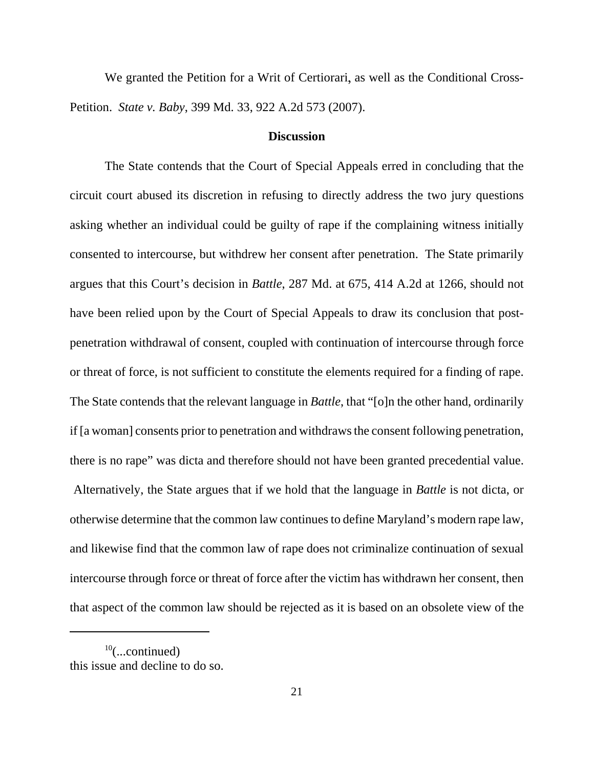We granted the Petition for a Writ of Certiorari, as well as the Conditional Cross-Petition. *State v. Baby*, 399 Md. 33, 922 A.2d 573 (2007).

#### **Discussion**

The State contends that the Court of Special Appeals erred in concluding that the circuit court abused its discretion in refusing to directly address the two jury questions asking whether an individual could be guilty of rape if the complaining witness initially consented to intercourse, but withdrew her consent after penetration. The State primarily argues that this Court's decision in *Battle*, 287 Md. at 675, 414 A.2d at 1266, should not have been relied upon by the Court of Special Appeals to draw its conclusion that postpenetration withdrawal of consent, coupled with continuation of intercourse through force or threat of force, is not sufficient to constitute the elements required for a finding of rape. The State contends that the relevant language in *Battle*, that "[o]n the other hand, ordinarily if [a woman] consents prior to penetration and withdraws the consent following penetration, there is no rape" was dicta and therefore should not have been granted precedential value. Alternatively, the State argues that if we hold that the language in *Battle* is not dicta, or otherwise determine that the common law continues to define Maryland's modern rape law, and likewise find that the common law of rape does not criminalize continuation of sexual intercourse through force or threat of force after the victim has withdrawn her consent, then that aspect of the common law should be rejected as it is based on an obsolete view of the

 $10$ (...continued) this issue and decline to do so.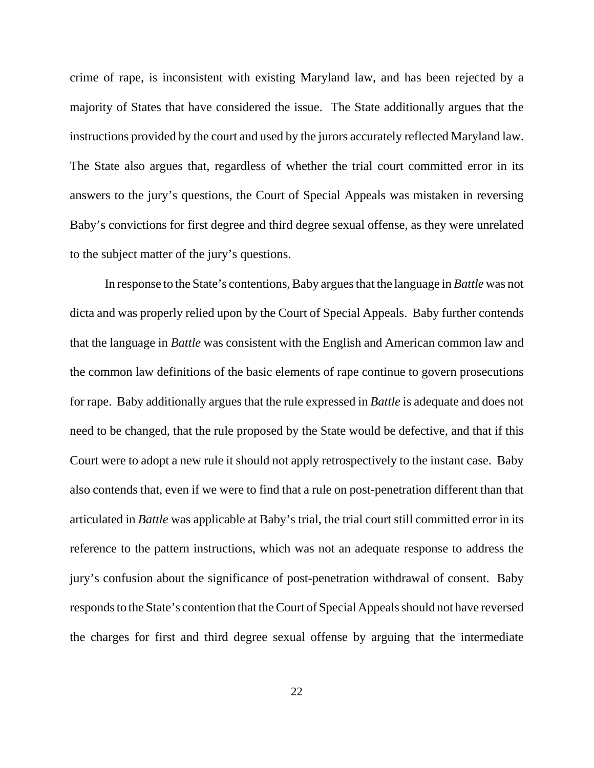crime of rape, is inconsistent with existing Maryland law, and has been rejected by a majority of States that have considered the issue. The State additionally argues that the instructions provided by the court and used by the jurors accurately reflected Maryland law. The State also argues that, regardless of whether the trial court committed error in its answers to the jury's questions, the Court of Special Appeals was mistaken in reversing Baby's convictions for first degree and third degree sexual offense, as they were unrelated to the subject matter of the jury's questions.

In response to the State's contentions, Baby argues that the language in *Battle* was not dicta and was properly relied upon by the Court of Special Appeals. Baby further contends that the language in *Battle* was consistent with the English and American common law and the common law definitions of the basic elements of rape continue to govern prosecutions for rape. Baby additionally argues that the rule expressed in *Battle* is adequate and does not need to be changed, that the rule proposed by the State would be defective, and that if this Court were to adopt a new rule it should not apply retrospectively to the instant case. Baby also contends that, even if we were to find that a rule on post-penetration different than that articulated in *Battle* was applicable at Baby's trial, the trial court still committed error in its reference to the pattern instructions, which was not an adequate response to address the jury's confusion about the significance of post-penetration withdrawal of consent. Baby responds to the State's contention that the Court of Special Appeals should not have reversed the charges for first and third degree sexual offense by arguing that the intermediate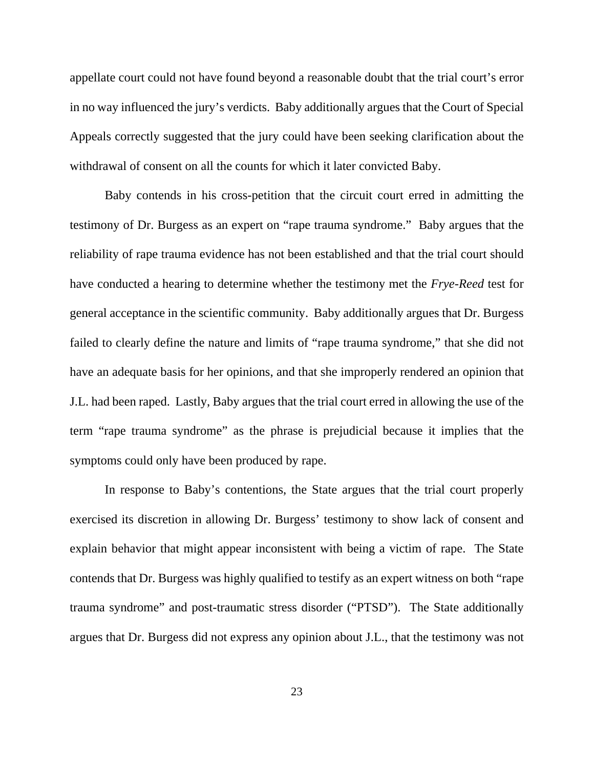appellate court could not have found beyond a reasonable doubt that the trial court's error in no way influenced the jury's verdicts. Baby additionally argues that the Court of Special Appeals correctly suggested that the jury could have been seeking clarification about the withdrawal of consent on all the counts for which it later convicted Baby.

Baby contends in his cross-petition that the circuit court erred in admitting the testimony of Dr. Burgess as an expert on "rape trauma syndrome." Baby argues that the reliability of rape trauma evidence has not been established and that the trial court should have conducted a hearing to determine whether the testimony met the *Frye-Reed* test for general acceptance in the scientific community. Baby additionally argues that Dr. Burgess failed to clearly define the nature and limits of "rape trauma syndrome," that she did not have an adequate basis for her opinions, and that she improperly rendered an opinion that J.L. had been raped. Lastly, Baby argues that the trial court erred in allowing the use of the term "rape trauma syndrome" as the phrase is prejudicial because it implies that the symptoms could only have been produced by rape.

In response to Baby's contentions, the State argues that the trial court properly exercised its discretion in allowing Dr. Burgess' testimony to show lack of consent and explain behavior that might appear inconsistent with being a victim of rape. The State contends that Dr. Burgess was highly qualified to testify as an expert witness on both "rape trauma syndrome" and post-traumatic stress disorder ("PTSD"). The State additionally argues that Dr. Burgess did not express any opinion about J.L., that the testimony was not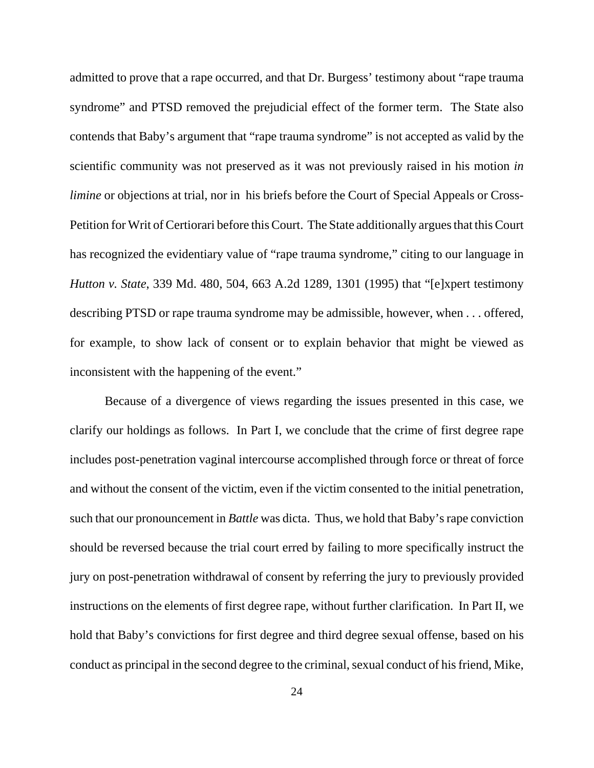admitted to prove that a rape occurred, and that Dr. Burgess' testimony about "rape trauma syndrome" and PTSD removed the prejudicial effect of the former term. The State also contends that Baby's argument that "rape trauma syndrome" is not accepted as valid by the scientific community was not preserved as it was not previously raised in his motion *in limine* or objections at trial, nor in his briefs before the Court of Special Appeals or Cross-Petition for Writ of Certiorari before this Court. The State additionally argues that this Court has recognized the evidentiary value of "rape trauma syndrome," citing to our language in *Hutton v. State*, 339 Md. 480, 504, 663 A.2d 1289, 1301 (1995) that "[e]xpert testimony describing PTSD or rape trauma syndrome may be admissible, however, when . . . offered, for example, to show lack of consent or to explain behavior that might be viewed as inconsistent with the happening of the event."

Because of a divergence of views regarding the issues presented in this case, we clarify our holdings as follows. In Part I, we conclude that the crime of first degree rape includes post-penetration vaginal intercourse accomplished through force or threat of force and without the consent of the victim, even if the victim consented to the initial penetration, such that our pronouncement in *Battle* was dicta. Thus, we hold that Baby's rape conviction should be reversed because the trial court erred by failing to more specifically instruct the jury on post-penetration withdrawal of consent by referring the jury to previously provided instructions on the elements of first degree rape, without further clarification. In Part II, we hold that Baby's convictions for first degree and third degree sexual offense, based on his conduct as principal in the second degree to the criminal, sexual conduct of his friend, Mike,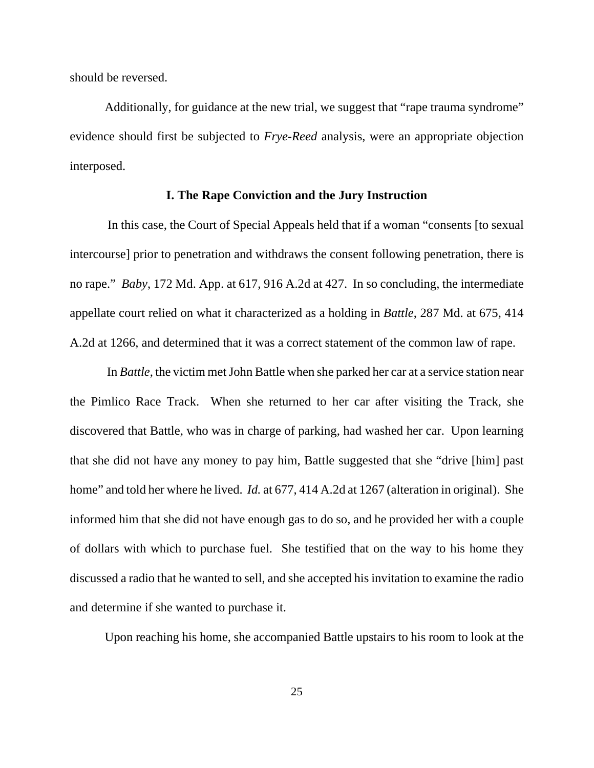should be reversed.

Additionally, for guidance at the new trial, we suggest that "rape trauma syndrome" evidence should first be subjected to *Frye-Reed* analysis, were an appropriate objection interposed.

### **I. The Rape Conviction and the Jury Instruction**

 In this case, the Court of Special Appeals held that if a woman "consents [to sexual intercourse] prior to penetration and withdraws the consent following penetration, there is no rape." *Baby*, 172 Md. App. at 617, 916 A.2d at 427. In so concluding, the intermediate appellate court relied on what it characterized as a holding in *Battle*, 287 Md. at 675, 414 A.2d at 1266, and determined that it was a correct statement of the common law of rape.

 In *Battle*, the victim met John Battle when she parked her car at a service station near the Pimlico Race Track. When she returned to her car after visiting the Track, she discovered that Battle, who was in charge of parking, had washed her car. Upon learning that she did not have any money to pay him, Battle suggested that she "drive [him] past home" and told her where he lived. *Id.* at 677, 414 A.2d at 1267 (alteration in original). She informed him that she did not have enough gas to do so, and he provided her with a couple of dollars with which to purchase fuel. She testified that on the way to his home they discussed a radio that he wanted to sell, and she accepted his invitation to examine the radio and determine if she wanted to purchase it.

Upon reaching his home, she accompanied Battle upstairs to his room to look at the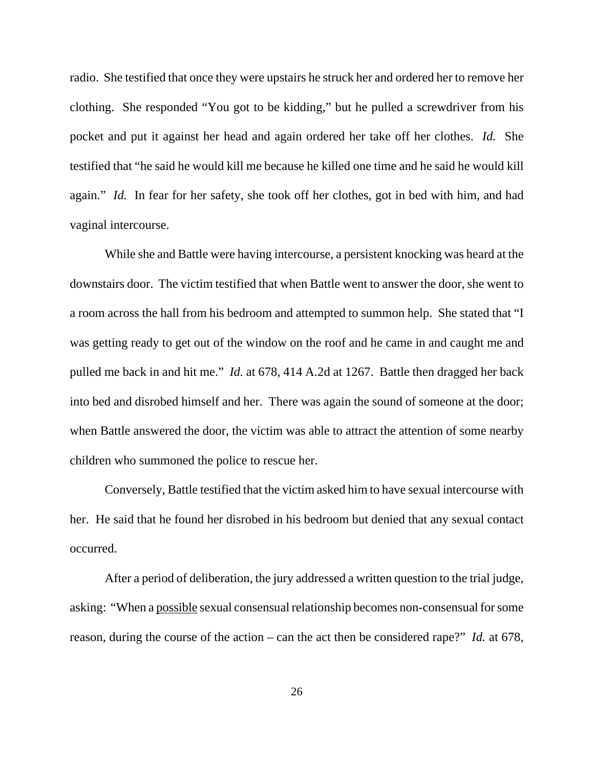radio. She testified that once they were upstairs he struck her and ordered her to remove her clothing. She responded "You got to be kidding," but he pulled a screwdriver from his pocket and put it against her head and again ordered her take off her clothes. *Id.* She testified that "he said he would kill me because he killed one time and he said he would kill again." *Id.* In fear for her safety, she took off her clothes, got in bed with him, and had vaginal intercourse.

While she and Battle were having intercourse, a persistent knocking was heard at the downstairs door. The victim testified that when Battle went to answer the door, she went to a room across the hall from his bedroom and attempted to summon help. She stated that "I was getting ready to get out of the window on the roof and he came in and caught me and pulled me back in and hit me." *Id.* at 678, 414 A.2d at 1267. Battle then dragged her back into bed and disrobed himself and her. There was again the sound of someone at the door; when Battle answered the door, the victim was able to attract the attention of some nearby children who summoned the police to rescue her.

Conversely, Battle testified that the victim asked him to have sexual intercourse with her. He said that he found her disrobed in his bedroom but denied that any sexual contact occurred.

After a period of deliberation, the jury addressed a written question to the trial judge, asking: "When a possible sexual consensual relationship becomes non-consensual for some reason, during the course of the action – can the act then be considered rape?" *Id.* at 678,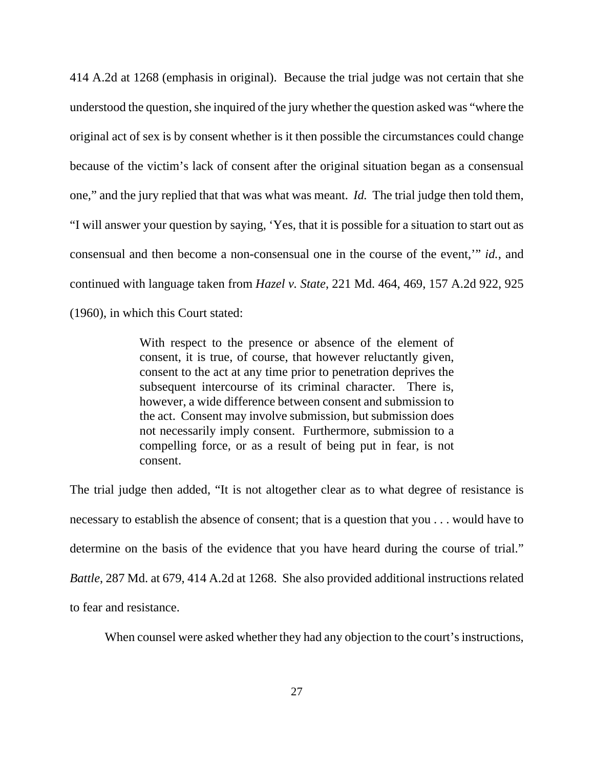414 A.2d at 1268 (emphasis in original). Because the trial judge was not certain that she understood the question, she inquired of the jury whether the question asked was "where the original act of sex is by consent whether is it then possible the circumstances could change because of the victim's lack of consent after the original situation began as a consensual one," and the jury replied that that was what was meant. *Id.* The trial judge then told them, "I will answer your question by saying, 'Yes, that it is possible for a situation to start out as consensual and then become a non-consensual one in the course of the event,'" *id.*, and continued with language taken from *Hazel v. State*, 221 Md. 464, 469, 157 A.2d 922, 925 (1960), in which this Court stated:

> With respect to the presence or absence of the element of consent, it is true, of course, that however reluctantly given, consent to the act at any time prior to penetration deprives the subsequent intercourse of its criminal character. There is, however, a wide difference between consent and submission to the act. Consent may involve submission, but submission does not necessarily imply consent. Furthermore, submission to a compelling force, or as a result of being put in fear, is not consent.

The trial judge then added, "It is not altogether clear as to what degree of resistance is necessary to establish the absence of consent; that is a question that you . . . would have to determine on the basis of the evidence that you have heard during the course of trial." *Battle*, 287 Md. at 679, 414 A.2d at 1268. She also provided additional instructions related to fear and resistance.

When counsel were asked whether they had any objection to the court's instructions,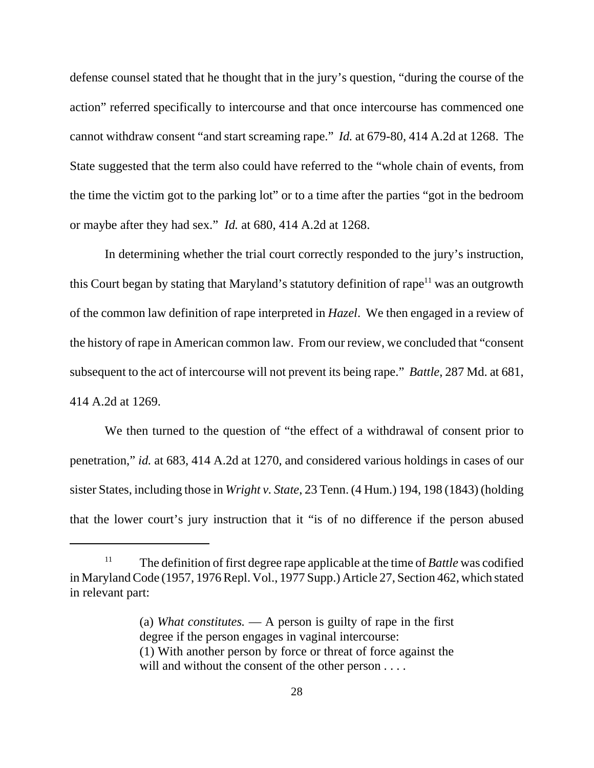defense counsel stated that he thought that in the jury's question, "during the course of the action" referred specifically to intercourse and that once intercourse has commenced one cannot withdraw consent "and start screaming rape." *Id.* at 679-80, 414 A.2d at 1268. The State suggested that the term also could have referred to the "whole chain of events, from the time the victim got to the parking lot" or to a time after the parties "got in the bedroom or maybe after they had sex." *Id.* at 680, 414 A.2d at 1268.

In determining whether the trial court correctly responded to the jury's instruction, this Court began by stating that Maryland's statutory definition of rape<sup>11</sup> was an outgrowth of the common law definition of rape interpreted in *Hazel*. We then engaged in a review of the history of rape in American common law. From our review, we concluded that "consent subsequent to the act of intercourse will not prevent its being rape." *Battle*, 287 Md. at 681, 414 A.2d at 1269.

We then turned to the question of "the effect of a withdrawal of consent prior to penetration," *id.* at 683, 414 A.2d at 1270, and considered various holdings in cases of our sister States, including those in *Wright v. State*, 23 Tenn. (4 Hum.) 194, 198 (1843) (holding that the lower court's jury instruction that it "is of no difference if the person abused

<sup>&</sup>lt;sup>11</sup> The definition of first degree rape applicable at the time of *Battle* was codified in Maryland Code (1957, 1976 Repl. Vol., 1977 Supp.) Article 27, Section 462, which stated in relevant part:

<sup>(</sup>a) *What constitutes.* — A person is guilty of rape in the first degree if the person engages in vaginal intercourse: (1) With another person by force or threat of force against the will and without the consent of the other person . . . .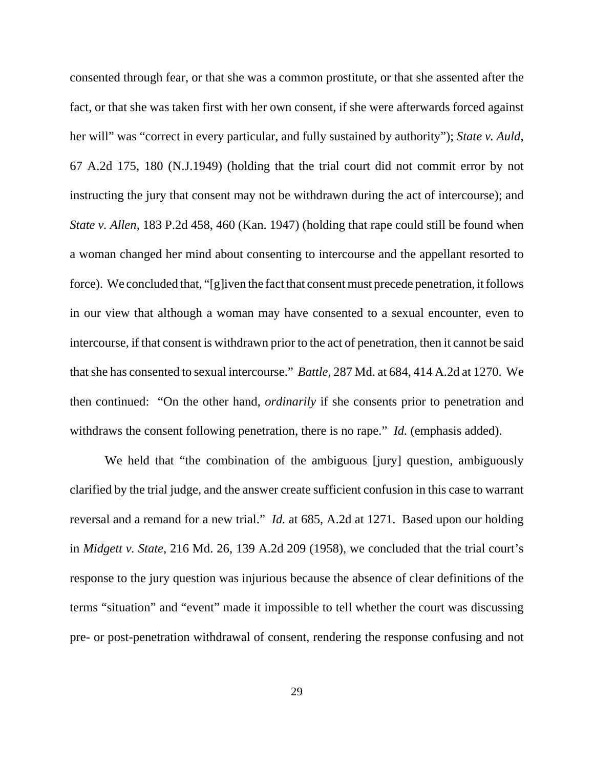consented through fear, or that she was a common prostitute, or that she assented after the fact, or that she was taken first with her own consent, if she were afterwards forced against her will" was "correct in every particular, and fully sustained by authority"); *State v. Auld*, 67 A.2d 175, 180 (N.J.1949) (holding that the trial court did not commit error by not instructing the jury that consent may not be withdrawn during the act of intercourse); and *State v. Allen*, 183 P.2d 458, 460 (Kan. 1947) (holding that rape could still be found when a woman changed her mind about consenting to intercourse and the appellant resorted to force). We concluded that, "[g]iven the fact that consent must precede penetration, it follows in our view that although a woman may have consented to a sexual encounter, even to intercourse, if that consent is withdrawn prior to the act of penetration, then it cannot be said that she has consented to sexual intercourse." *Battle*, 287 Md. at 684, 414 A.2d at 1270. We then continued: "On the other hand, *ordinarily* if she consents prior to penetration and withdraws the consent following penetration, there is no rape." *Id.* (emphasis added).

We held that "the combination of the ambiguous [jury] question, ambiguously clarified by the trial judge, and the answer create sufficient confusion in this case to warrant reversal and a remand for a new trial." *Id.* at 685, A.2d at 1271. Based upon our holding in *Midgett v. State*, 216 Md. 26, 139 A.2d 209 (1958), we concluded that the trial court's response to the jury question was injurious because the absence of clear definitions of the terms "situation" and "event" made it impossible to tell whether the court was discussing pre- or post-penetration withdrawal of consent, rendering the response confusing and not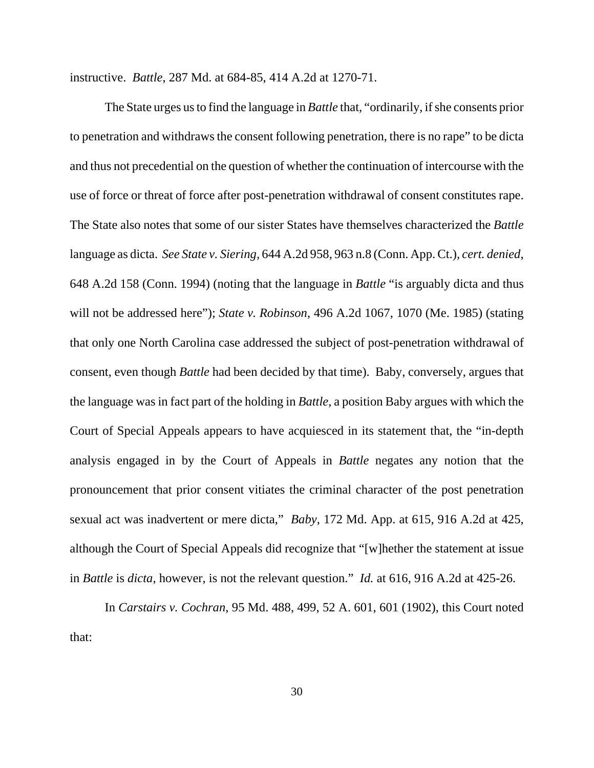instructive. *Battle*, 287 Md. at 684-85, 414 A.2d at 1270-71.

The State urges us to find the language in *Battle* that, "ordinarily, if she consents prior to penetration and withdraws the consent following penetration, there is no rape" to be dicta and thus not precedential on the question of whether the continuation of intercourse with the use of force or threat of force after post-penetration withdrawal of consent constitutes rape. The State also notes that some of our sister States have themselves characterized the *Battle* language as dicta. *See State v. Siering*, 644 A.2d 958, 963 n.8 (Conn. App. Ct.), *cert. denied*, 648 A.2d 158 (Conn. 1994) (noting that the language in *Battle* "is arguably dicta and thus will not be addressed here"); *State v. Robinson*, 496 A.2d 1067, 1070 (Me. 1985) (stating that only one North Carolina case addressed the subject of post-penetration withdrawal of consent, even though *Battle* had been decided by that time). Baby, conversely, argues that the language was in fact part of the holding in *Battle*, a position Baby argues with which the Court of Special Appeals appears to have acquiesced in its statement that, the "in-depth analysis engaged in by the Court of Appeals in *Battle* negates any notion that the pronouncement that prior consent vitiates the criminal character of the post penetration sexual act was inadvertent or mere dicta," *Baby*, 172 Md. App. at 615, 916 A.2d at 425, although the Court of Special Appeals did recognize that "[w]hether the statement at issue in *Battle* is *dicta*, however, is not the relevant question." *Id.* at 616, 916 A.2d at 425-26.

In *Carstairs v. Cochran*, 95 Md. 488, 499, 52 A. 601, 601 (1902), this Court noted that: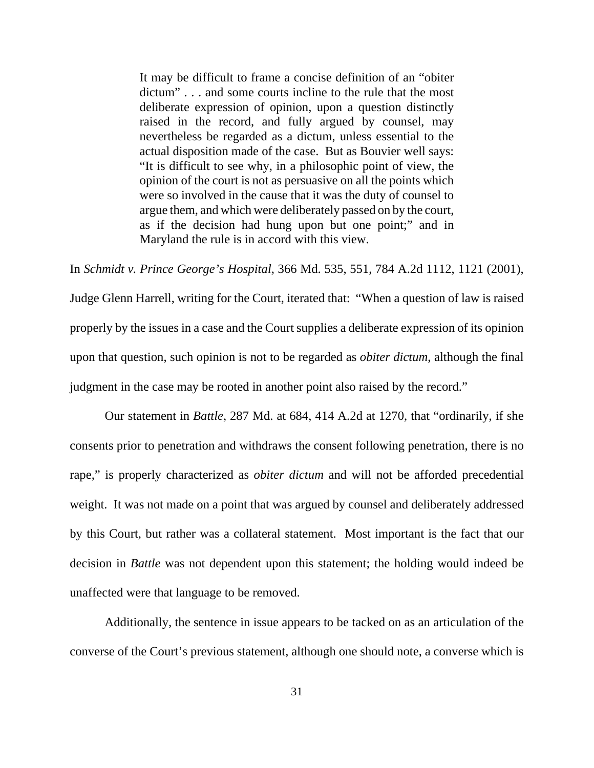It may be difficult to frame a concise definition of an "obiter dictum" . . . and some courts incline to the rule that the most deliberate expression of opinion, upon a question distinctly raised in the record, and fully argued by counsel, may nevertheless be regarded as a dictum, unless essential to the actual disposition made of the case. But as Bouvier well says: "It is difficult to see why, in a philosophic point of view, the opinion of the court is not as persuasive on all the points which were so involved in the cause that it was the duty of counsel to argue them, and which were deliberately passed on by the court, as if the decision had hung upon but one point;" and in Maryland the rule is in accord with this view.

In *Schmidt v. Prince George's Hospital*, 366 Md. 535, 551, 784 A.2d 1112, 1121 (2001), Judge Glenn Harrell, writing for the Court, iterated that: "When a question of law is raised properly by the issues in a case and the Court supplies a deliberate expression of its opinion upon that question, such opinion is not to be regarded as *obiter dictum*, although the final judgment in the case may be rooted in another point also raised by the record."

Our statement in *Battle*, 287 Md. at 684, 414 A.2d at 1270, that "ordinarily, if she consents prior to penetration and withdraws the consent following penetration, there is no rape," is properly characterized as *obiter dictum* and will not be afforded precedential weight. It was not made on a point that was argued by counsel and deliberately addressed by this Court, but rather was a collateral statement. Most important is the fact that our decision in *Battle* was not dependent upon this statement; the holding would indeed be unaffected were that language to be removed.

Additionally, the sentence in issue appears to be tacked on as an articulation of the converse of the Court's previous statement, although one should note, a converse which is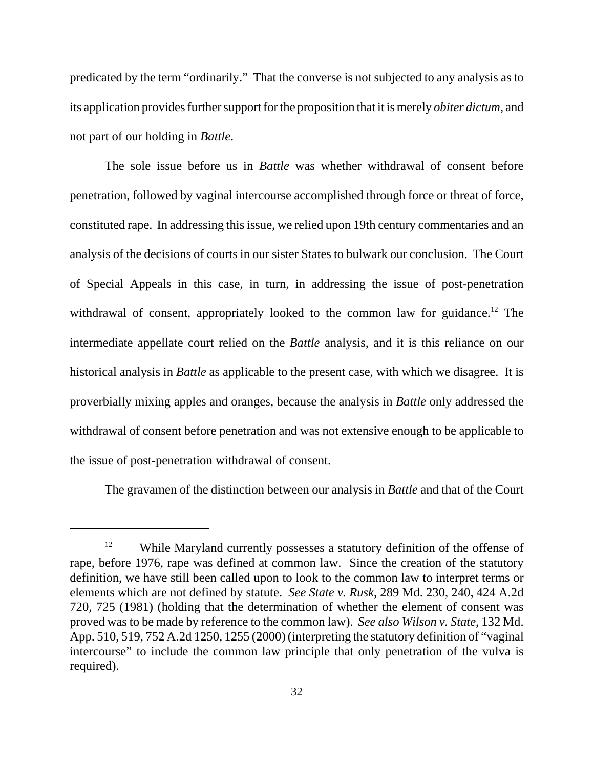predicated by the term "ordinarily." That the converse is not subjected to any analysis as to its application provides further support for the proposition that it is merely *obiter dictum*, and not part of our holding in *Battle*.

The sole issue before us in *Battle* was whether withdrawal of consent before penetration, followed by vaginal intercourse accomplished through force or threat of force, constituted rape. In addressing this issue, we relied upon 19th century commentaries and an analysis of the decisions of courts in our sister States to bulwark our conclusion. The Court of Special Appeals in this case, in turn, in addressing the issue of post-penetration withdrawal of consent, appropriately looked to the common law for guidance.<sup>12</sup> The intermediate appellate court relied on the *Battle* analysis, and it is this reliance on our historical analysis in *Battle* as applicable to the present case, with which we disagree. It is proverbially mixing apples and oranges, because the analysis in *Battle* only addressed the withdrawal of consent before penetration and was not extensive enough to be applicable to the issue of post-penetration withdrawal of consent.

The gravamen of the distinction between our analysis in *Battle* and that of the Court

<sup>&</sup>lt;sup>12</sup> While Maryland currently possesses a statutory definition of the offense of rape, before 1976, rape was defined at common law. Since the creation of the statutory definition, we have still been called upon to look to the common law to interpret terms or elements which are not defined by statute. *See State v. Rusk*, 289 Md. 230, 240, 424 A.2d 720, 725 (1981) (holding that the determination of whether the element of consent was proved was to be made by reference to the common law). *See also Wilson v. State*, 132 Md. App. 510, 519, 752 A.2d 1250, 1255 (2000) (interpreting the statutory definition of "vaginal intercourse" to include the common law principle that only penetration of the vulva is required).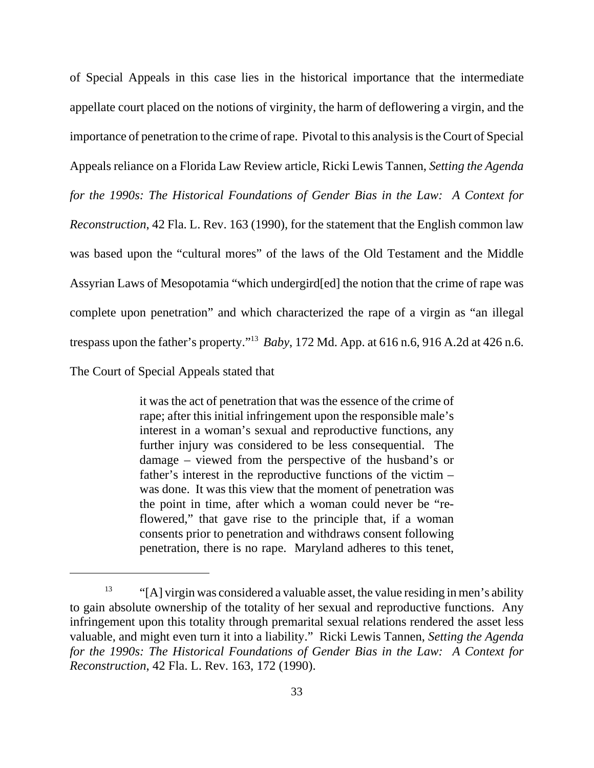of Special Appeals in this case lies in the historical importance that the intermediate appellate court placed on the notions of virginity, the harm of deflowering a virgin, and the importance of penetration to the crime of rape. Pivotal to this analysis is the Court of Special Appeals reliance on a Florida Law Review article, Ricki Lewis Tannen, *Setting the Agenda for the 1990s: The Historical Foundations of Gender Bias in the Law: A Context for Reconstruction*, 42 Fla. L. Rev. 163 (1990), for the statement that the English common law was based upon the "cultural mores" of the laws of the Old Testament and the Middle Assyrian Laws of Mesopotamia "which undergird[ed] the notion that the crime of rape was complete upon penetration" and which characterized the rape of a virgin as "an illegal trespass upon the father's property."13 *Baby*, 172 Md. App. at 616 n.6, 916 A.2d at 426 n.6.

The Court of Special Appeals stated that

it was the act of penetration that was the essence of the crime of rape; after this initial infringement upon the responsible male's interest in a woman's sexual and reproductive functions, any further injury was considered to be less consequential. The damage – viewed from the perspective of the husband's or father's interest in the reproductive functions of the victim – was done. It was this view that the moment of penetration was the point in time, after which a woman could never be "reflowered," that gave rise to the principle that, if a woman consents prior to penetration and withdraws consent following penetration, there is no rape. Maryland adheres to this tenet,

 $13$  "[A] virgin was considered a valuable asset, the value residing in men's ability to gain absolute ownership of the totality of her sexual and reproductive functions. Any infringement upon this totality through premarital sexual relations rendered the asset less valuable, and might even turn it into a liability." Ricki Lewis Tannen, *Setting the Agenda for the 1990s: The Historical Foundations of Gender Bias in the Law: A Context for Reconstruction*, 42 Fla. L. Rev. 163, 172 (1990).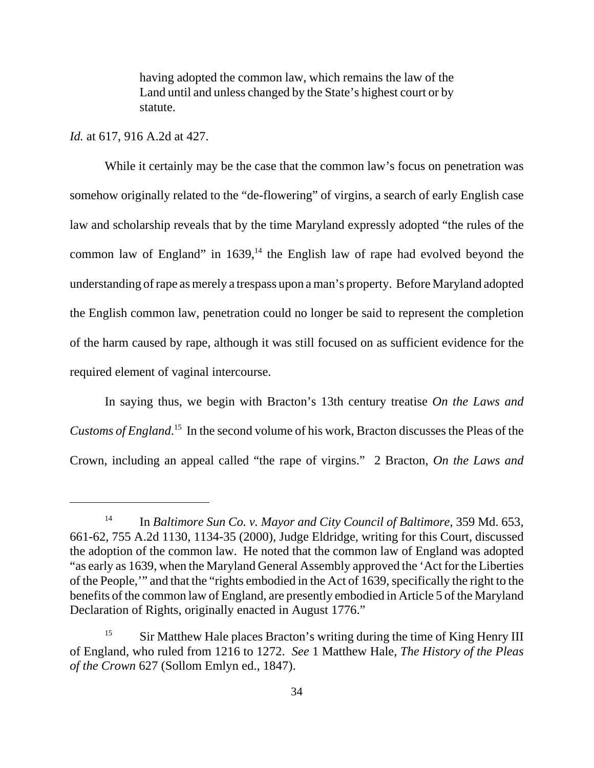having adopted the common law, which remains the law of the Land until and unless changed by the State's highest court or by statute.

## *Id.* at 617, 916 A.2d at 427.

While it certainly may be the case that the common law's focus on penetration was somehow originally related to the "de-flowering" of virgins, a search of early English case law and scholarship reveals that by the time Maryland expressly adopted "the rules of the common law of England" in  $1639$ ,<sup>14</sup> the English law of rape had evolved beyond the understanding of rape as merely a trespass upon a man's property. Before Maryland adopted the English common law, penetration could no longer be said to represent the completion of the harm caused by rape, although it was still focused on as sufficient evidence for the required element of vaginal intercourse.

In saying thus, we begin with Bracton's 13th century treatise *On the Laws and Customs of England*. 15 In the second volume of his work, Bracton discusses the Pleas of the Crown, including an appeal called "the rape of virgins." 2 Bracton, *On the Laws and*

<sup>14</sup> In *Baltimore Sun Co. v. Mayor and City Council of Baltimore*, 359 Md. 653, 661-62, 755 A.2d 1130, 1134-35 (2000), Judge Eldridge, writing for this Court, discussed the adoption of the common law. He noted that the common law of England was adopted "as early as 1639, when the Maryland General Assembly approved the 'Act for the Liberties of the People,'" and that the "rights embodied in the Act of 1639, specifically the right to the benefits of the common law of England, are presently embodied in Article 5 of the Maryland Declaration of Rights, originally enacted in August 1776."

<sup>&</sup>lt;sup>15</sup> Sir Matthew Hale places Bracton's writing during the time of King Henry III of England, who ruled from 1216 to 1272. *See* 1 Matthew Hale, *The History of the Pleas of the Crown* 627 (Sollom Emlyn ed., 1847).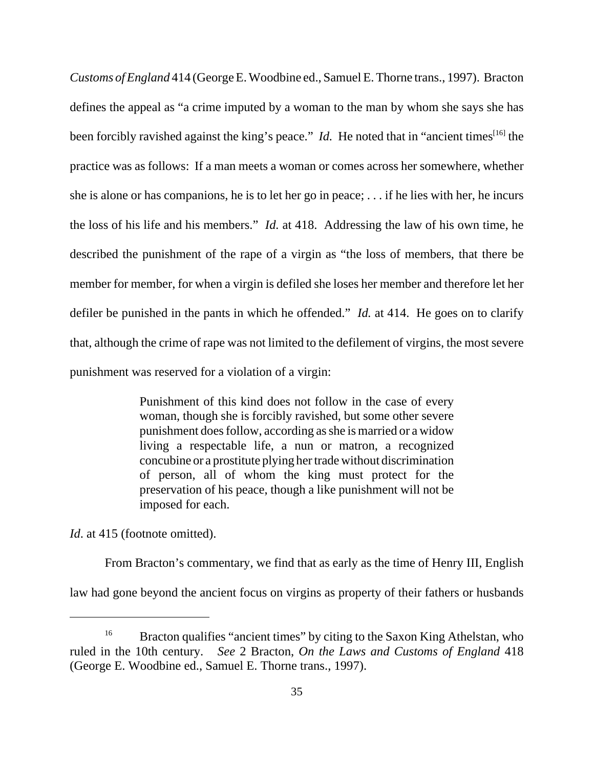*Customs of England* 414 (George E. Woodbine ed., Samuel E. Thorne trans., 1997). Bracton defines the appeal as "a crime imputed by a woman to the man by whom she says she has been forcibly ravished against the king's peace." *Id.* He noted that in "ancient times<sup>[16]</sup> the practice was as follows: If a man meets a woman or comes across her somewhere, whether she is alone or has companions, he is to let her go in peace; . . . if he lies with her, he incurs the loss of his life and his members." *Id.* at 418. Addressing the law of his own time, he described the punishment of the rape of a virgin as "the loss of members, that there be member for member, for when a virgin is defiled she loses her member and therefore let her defiler be punished in the pants in which he offended." *Id.* at 414. He goes on to clarify that, although the crime of rape was not limited to the defilement of virgins, the most severe punishment was reserved for a violation of a virgin:

> Punishment of this kind does not follow in the case of every woman, though she is forcibly ravished, but some other severe punishment does follow, according as she is married or a widow living a respectable life, a nun or matron, a recognized concubine or a prostitute plying her trade without discrimination of person, all of whom the king must protect for the preservation of his peace, though a like punishment will not be imposed for each.

*Id.* at 415 (footnote omitted).

From Bracton's commentary, we find that as early as the time of Henry III, English law had gone beyond the ancient focus on virgins as property of their fathers or husbands

<sup>&</sup>lt;sup>16</sup> Bracton qualifies "ancient times" by citing to the Saxon King Athelstan, who ruled in the 10th century. *See* 2 Bracton, *On the Laws and Customs of England* 418 (George E. Woodbine ed., Samuel E. Thorne trans., 1997).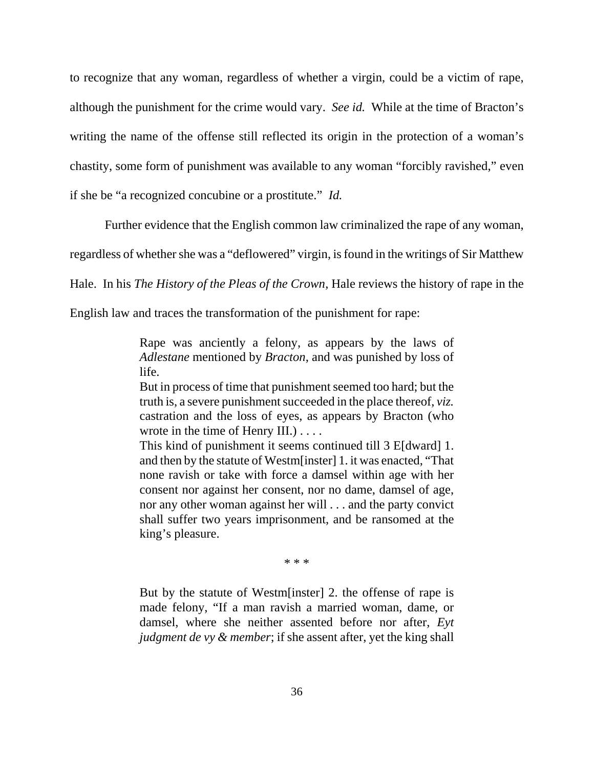to recognize that any woman, regardless of whether a virgin, could be a victim of rape, although the punishment for the crime would vary. *See id.* While at the time of Bracton's writing the name of the offense still reflected its origin in the protection of a woman's chastity, some form of punishment was available to any woman "forcibly ravished," even if she be "a recognized concubine or a prostitute." *Id.*

Further evidence that the English common law criminalized the rape of any woman,

regardless of whether she was a "deflowered" virgin, is found in the writings of Sir Matthew

Hale. In his *The History of the Pleas of the Crown*, Hale reviews the history of rape in the

English law and traces the transformation of the punishment for rape:

Rape was anciently a felony, as appears by the laws of *Adlestane* mentioned by *Bracton*, and was punished by loss of life.

But in process of time that punishment seemed too hard; but the truth is, a severe punishment succeeded in the place thereof, *viz.* castration and the loss of eyes, as appears by Bracton (who wrote in the time of Henry III.) . . . .

This kind of punishment it seems continued till 3 E[dward] 1. and then by the statute of Westm[inster] 1. it was enacted, "That none ravish or take with force a damsel within age with her consent nor against her consent, nor no dame, damsel of age, nor any other woman against her will . . . and the party convict shall suffer two years imprisonment, and be ransomed at the king's pleasure.

\* \* \*

But by the statute of Westm[inster] 2. the offense of rape is made felony, "If a man ravish a married woman, dame, or damsel, where she neither assented before nor after, *Eyt judgment de vy & member*; if she assent after, yet the king shall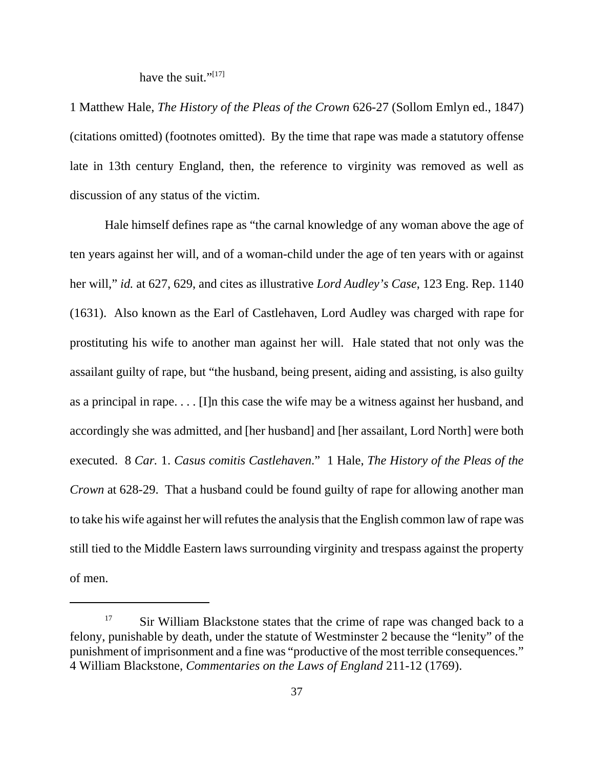have the suit." $[17]$ 

1 Matthew Hale, *The History of the Pleas of the Crown* 626-27 (Sollom Emlyn ed., 1847) (citations omitted) (footnotes omitted). By the time that rape was made a statutory offense late in 13th century England, then, the reference to virginity was removed as well as discussion of any status of the victim.

Hale himself defines rape as "the carnal knowledge of any woman above the age of ten years against her will, and of a woman-child under the age of ten years with or against her will," *id.* at 627, 629, and cites as illustrative *Lord Audley's Case*, 123 Eng. Rep. 1140 (1631). Also known as the Earl of Castlehaven, Lord Audley was charged with rape for prostituting his wife to another man against her will. Hale stated that not only was the assailant guilty of rape, but "the husband, being present, aiding and assisting, is also guilty as a principal in rape. . . . [I]n this case the wife may be a witness against her husband, and accordingly she was admitted, and [her husband] and [her assailant, Lord North] were both executed. 8 *Car.* 1. *Casus comitis Castlehaven*." 1 Hale, *The History of the Pleas of the Crown* at 628-29. That a husband could be found guilty of rape for allowing another man to take his wife against her will refutes the analysis that the English common law of rape was still tied to the Middle Eastern laws surrounding virginity and trespass against the property of men.

<sup>&</sup>lt;sup>17</sup> Sir William Blackstone states that the crime of rape was changed back to a felony, punishable by death, under the statute of Westminster 2 because the "lenity" of the punishment of imprisonment and a fine was "productive of the most terrible consequences." 4 William Blackstone, *Commentaries on the Laws of England* 211-12 (1769).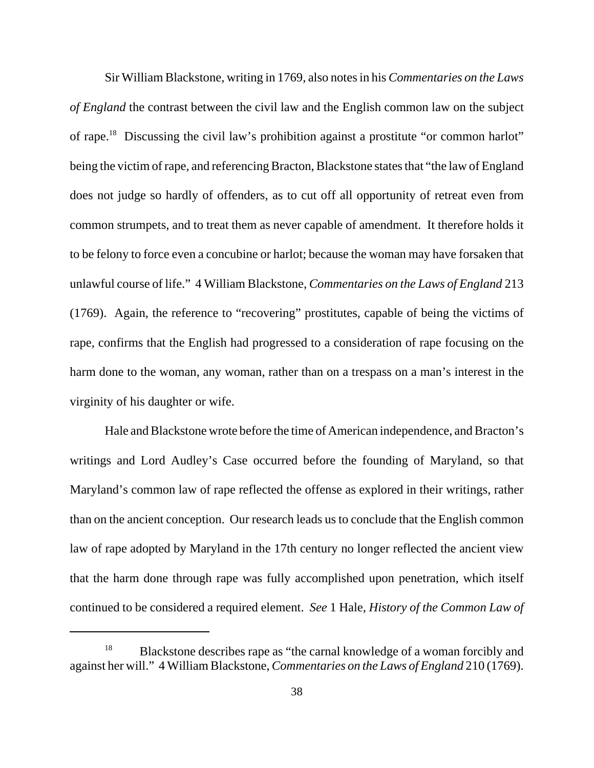Sir William Blackstone, writing in 1769, also notes in his *Commentaries on the Laws of England* the contrast between the civil law and the English common law on the subject of rape.18 Discussing the civil law's prohibition against a prostitute "or common harlot" being the victim of rape, and referencing Bracton, Blackstone states that "the law of England does not judge so hardly of offenders, as to cut off all opportunity of retreat even from common strumpets, and to treat them as never capable of amendment. It therefore holds it to be felony to force even a concubine or harlot; because the woman may have forsaken that unlawful course of life." 4 William Blackstone, *Commentaries on the Laws of England* 213 (1769). Again, the reference to "recovering" prostitutes, capable of being the victims of rape, confirms that the English had progressed to a consideration of rape focusing on the harm done to the woman, any woman, rather than on a trespass on a man's interest in the virginity of his daughter or wife.

Hale and Blackstone wrote before the time of American independence, and Bracton's writings and Lord Audley's Case occurred before the founding of Maryland, so that Maryland's common law of rape reflected the offense as explored in their writings, rather than on the ancient conception. Our research leads us to conclude that the English common law of rape adopted by Maryland in the 17th century no longer reflected the ancient view that the harm done through rape was fully accomplished upon penetration, which itself continued to be considered a required element. *See* 1 Hale, *History of the Common Law of*

<sup>&</sup>lt;sup>18</sup> Blackstone describes rape as "the carnal knowledge of a woman forcibly and against her will." 4 William Blackstone, *Commentaries on the Laws of England* 210 (1769).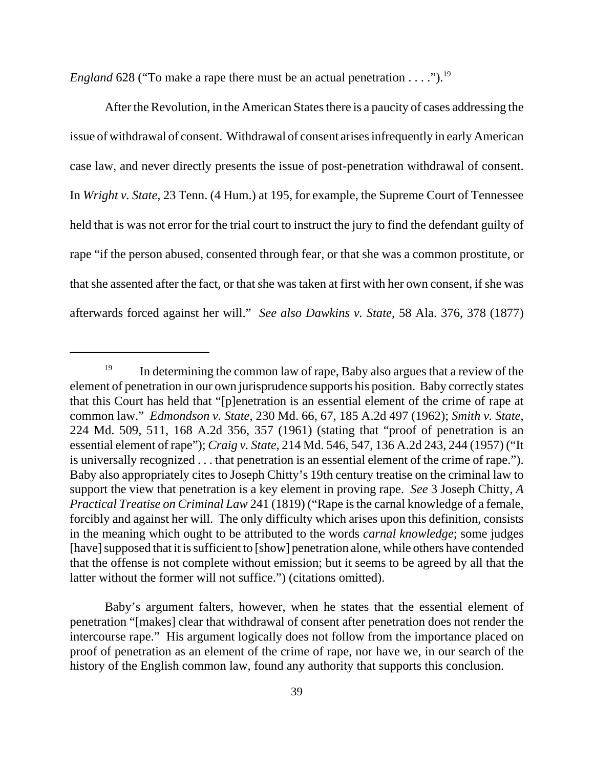*England* 628 ("To make a rape there must be an actual penetration  $\dots$ ").<sup>19</sup>

After the Revolution, in the American States there is a paucity of cases addressing the issue of withdrawal of consent. Withdrawal of consent arises infrequently in early American case law, and never directly presents the issue of post-penetration withdrawal of consent. In *Wright v. State*, 23 Tenn. (4 Hum.) at 195, for example, the Supreme Court of Tennessee held that is was not error for the trial court to instruct the jury to find the defendant guilty of rape "if the person abused, consented through fear, or that she was a common prostitute, or that she assented after the fact, or that she was taken at first with her own consent, if she was afterwards forced against her will." *See also Dawkins v. State*, 58 Ala. 376, 378 (1877)

<sup>&</sup>lt;sup>19</sup> In determining the common law of rape, Baby also argues that a review of the element of penetration in our own jurisprudence supports his position. Baby correctly states that this Court has held that "[p]enetration is an essential element of the crime of rape at common law." *Edmondson v. State*, 230 Md. 66, 67, 185 A.2d 497 (1962); *Smith v. State*, 224 Md. 509, 511, 168 A.2d 356, 357 (1961) (stating that "proof of penetration is an essential element of rape"); *Craig v. State*, 214 Md. 546, 547, 136 A.2d 243, 244 (1957) ("It is universally recognized . . . that penetration is an essential element of the crime of rape."). Baby also appropriately cites to Joseph Chitty's 19th century treatise on the criminal law to support the view that penetration is a key element in proving rape. *See* 3 Joseph Chitty, *A Practical Treatise on Criminal Law* 241 (1819) ("Rape is the carnal knowledge of a female, forcibly and against her will. The only difficulty which arises upon this definition, consists in the meaning which ought to be attributed to the words *carnal knowledge*; some judges [have] supposed that it is sufficient to [show] penetration alone, while others have contended that the offense is not complete without emission; but it seems to be agreed by all that the latter without the former will not suffice.") (citations omitted).

Baby's argument falters, however, when he states that the essential element of penetration "[makes] clear that withdrawal of consent after penetration does not render the intercourse rape." His argument logically does not follow from the importance placed on proof of penetration as an element of the crime of rape, nor have we, in our search of the history of the English common law, found any authority that supports this conclusion.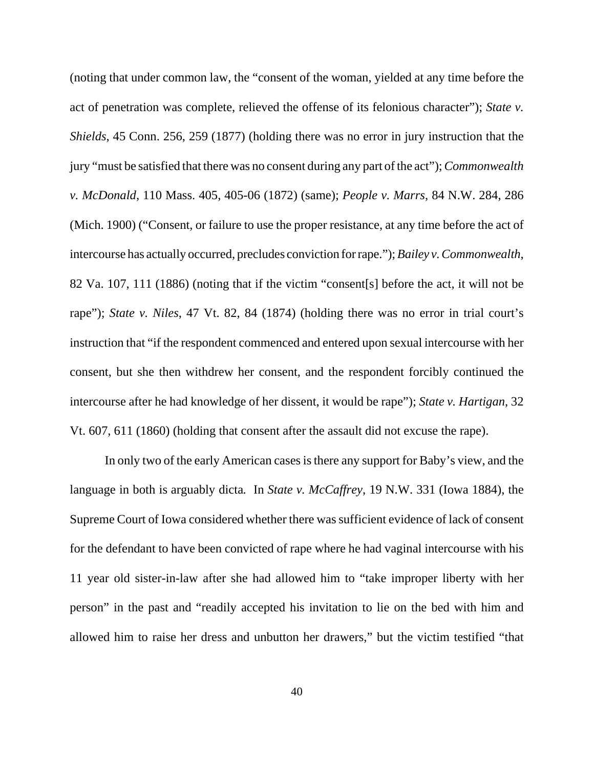(noting that under common law, the "consent of the woman, yielded at any time before the act of penetration was complete, relieved the offense of its felonious character"); *State v. Shields*, 45 Conn. 256, 259 (1877) (holding there was no error in jury instruction that the jury "must be satisfied that there was no consent during any part of the act"); *Commonwealth v. McDonald*, 110 Mass. 405, 405-06 (1872) (same); *People v. Marrs*, 84 N.W. 284, 286 (Mich. 1900) ("Consent, or failure to use the proper resistance, at any time before the act of intercourse has actually occurred, precludes conviction for rape."); *Bailey v. Commonwealth*, 82 Va. 107, 111 (1886) (noting that if the victim "consent[s] before the act, it will not be rape"); *State v. Niles*, 47 Vt. 82, 84 (1874) (holding there was no error in trial court's instruction that "if the respondent commenced and entered upon sexual intercourse with her consent, but she then withdrew her consent, and the respondent forcibly continued the intercourse after he had knowledge of her dissent, it would be rape"); *State v. Hartigan*, 32 Vt. 607, 611 (1860) (holding that consent after the assault did not excuse the rape).

In only two of the early American cases is there any support for Baby's view, and the language in both is arguably dicta*.* In *State v. McCaffrey*, 19 N.W. 331 (Iowa 1884), the Supreme Court of Iowa considered whether there was sufficient evidence of lack of consent for the defendant to have been convicted of rape where he had vaginal intercourse with his 11 year old sister-in-law after she had allowed him to "take improper liberty with her person" in the past and "readily accepted his invitation to lie on the bed with him and allowed him to raise her dress and unbutton her drawers," but the victim testified "that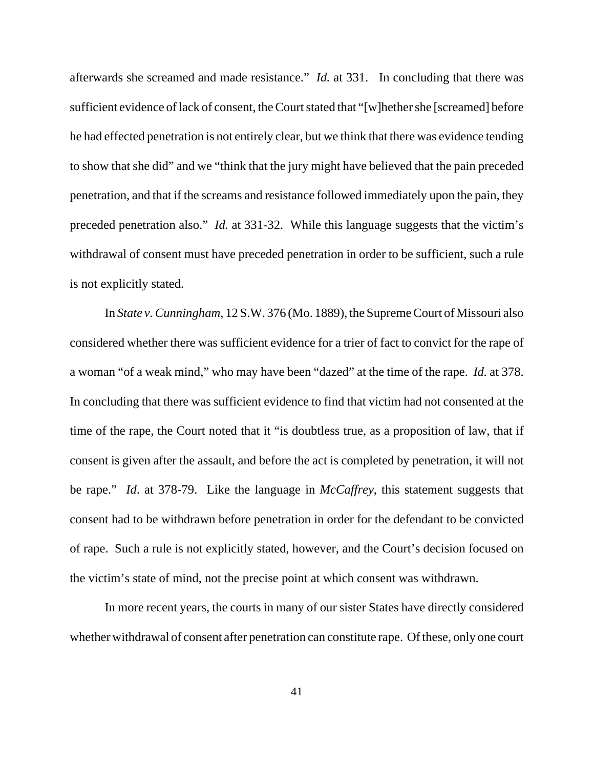afterwards she screamed and made resistance." *Id.* at 331. In concluding that there was sufficient evidence of lack of consent, the Court stated that "[w]hether she [screamed] before he had effected penetration is not entirely clear, but we think that there was evidence tending to show that she did" and we "think that the jury might have believed that the pain preceded penetration, and that if the screams and resistance followed immediately upon the pain, they preceded penetration also." *Id.* at 331-32. While this language suggests that the victim's withdrawal of consent must have preceded penetration in order to be sufficient, such a rule is not explicitly stated.

In *State v. Cunningham*, 12 S.W. 376 (Mo. 1889), the Supreme Court of Missouri also considered whether there was sufficient evidence for a trier of fact to convict for the rape of a woman "of a weak mind," who may have been "dazed" at the time of the rape. *Id.* at 378. In concluding that there was sufficient evidence to find that victim had not consented at the time of the rape, the Court noted that it "is doubtless true, as a proposition of law, that if consent is given after the assault, and before the act is completed by penetration, it will not be rape." *Id*. at 378-79. Like the language in *McCaffrey*, this statement suggests that consent had to be withdrawn before penetration in order for the defendant to be convicted of rape. Such a rule is not explicitly stated, however, and the Court's decision focused on the victim's state of mind, not the precise point at which consent was withdrawn.

In more recent years, the courts in many of our sister States have directly considered whether withdrawal of consent after penetration can constitute rape. Of these, only one court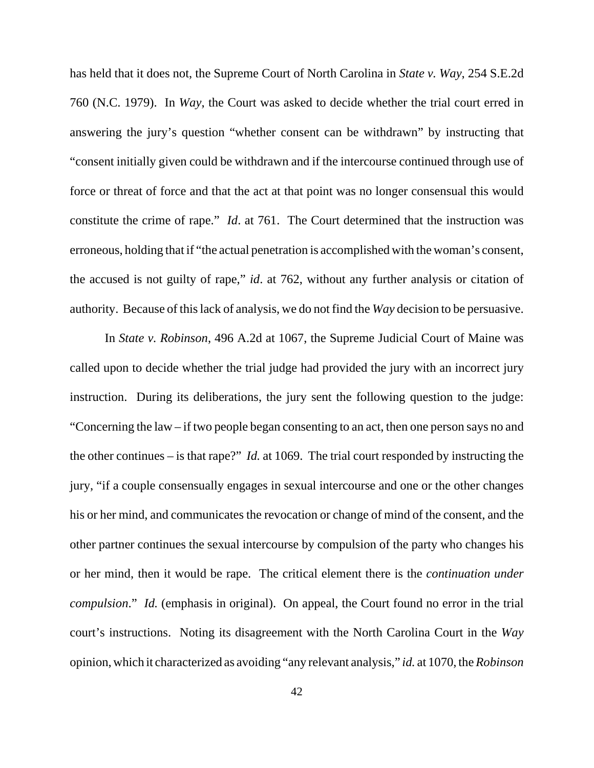has held that it does not, the Supreme Court of North Carolina in *State v. Way*, 254 S.E.2d 760 (N.C. 1979). In *Way*, the Court was asked to decide whether the trial court erred in answering the jury's question "whether consent can be withdrawn" by instructing that "consent initially given could be withdrawn and if the intercourse continued through use of force or threat of force and that the act at that point was no longer consensual this would constitute the crime of rape." *Id*. at 761. The Court determined that the instruction was erroneous, holding that if "the actual penetration is accomplished with the woman's consent, the accused is not guilty of rape," *id*. at 762, without any further analysis or citation of authority. Because of this lack of analysis, we do not find the *Way* decision to be persuasive.

In *State v. Robinson*, 496 A.2d at 1067, the Supreme Judicial Court of Maine was called upon to decide whether the trial judge had provided the jury with an incorrect jury instruction. During its deliberations, the jury sent the following question to the judge: "Concerning the law – if two people began consenting to an act, then one person says no and the other continues – is that rape?" *Id.* at 1069. The trial court responded by instructing the jury, "if a couple consensually engages in sexual intercourse and one or the other changes his or her mind, and communicates the revocation or change of mind of the consent, and the other partner continues the sexual intercourse by compulsion of the party who changes his or her mind, then it would be rape. The critical element there is the *continuation under compulsion*." *Id.* (emphasis in original). On appeal, the Court found no error in the trial court's instructions. Noting its disagreement with the North Carolina Court in the *Way* opinion, which it characterized as avoiding "any relevant analysis," *id.* at 1070, the *Robinson*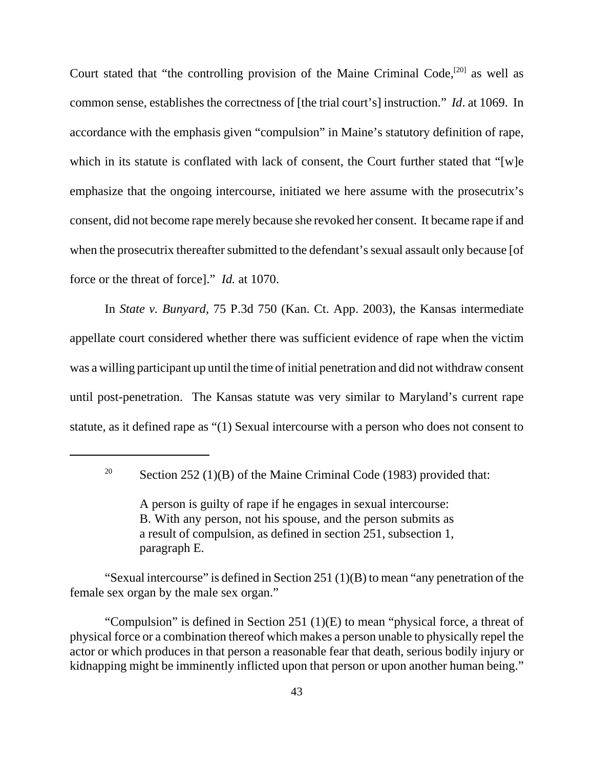Court stated that "the controlling provision of the Maine Criminal Code, $[20]$  as well as common sense, establishes the correctness of [the trial court's] instruction." *Id*. at 1069. In accordance with the emphasis given "compulsion" in Maine's statutory definition of rape, which in its statute is conflated with lack of consent, the Court further stated that "[w]e emphasize that the ongoing intercourse, initiated we here assume with the prosecutrix's consent, did not become rape merely because she revoked her consent. It became rape if and when the prosecutrix thereafter submitted to the defendant's sexual assault only because [of force or the threat of force]." *Id.* at 1070.

In *State v. Bunyard*, 75 P.3d 750 (Kan. Ct. App. 2003), the Kansas intermediate appellate court considered whether there was sufficient evidence of rape when the victim was a willing participant up until the time of initial penetration and did not withdraw consent until post-penetration. The Kansas statute was very similar to Maryland's current rape statute, as it defined rape as "(1) Sexual intercourse with a person who does not consent to

<sup>20</sup> Section 252 (1)(B) of the Maine Criminal Code (1983) provided that:

A person is guilty of rape if he engages in sexual intercourse: B. With any person, not his spouse, and the person submits as a result of compulsion, as defined in section 251, subsection 1, paragraph E.

"Sexual intercourse" is defined in Section 251 (1)(B) to mean "any penetration of the female sex organ by the male sex organ."

"Compulsion" is defined in Section 251 (1) $(E)$  to mean "physical force, a threat of physical force or a combination thereof which makes a person unable to physically repel the actor or which produces in that person a reasonable fear that death, serious bodily injury or kidnapping might be imminently inflicted upon that person or upon another human being."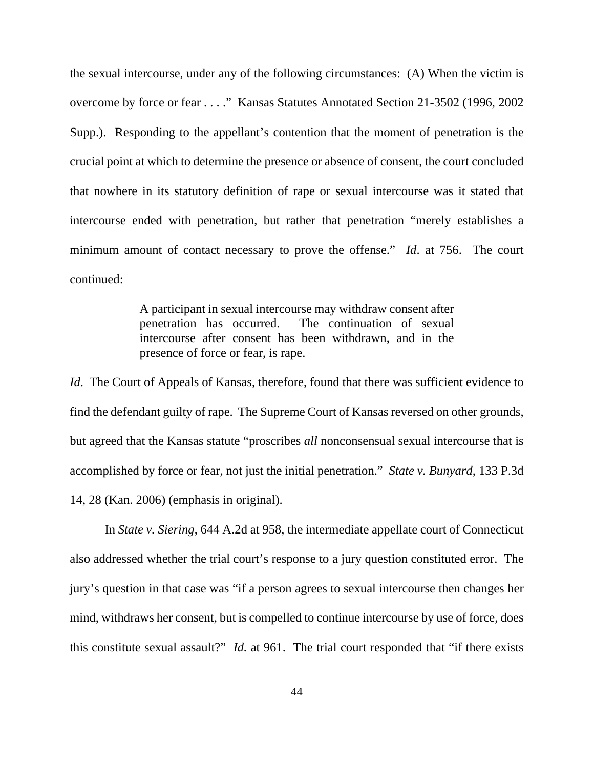the sexual intercourse, under any of the following circumstances: (A) When the victim is overcome by force or fear . . . ." Kansas Statutes Annotated Section 21-3502 (1996, 2002 Supp.). Responding to the appellant's contention that the moment of penetration is the crucial point at which to determine the presence or absence of consent, the court concluded that nowhere in its statutory definition of rape or sexual intercourse was it stated that intercourse ended with penetration, but rather that penetration "merely establishes a minimum amount of contact necessary to prove the offense." *Id*. at 756. The court continued:

> A participant in sexual intercourse may withdraw consent after penetration has occurred. The continuation of sexual intercourse after consent has been withdrawn, and in the presence of force or fear, is rape.

*Id.* The Court of Appeals of Kansas, therefore, found that there was sufficient evidence to find the defendant guilty of rape. The Supreme Court of Kansas reversed on other grounds, but agreed that the Kansas statute "proscribes *all* nonconsensual sexual intercourse that is accomplished by force or fear, not just the initial penetration." *State v. Bunyard*, 133 P.3d 14, 28 (Kan. 2006) (emphasis in original).

In *State v. Siering*, 644 A.2d at 958, the intermediate appellate court of Connecticut also addressed whether the trial court's response to a jury question constituted error. The jury's question in that case was "if a person agrees to sexual intercourse then changes her mind, withdraws her consent, but is compelled to continue intercourse by use of force, does this constitute sexual assault?" *Id.* at 961. The trial court responded that "if there exists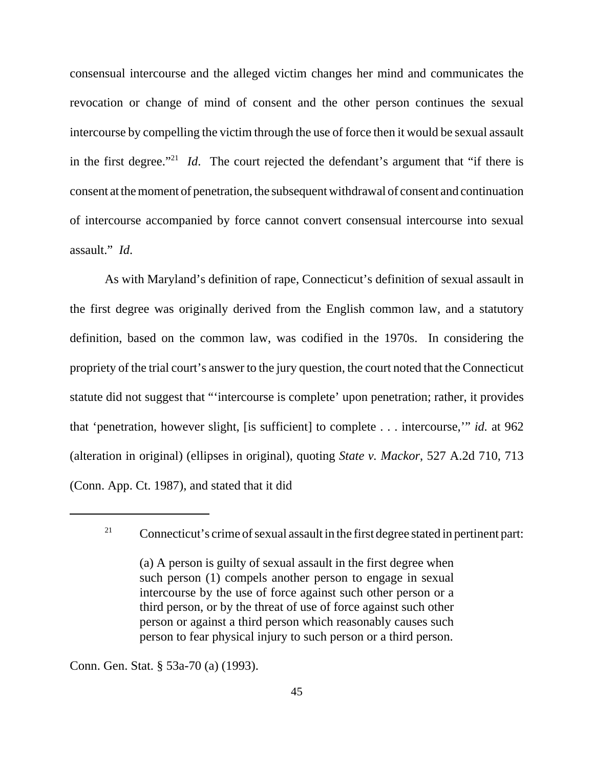consensual intercourse and the alleged victim changes her mind and communicates the revocation or change of mind of consent and the other person continues the sexual intercourse by compelling the victim through the use of force then it would be sexual assault in the first degree."<sup>21</sup> *Id*. The court rejected the defendant's argument that "if there is consent at the moment of penetration, the subsequent withdrawal of consent and continuation of intercourse accompanied by force cannot convert consensual intercourse into sexual assault." *Id*.

As with Maryland's definition of rape, Connecticut's definition of sexual assault in the first degree was originally derived from the English common law, and a statutory definition, based on the common law, was codified in the 1970s. In considering the propriety of the trial court's answer to the jury question, the court noted that the Connecticut statute did not suggest that "'intercourse is complete' upon penetration; rather, it provides that 'penetration, however slight, [is sufficient] to complete . . . intercourse,'" *id.* at 962 (alteration in original) (ellipses in original), quoting *State v. Mackor*, 527 A.2d 710, 713 (Conn. App. Ct. 1987), and stated that it did

<sup>21</sup> Connecticut's crime of sexual assault in the first degree stated in pertinent part:

Conn. Gen. Stat. § 53a-70 (a) (1993).

<sup>(</sup>a) A person is guilty of sexual assault in the first degree when such person (1) compels another person to engage in sexual intercourse by the use of force against such other person or a third person, or by the threat of use of force against such other person or against a third person which reasonably causes such person to fear physical injury to such person or a third person.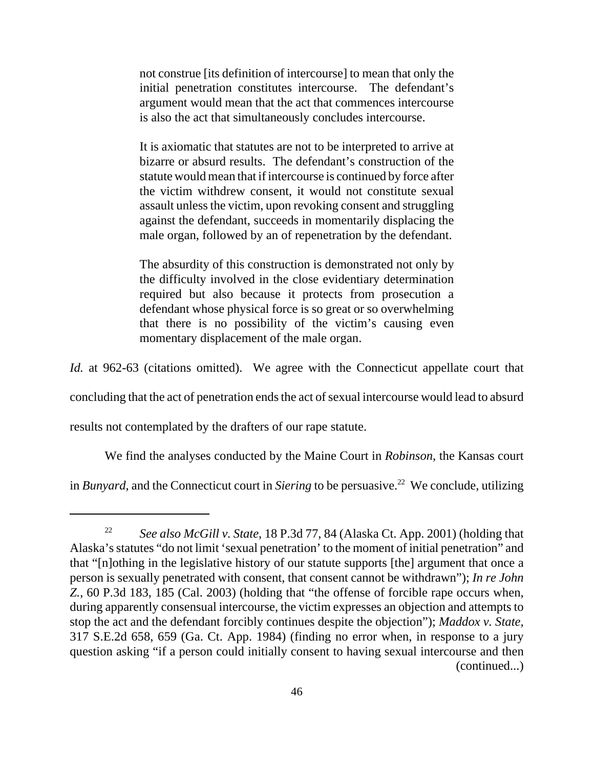not construe [its definition of intercourse] to mean that only the initial penetration constitutes intercourse. The defendant's argument would mean that the act that commences intercourse is also the act that simultaneously concludes intercourse.

It is axiomatic that statutes are not to be interpreted to arrive at bizarre or absurd results. The defendant's construction of the statute would mean that if intercourse is continued by force after the victim withdrew consent, it would not constitute sexual assault unless the victim, upon revoking consent and struggling against the defendant, succeeds in momentarily displacing the male organ, followed by an of repenetration by the defendant.

The absurdity of this construction is demonstrated not only by the difficulty involved in the close evidentiary determination required but also because it protects from prosecution a defendant whose physical force is so great or so overwhelming that there is no possibility of the victim's causing even momentary displacement of the male organ.

*Id.* at 962-63 (citations omitted). We agree with the Connecticut appellate court that

concluding that the act of penetration ends the act of sexual intercourse would lead to absurd

results not contemplated by the drafters of our rape statute.

We find the analyses conducted by the Maine Court in *Robinson*, the Kansas court

in *Bunyard*, and the Connecticut court in *Siering* to be persuasive.<sup>22</sup> We conclude, utilizing

<sup>22</sup> *See also McGill v. State*, 18 P.3d 77, 84 (Alaska Ct. App. 2001) (holding that Alaska's statutes "do not limit 'sexual penetration' to the moment of initial penetration" and that "[n]othing in the legislative history of our statute supports [the] argument that once a person is sexually penetrated with consent, that consent cannot be withdrawn"); *In re John Z.*, 60 P.3d 183, 185 (Cal. 2003) (holding that "the offense of forcible rape occurs when, during apparently consensual intercourse, the victim expresses an objection and attempts to stop the act and the defendant forcibly continues despite the objection"); *Maddox v. State*, 317 S.E.2d 658, 659 (Ga. Ct. App. 1984) (finding no error when, in response to a jury question asking "if a person could initially consent to having sexual intercourse and then (continued...)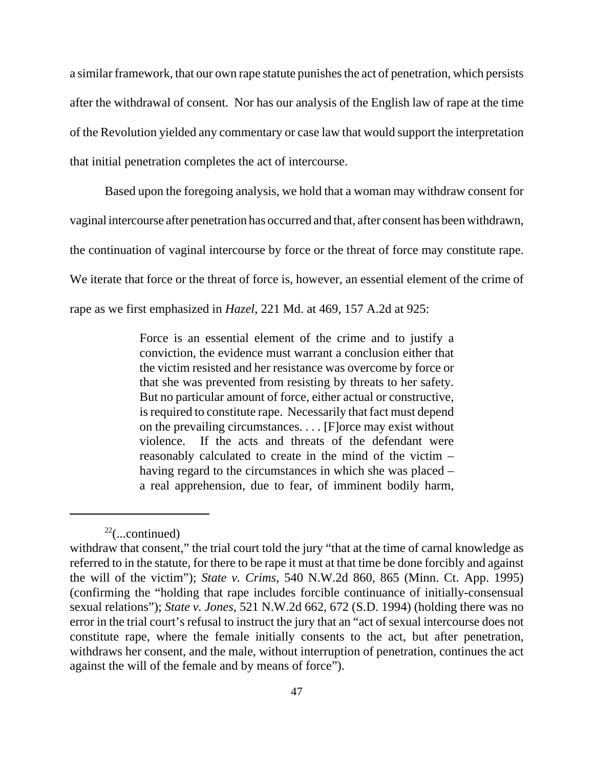a similar framework, that our own rape statute punishes the act of penetration, which persists after the withdrawal of consent. Nor has our analysis of the English law of rape at the time of the Revolution yielded any commentary or case law that would support the interpretation that initial penetration completes the act of intercourse.

Based upon the foregoing analysis, we hold that a woman may withdraw consent for vaginal intercourse after penetration has occurred and that, after consent has been withdrawn, the continuation of vaginal intercourse by force or the threat of force may constitute rape. We iterate that force or the threat of force is, however, an essential element of the crime of

rape as we first emphasized in *Hazel*, 221 Md. at 469, 157 A.2d at 925:

Force is an essential element of the crime and to justify a conviction, the evidence must warrant a conclusion either that the victim resisted and her resistance was overcome by force or that she was prevented from resisting by threats to her safety. But no particular amount of force, either actual or constructive, is required to constitute rape. Necessarily that fact must depend on the prevailing circumstances. . . . [F]orce may exist without violence. If the acts and threats of the defendant were reasonably calculated to create in the mind of the victim – having regard to the circumstances in which she was placed – a real apprehension, due to fear, of imminent bodily harm,

 $22$ (...continued)

withdraw that consent," the trial court told the jury "that at the time of carnal knowledge as referred to in the statute, for there to be rape it must at that time be done forcibly and against the will of the victim"); *State v. Crims*, 540 N.W.2d 860, 865 (Minn. Ct. App. 1995) (confirming the "holding that rape includes forcible continuance of initially-consensual sexual relations"); *State v. Jones*, 521 N.W.2d 662, 672 (S.D. 1994) (holding there was no error in the trial court's refusal to instruct the jury that an "act of sexual intercourse does not constitute rape, where the female initially consents to the act, but after penetration, withdraws her consent, and the male, without interruption of penetration, continues the act against the will of the female and by means of force").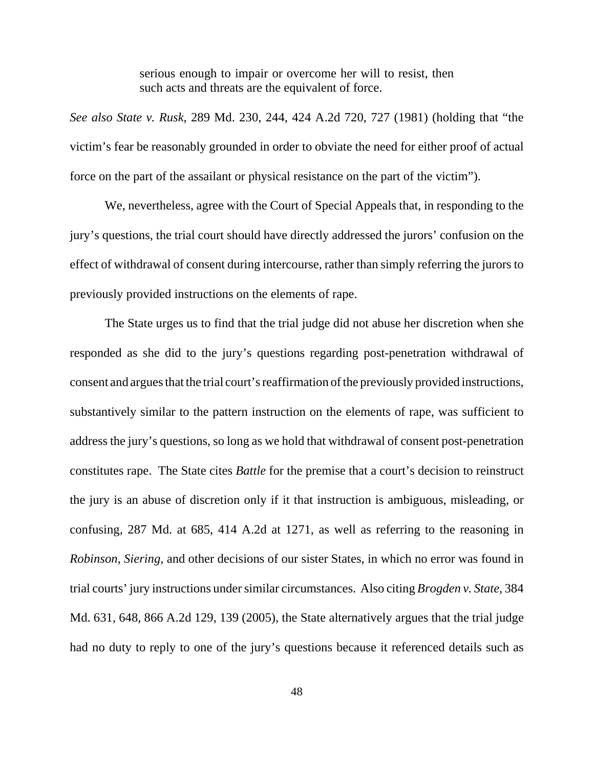serious enough to impair or overcome her will to resist, then such acts and threats are the equivalent of force.

*See also State v. Rusk*, 289 Md. 230, 244, 424 A.2d 720, 727 (1981) (holding that "the victim's fear be reasonably grounded in order to obviate the need for either proof of actual force on the part of the assailant or physical resistance on the part of the victim").

We, nevertheless, agree with the Court of Special Appeals that, in responding to the jury's questions, the trial court should have directly addressed the jurors' confusion on the effect of withdrawal of consent during intercourse, rather than simply referring the jurors to previously provided instructions on the elements of rape.

The State urges us to find that the trial judge did not abuse her discretion when she responded as she did to the jury's questions regarding post-penetration withdrawal of consent and argues that the trial court's reaffirmation of the previously provided instructions, substantively similar to the pattern instruction on the elements of rape, was sufficient to address the jury's questions, so long as we hold that withdrawal of consent post-penetration constitutes rape. The State cites *Battle* for the premise that a court's decision to reinstruct the jury is an abuse of discretion only if it that instruction is ambiguous, misleading, or confusing, 287 Md. at 685, 414 A.2d at 1271, as well as referring to the reasoning in *Robinson*, *Siering*, and other decisions of our sister States, in which no error was found in trial courts' jury instructions under similar circumstances. Also citing *Brogden v. State*, 384 Md. 631, 648, 866 A.2d 129, 139 (2005), the State alternatively argues that the trial judge had no duty to reply to one of the jury's questions because it referenced details such as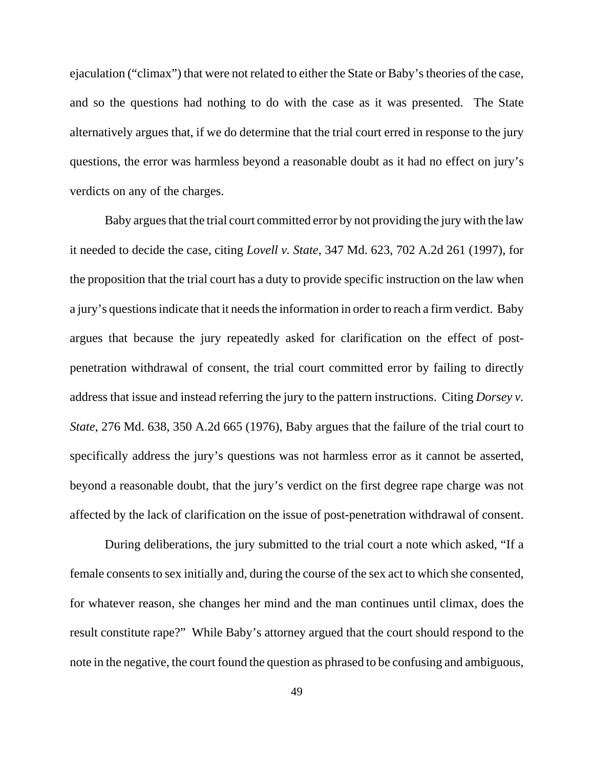ejaculation ("climax") that were not related to either the State or Baby's theories of the case, and so the questions had nothing to do with the case as it was presented. The State alternatively argues that, if we do determine that the trial court erred in response to the jury questions, the error was harmless beyond a reasonable doubt as it had no effect on jury's verdicts on any of the charges.

Baby argues that the trial court committed error by not providing the jury with the law it needed to decide the case, citing *Lovell v. State*, 347 Md. 623, 702 A.2d 261 (1997), for the proposition that the trial court has a duty to provide specific instruction on the law when a jury's questions indicate that it needs the information in order to reach a firm verdict. Baby argues that because the jury repeatedly asked for clarification on the effect of postpenetration withdrawal of consent, the trial court committed error by failing to directly address that issue and instead referring the jury to the pattern instructions. Citing *Dorsey v. State*, 276 Md. 638, 350 A.2d 665 (1976), Baby argues that the failure of the trial court to specifically address the jury's questions was not harmless error as it cannot be asserted, beyond a reasonable doubt, that the jury's verdict on the first degree rape charge was not affected by the lack of clarification on the issue of post-penetration withdrawal of consent.

During deliberations, the jury submitted to the trial court a note which asked, "If a female consents to sex initially and, during the course of the sex act to which she consented, for whatever reason, she changes her mind and the man continues until climax, does the result constitute rape?" While Baby's attorney argued that the court should respond to the note in the negative, the court found the question as phrased to be confusing and ambiguous,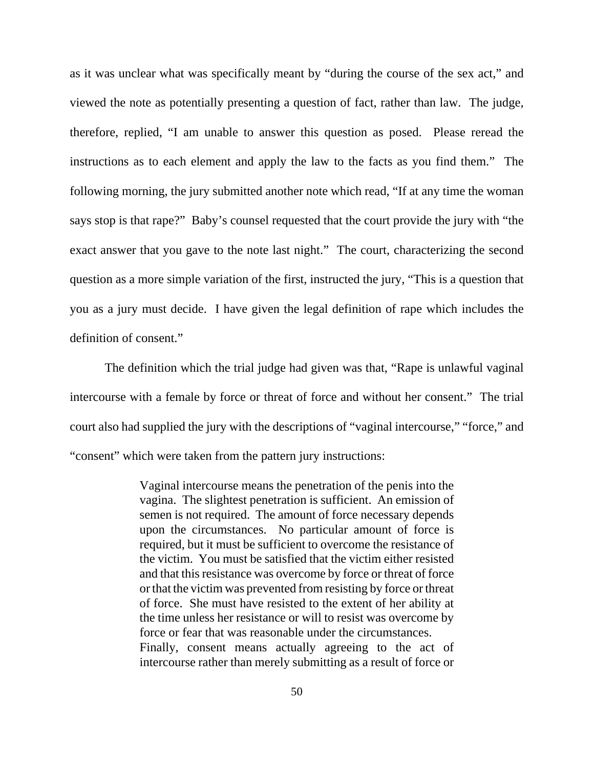as it was unclear what was specifically meant by "during the course of the sex act," and viewed the note as potentially presenting a question of fact, rather than law. The judge, therefore, replied, "I am unable to answer this question as posed. Please reread the instructions as to each element and apply the law to the facts as you find them." The following morning, the jury submitted another note which read, "If at any time the woman says stop is that rape?" Baby's counsel requested that the court provide the jury with "the exact answer that you gave to the note last night." The court, characterizing the second question as a more simple variation of the first, instructed the jury, "This is a question that you as a jury must decide. I have given the legal definition of rape which includes the definition of consent."

The definition which the trial judge had given was that, "Rape is unlawful vaginal intercourse with a female by force or threat of force and without her consent." The trial court also had supplied the jury with the descriptions of "vaginal intercourse," "force," and "consent" which were taken from the pattern jury instructions:

> Vaginal intercourse means the penetration of the penis into the vagina. The slightest penetration is sufficient. An emission of semen is not required. The amount of force necessary depends upon the circumstances. No particular amount of force is required, but it must be sufficient to overcome the resistance of the victim. You must be satisfied that the victim either resisted and that this resistance was overcome by force or threat of force or that the victim was prevented from resisting by force or threat of force. She must have resisted to the extent of her ability at the time unless her resistance or will to resist was overcome by force or fear that was reasonable under the circumstances. Finally, consent means actually agreeing to the act of intercourse rather than merely submitting as a result of force or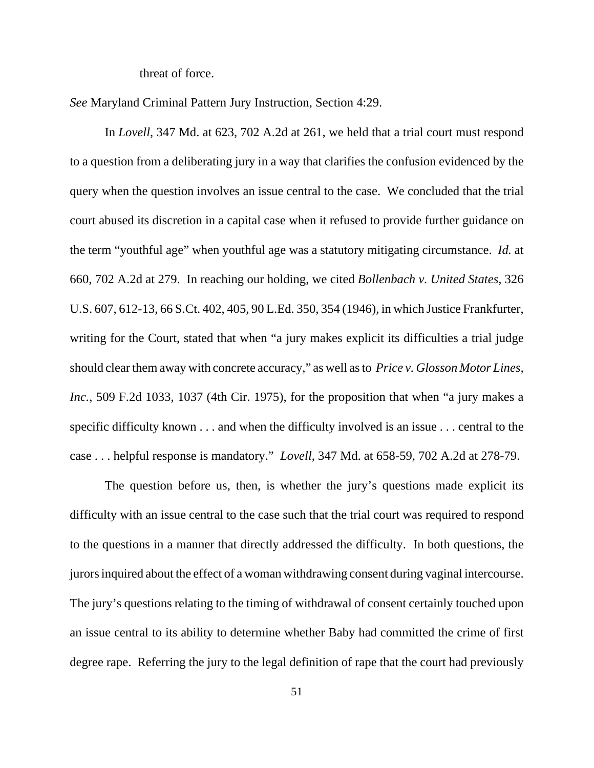threat of force.

*See* Maryland Criminal Pattern Jury Instruction, Section 4:29.

In *Lovell*, 347 Md. at 623, 702 A.2d at 261, we held that a trial court must respond to a question from a deliberating jury in a way that clarifies the confusion evidenced by the query when the question involves an issue central to the case. We concluded that the trial court abused its discretion in a capital case when it refused to provide further guidance on the term "youthful age" when youthful age was a statutory mitigating circumstance. *Id.* at 660, 702 A.2d at 279. In reaching our holding, we cited *Bollenbach v. United States,* 326 U.S. 607, 612-13, 66 S.Ct. 402, 405, 90 L.Ed. 350, 354 (1946), in which Justice Frankfurter, writing for the Court, stated that when "a jury makes explicit its difficulties a trial judge should clear them away with concrete accuracy," as well as to *Price v. Glosson Motor Lines, Inc.*, 509 F.2d 1033, 1037 (4th Cir. 1975), for the proposition that when "a jury makes a specific difficulty known . . . and when the difficulty involved is an issue . . . central to the case . . . helpful response is mandatory." *Lovell*, 347 Md. at 658-59, 702 A.2d at 278-79.

The question before us, then, is whether the jury's questions made explicit its difficulty with an issue central to the case such that the trial court was required to respond to the questions in a manner that directly addressed the difficulty. In both questions, the jurors inquired about the effect of a woman withdrawing consent during vaginal intercourse. The jury's questions relating to the timing of withdrawal of consent certainly touched upon an issue central to its ability to determine whether Baby had committed the crime of first degree rape. Referring the jury to the legal definition of rape that the court had previously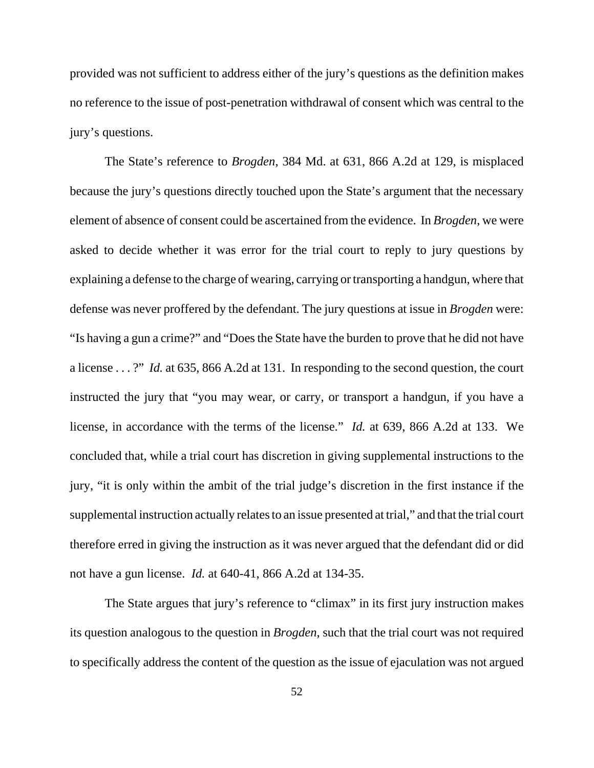provided was not sufficient to address either of the jury's questions as the definition makes no reference to the issue of post-penetration withdrawal of consent which was central to the jury's questions.

The State's reference to *Brogden*, 384 Md. at 631, 866 A.2d at 129, is misplaced because the jury's questions directly touched upon the State's argument that the necessary element of absence of consent could be ascertained from the evidence. In *Brogden*, we were asked to decide whether it was error for the trial court to reply to jury questions by explaining a defense to the charge of wearing, carrying or transporting a handgun, where that defense was never proffered by the defendant. The jury questions at issue in *Brogden* were: "Is having a gun a crime?" and "Does the State have the burden to prove that he did not have a license . . . ?" *Id.* at 635, 866 A.2d at 131. In responding to the second question, the court instructed the jury that "you may wear, or carry, or transport a handgun, if you have a license, in accordance with the terms of the license." *Id.* at 639, 866 A.2d at 133. We concluded that, while a trial court has discretion in giving supplemental instructions to the jury, "it is only within the ambit of the trial judge's discretion in the first instance if the supplemental instruction actually relates to an issue presented at trial," and that the trial court therefore erred in giving the instruction as it was never argued that the defendant did or did not have a gun license. *Id.* at 640-41, 866 A.2d at 134-35.

The State argues that jury's reference to "climax" in its first jury instruction makes its question analogous to the question in *Brogden*, such that the trial court was not required to specifically address the content of the question as the issue of ejaculation was not argued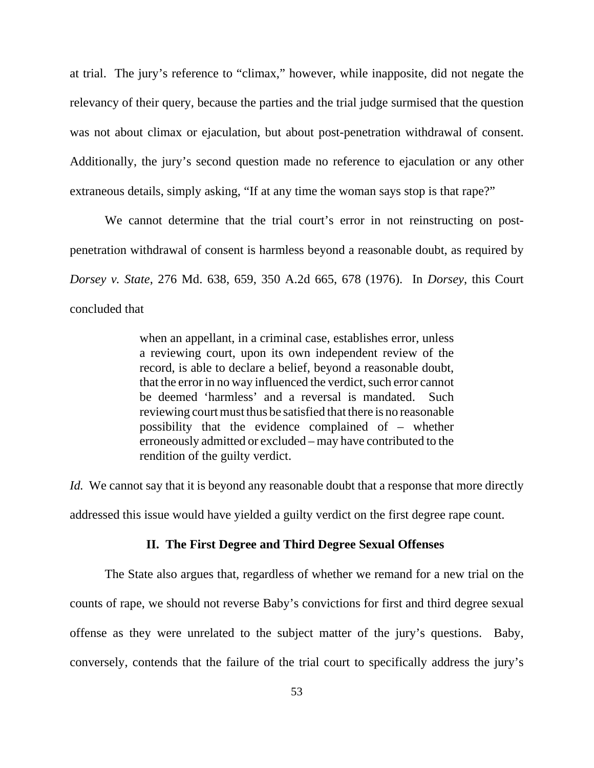at trial. The jury's reference to "climax," however, while inapposite, did not negate the relevancy of their query, because the parties and the trial judge surmised that the question was not about climax or ejaculation, but about post-penetration withdrawal of consent. Additionally, the jury's second question made no reference to ejaculation or any other extraneous details, simply asking, "If at any time the woman says stop is that rape?"

We cannot determine that the trial court's error in not reinstructing on postpenetration withdrawal of consent is harmless beyond a reasonable doubt, as required by *Dorsey v. State*, 276 Md. 638, 659, 350 A.2d 665, 678 (1976). In *Dorsey*, this Court concluded that

> when an appellant, in a criminal case, establishes error, unless a reviewing court, upon its own independent review of the record, is able to declare a belief, beyond a reasonable doubt, that the error in no way influenced the verdict, such error cannot be deemed 'harmless' and a reversal is mandated. Such reviewing court must thus be satisfied that there is no reasonable possibility that the evidence complained of – whether erroneously admitted or excluded – may have contributed to the rendition of the guilty verdict.

*Id.* We cannot say that it is beyond any reasonable doubt that a response that more directly addressed this issue would have yielded a guilty verdict on the first degree rape count.

## **II. The First Degree and Third Degree Sexual Offenses**

The State also argues that, regardless of whether we remand for a new trial on the counts of rape, we should not reverse Baby's convictions for first and third degree sexual offense as they were unrelated to the subject matter of the jury's questions. Baby, conversely, contends that the failure of the trial court to specifically address the jury's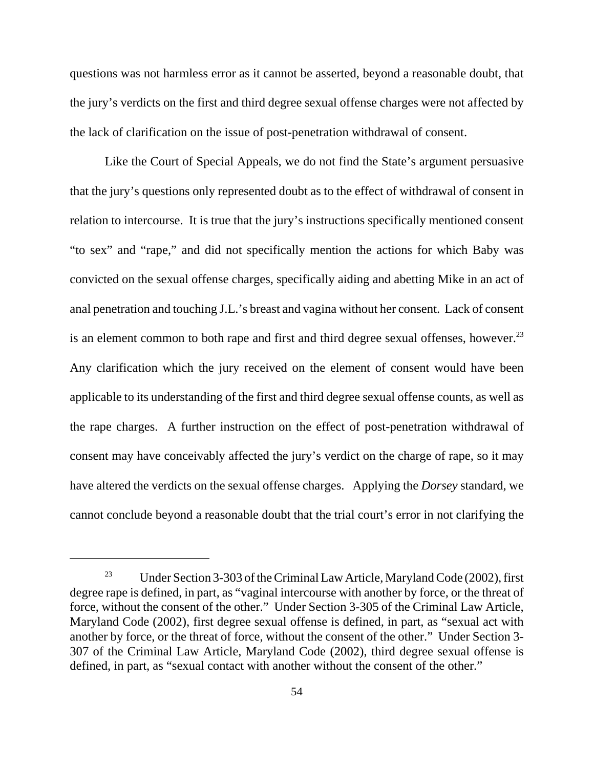questions was not harmless error as it cannot be asserted, beyond a reasonable doubt, that the jury's verdicts on the first and third degree sexual offense charges were not affected by the lack of clarification on the issue of post-penetration withdrawal of consent.

Like the Court of Special Appeals, we do not find the State's argument persuasive that the jury's questions only represented doubt as to the effect of withdrawal of consent in relation to intercourse. It is true that the jury's instructions specifically mentioned consent "to sex" and "rape," and did not specifically mention the actions for which Baby was convicted on the sexual offense charges, specifically aiding and abetting Mike in an act of anal penetration and touching J.L.'s breast and vagina without her consent. Lack of consent is an element common to both rape and first and third degree sexual offenses, however.<sup>23</sup> Any clarification which the jury received on the element of consent would have been applicable to its understanding of the first and third degree sexual offense counts, as well as the rape charges. A further instruction on the effect of post-penetration withdrawal of consent may have conceivably affected the jury's verdict on the charge of rape, so it may have altered the verdicts on the sexual offense charges. Applying the *Dorsey* standard, we cannot conclude beyond a reasonable doubt that the trial court's error in not clarifying the

<sup>&</sup>lt;sup>23</sup> Under Section 3-303 of the Criminal Law Article, Maryland Code (2002), first degree rape is defined, in part, as "vaginal intercourse with another by force, or the threat of force, without the consent of the other." Under Section 3-305 of the Criminal Law Article, Maryland Code (2002), first degree sexual offense is defined, in part, as "sexual act with another by force, or the threat of force, without the consent of the other." Under Section 3- 307 of the Criminal Law Article, Maryland Code (2002), third degree sexual offense is defined, in part, as "sexual contact with another without the consent of the other."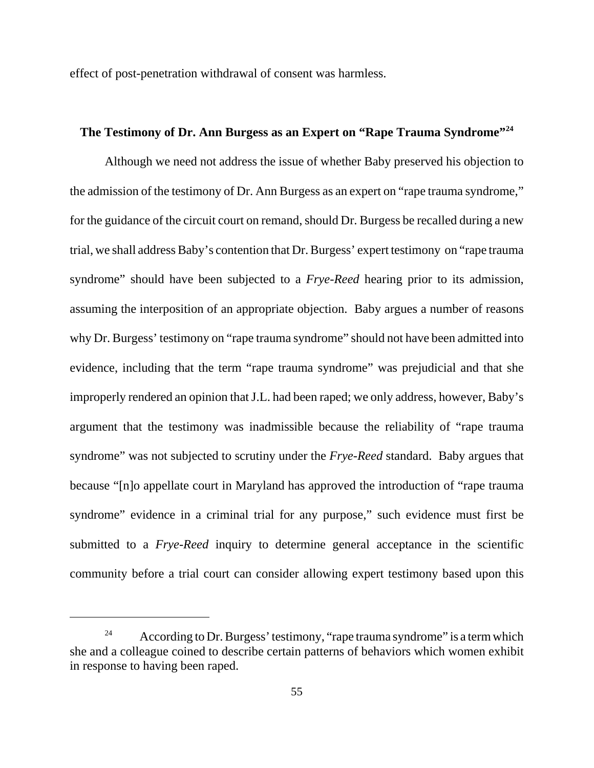effect of post-penetration withdrawal of consent was harmless.

# **The Testimony of Dr. Ann Burgess as an Expert on "Rape Trauma Syndrome"24**

Although we need not address the issue of whether Baby preserved his objection to the admission of the testimony of Dr. Ann Burgess as an expert on "rape trauma syndrome," for the guidance of the circuit court on remand, should Dr. Burgess be recalled during a new trial, we shall address Baby's contention that Dr. Burgess' expert testimony on "rape trauma syndrome" should have been subjected to a *Frye-Reed* hearing prior to its admission, assuming the interposition of an appropriate objection. Baby argues a number of reasons why Dr. Burgess' testimony on "rape trauma syndrome" should not have been admitted into evidence, including that the term "rape trauma syndrome" was prejudicial and that she improperly rendered an opinion that J.L. had been raped; we only address, however, Baby's argument that the testimony was inadmissible because the reliability of "rape trauma syndrome" was not subjected to scrutiny under the *Frye-Reed* standard. Baby argues that because "[n]o appellate court in Maryland has approved the introduction of "rape trauma syndrome" evidence in a criminal trial for any purpose," such evidence must first be submitted to a *Frye-Reed* inquiry to determine general acceptance in the scientific community before a trial court can consider allowing expert testimony based upon this

<sup>&</sup>lt;sup>24</sup> According to Dr. Burgess' testimony, "rape trauma syndrome" is a term which she and a colleague coined to describe certain patterns of behaviors which women exhibit in response to having been raped.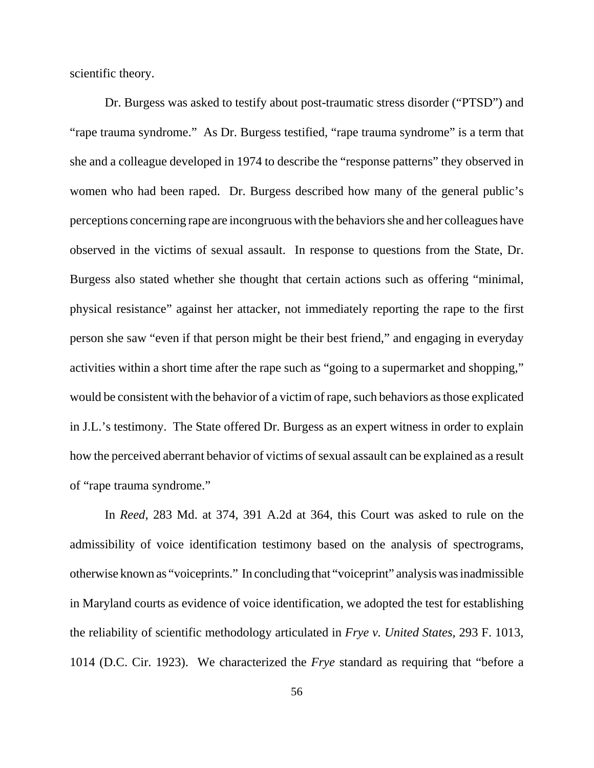scientific theory.

Dr. Burgess was asked to testify about post-traumatic stress disorder ("PTSD") and "rape trauma syndrome." As Dr. Burgess testified, "rape trauma syndrome" is a term that she and a colleague developed in 1974 to describe the "response patterns" they observed in women who had been raped. Dr. Burgess described how many of the general public's perceptions concerning rape are incongruous with the behaviors she and her colleagues have observed in the victims of sexual assault. In response to questions from the State, Dr. Burgess also stated whether she thought that certain actions such as offering "minimal, physical resistance" against her attacker, not immediately reporting the rape to the first person she saw "even if that person might be their best friend," and engaging in everyday activities within a short time after the rape such as "going to a supermarket and shopping," would be consistent with the behavior of a victim of rape, such behaviors as those explicated in J.L.'s testimony. The State offered Dr. Burgess as an expert witness in order to explain how the perceived aberrant behavior of victims of sexual assault can be explained as a result of "rape trauma syndrome."

In *Reed*, 283 Md. at 374, 391 A.2d at 364, this Court was asked to rule on the admissibility of voice identification testimony based on the analysis of spectrograms, otherwise known as "voiceprints." In concluding that "voiceprint" analysis was inadmissible in Maryland courts as evidence of voice identification, we adopted the test for establishing the reliability of scientific methodology articulated in *Frye v. United States*, 293 F. 1013, 1014 (D.C. Cir. 1923). We characterized the *Frye* standard as requiring that "before a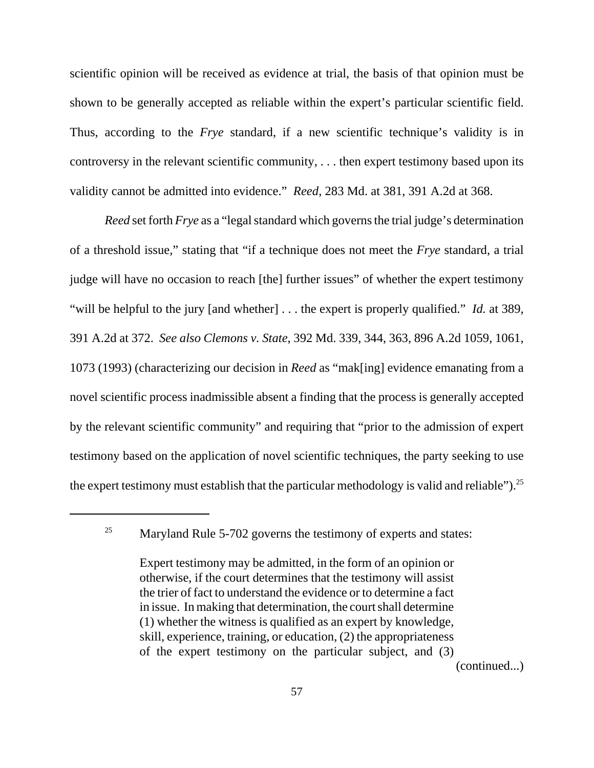scientific opinion will be received as evidence at trial, the basis of that opinion must be shown to be generally accepted as reliable within the expert's particular scientific field. Thus, according to the *Frye* standard, if a new scientific technique's validity is in controversy in the relevant scientific community, . . . then expert testimony based upon its validity cannot be admitted into evidence." *Reed*, 283 Md. at 381, 391 A.2d at 368.

*Reed* set forth *Frye* as a "legal standard which governs the trial judge's determination of a threshold issue," stating that "if a technique does not meet the *Frye* standard, a trial judge will have no occasion to reach [the] further issues" of whether the expert testimony "will be helpful to the jury [and whether] . . . the expert is properly qualified." *Id.* at 389, 391 A.2d at 372. *See also Clemons v. State*, 392 Md. 339, 344, 363, 896 A.2d 1059, 1061, 1073 (1993) (characterizing our decision in *Reed* as "mak[ing] evidence emanating from a novel scientific process inadmissible absent a finding that the process is generally accepted by the relevant scientific community" and requiring that "prior to the admission of expert testimony based on the application of novel scientific techniques, the party seeking to use the expert testimony must establish that the particular methodology is valid and reliable").<sup>25</sup>

(continued...)

<sup>&</sup>lt;sup>25</sup> Maryland Rule 5-702 governs the testimony of experts and states:

Expert testimony may be admitted, in the form of an opinion or otherwise, if the court determines that the testimony will assist the trier of fact to understand the evidence or to determine a fact in issue. In making that determination, the court shall determine (1) whether the witness is qualified as an expert by knowledge, skill, experience, training, or education, (2) the appropriateness of the expert testimony on the particular subject, and (3)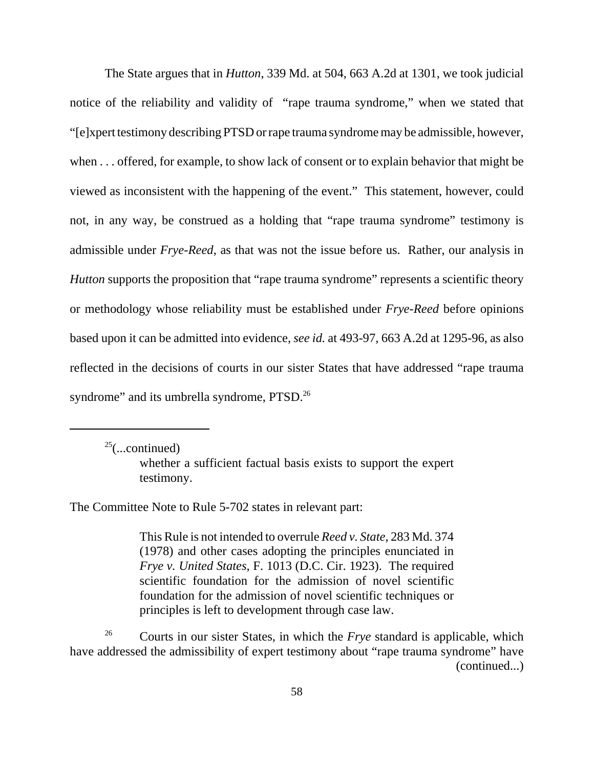The State argues that in *Hutton*, 339 Md. at 504, 663 A.2d at 1301, we took judicial notice of the reliability and validity of "rape trauma syndrome," when we stated that "[e]xpert testimony describing PTSD or rape trauma syndrome may be admissible, however, when . . . offered, for example, to show lack of consent or to explain behavior that might be viewed as inconsistent with the happening of the event." This statement, however, could not, in any way, be construed as a holding that "rape trauma syndrome" testimony is admissible under *Frye-Reed*, as that was not the issue before us. Rather, our analysis in *Hutton* supports the proposition that "rape trauma syndrome" represents a scientific theory or methodology whose reliability must be established under *Frye-Reed* before opinions based upon it can be admitted into evidence, *see id.* at 493-97, 663 A.2d at 1295-96, as also reflected in the decisions of courts in our sister States that have addressed "rape trauma syndrome" and its umbrella syndrome, PTSD.<sup>26</sup>

The Committee Note to Rule 5-702 states in relevant part:

This Rule is not intended to overrule *Reed v. State*, 283 Md. 374 (1978) and other cases adopting the principles enunciated in *Frye v. United States*, F. 1013 (D.C. Cir. 1923). The required scientific foundation for the admission of novel scientific foundation for the admission of novel scientific techniques or principles is left to development through case law.

<sup>26</sup> Courts in our sister States, in which the *Frye* standard is applicable, which have addressed the admissibility of expert testimony about "rape trauma syndrome" have (continued...)

 $25$ (...continued)

whether a sufficient factual basis exists to support the expert testimony.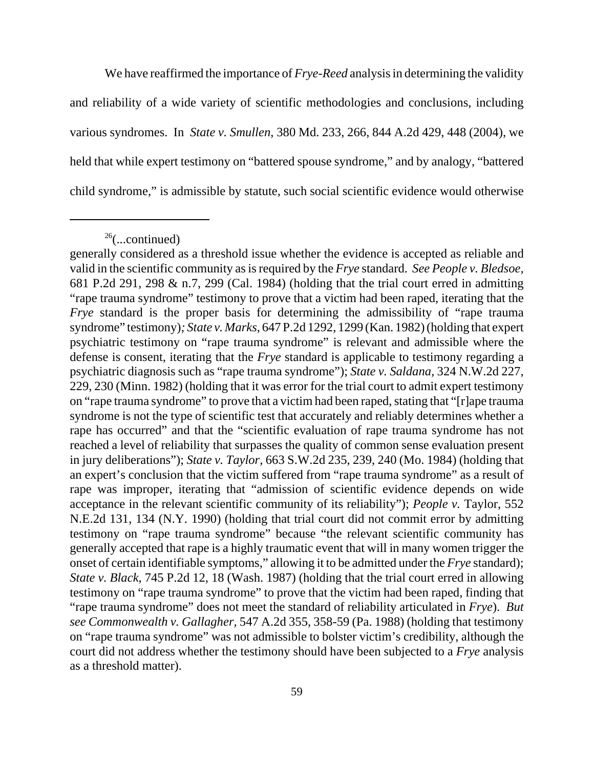We have reaffirmed the importance of *Frye-Reed* analysis in determining the validity and reliability of a wide variety of scientific methodologies and conclusions, including various syndromes. In *State v. Smullen*, 380 Md. 233, 266, 844 A.2d 429, 448 (2004), we held that while expert testimony on "battered spouse syndrome," and by analogy, "battered child syndrome," is admissible by statute, such social scientific evidence would otherwise

 $26$ (...continued)

generally considered as a threshold issue whether the evidence is accepted as reliable and valid in the scientific community as is required by the *Frye* standard. *See People v. Bledsoe,* 681 P.2d 291, 298 & n.7, 299 (Cal. 1984) (holding that the trial court erred in admitting "rape trauma syndrome" testimony to prove that a victim had been raped, iterating that the *Frye* standard is the proper basis for determining the admissibility of "rape trauma" syndrome" testimony)*; State v. Marks*, 647 P.2d 1292, 1299 (Kan. 1982) (holding that expert psychiatric testimony on "rape trauma syndrome" is relevant and admissible where the defense is consent, iterating that the *Frye* standard is applicable to testimony regarding a psychiatric diagnosis such as "rape trauma syndrome"); *State v. Saldana*, 324 N.W.2d 227, 229, 230 (Minn. 1982) (holding that it was error for the trial court to admit expert testimony on "rape trauma syndrome" to prove that a victim had been raped, stating that "[r]ape trauma syndrome is not the type of scientific test that accurately and reliably determines whether a rape has occurred" and that the "scientific evaluation of rape trauma syndrome has not reached a level of reliability that surpasses the quality of common sense evaluation present in jury deliberations"); *State v. Taylor,* 663 S.W.2d 235, 239, 240 (Mo. 1984) (holding that an expert's conclusion that the victim suffered from "rape trauma syndrome" as a result of rape was improper, iterating that "admission of scientific evidence depends on wide acceptance in the relevant scientific community of its reliability"); *People v.* Taylor, 552 N.E.2d 131, 134 (N.Y. 1990) (holding that trial court did not commit error by admitting testimony on "rape trauma syndrome" because "the relevant scientific community has generally accepted that rape is a highly traumatic event that will in many women trigger the onset of certain identifiable symptoms," allowing it to be admitted under the *Frye* standard); *State v. Black*, 745 P.2d 12, 18 (Wash. 1987) (holding that the trial court erred in allowing testimony on "rape trauma syndrome" to prove that the victim had been raped, finding that "rape trauma syndrome" does not meet the standard of reliability articulated in *Frye*). *But see Commonwealth v. Gallagher,* 547 A.2d 355, 358-59 (Pa. 1988) (holding that testimony on "rape trauma syndrome" was not admissible to bolster victim's credibility, although the court did not address whether the testimony should have been subjected to a *Frye* analysis as a threshold matter).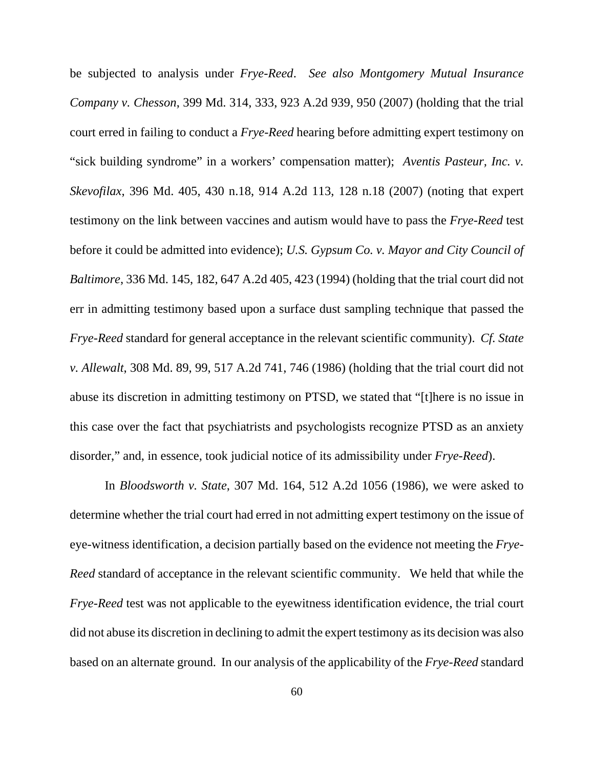be subjected to analysis under *Frye*-*Reed*. *See also Montgomery Mutual Insurance Company v. Chesson*, 399 Md. 314, 333, 923 A.2d 939, 950 (2007) (holding that the trial court erred in failing to conduct a *Frye-Reed* hearing before admitting expert testimony on "sick building syndrome" in a workers' compensation matter); *Aventis Pasteur, Inc. v. Skevofilax*, 396 Md. 405, 430 n.18, 914 A.2d 113, 128 n.18 (2007) (noting that expert testimony on the link between vaccines and autism would have to pass the *Frye-Reed* test before it could be admitted into evidence); *U.S. Gypsum Co. v. Mayor and City Council of Baltimore*, 336 Md. 145, 182, 647 A.2d 405, 423 (1994) (holding that the trial court did not err in admitting testimony based upon a surface dust sampling technique that passed the *Frye-Reed* standard for general acceptance in the relevant scientific community). *Cf. State v. Allewalt*, 308 Md. 89, 99, 517 A.2d 741, 746 (1986) (holding that the trial court did not abuse its discretion in admitting testimony on PTSD, we stated that "[t]here is no issue in this case over the fact that psychiatrists and psychologists recognize PTSD as an anxiety disorder," and, in essence, took judicial notice of its admissibility under *Frye-Reed*).

In *Bloodsworth v. State*, 307 Md. 164, 512 A.2d 1056 (1986), we were asked to determine whether the trial court had erred in not admitting expert testimony on the issue of eye-witness identification, a decision partially based on the evidence not meeting the *Frye-Reed* standard of acceptance in the relevant scientific community. We held that while the *Frye-Reed* test was not applicable to the eyewitness identification evidence, the trial court did not abuse its discretion in declining to admit the expert testimony as its decision was also based on an alternate ground. In our analysis of the applicability of the *Frye-Reed* standard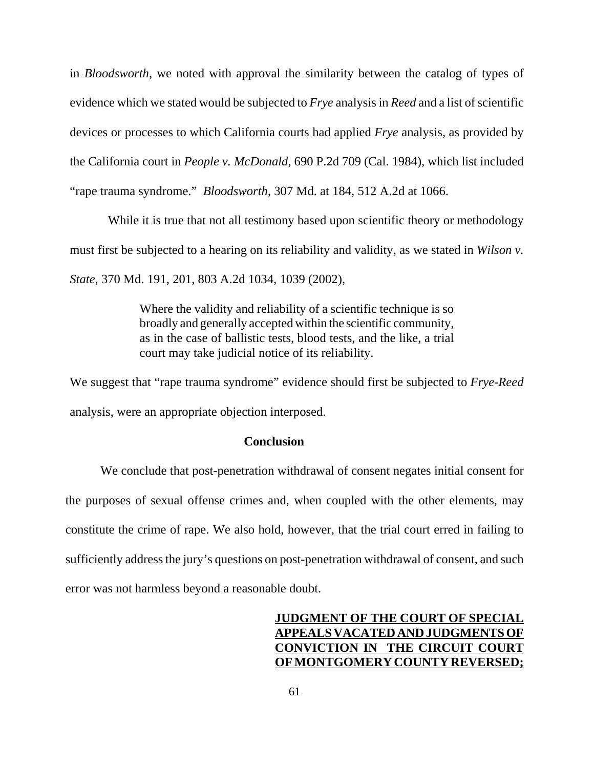in *Bloodsworth*, we noted with approval the similarity between the catalog of types of evidence which we stated would be subjected to *Frye* analysis in *Reed* and a list of scientific devices or processes to which California courts had applied *Frye* analysis, as provided by the California court in *People v. McDonald*, 690 P.2d 709 (Cal. 1984), which list included "rape trauma syndrome." *Bloodsworth*, 307 Md. at 184, 512 A.2d at 1066.

While it is true that not all testimony based upon scientific theory or methodology must first be subjected to a hearing on its reliability and validity, as we stated in *Wilson v. State*, 370 Md. 191, 201, 803 A.2d 1034, 1039 (2002),

> Where the validity and reliability of a scientific technique is so broadly and generally accepted within the scientific community, as in the case of ballistic tests, blood tests, and the like, a trial court may take judicial notice of its reliability.

We suggest that "rape trauma syndrome" evidence should first be subjected to *Frye-Reed* analysis, were an appropriate objection interposed.

# **Conclusion**

We conclude that post-penetration withdrawal of consent negates initial consent for the purposes of sexual offense crimes and, when coupled with the other elements, may constitute the crime of rape. We also hold, however, that the trial court erred in failing to sufficiently address the jury's questions on post-penetration withdrawal of consent, and such error was not harmless beyond a reasonable doubt.

# **JUDGMENT OF THE COURT OF SPECIAL APPEALS VACATED AND JUDGMENTS OF CONVICTION IN THE CIRCUIT COURT OF MONTGOMERY COUNTY REVERSED;**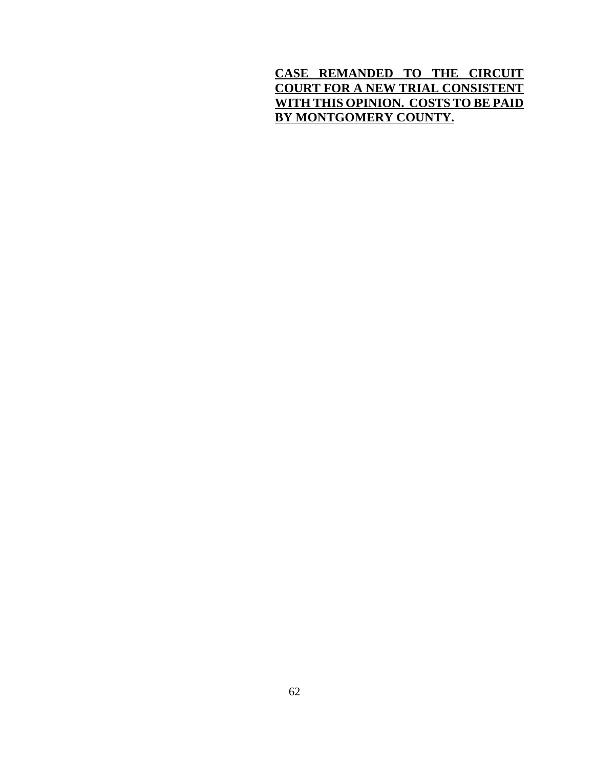# **CASE REMANDED TO THE CIRCUIT COURT FOR A NEW TRIAL CONSISTENT WITH THIS OPINION. COSTS TO BE PAID BY MONTGOMERY COUNTY.**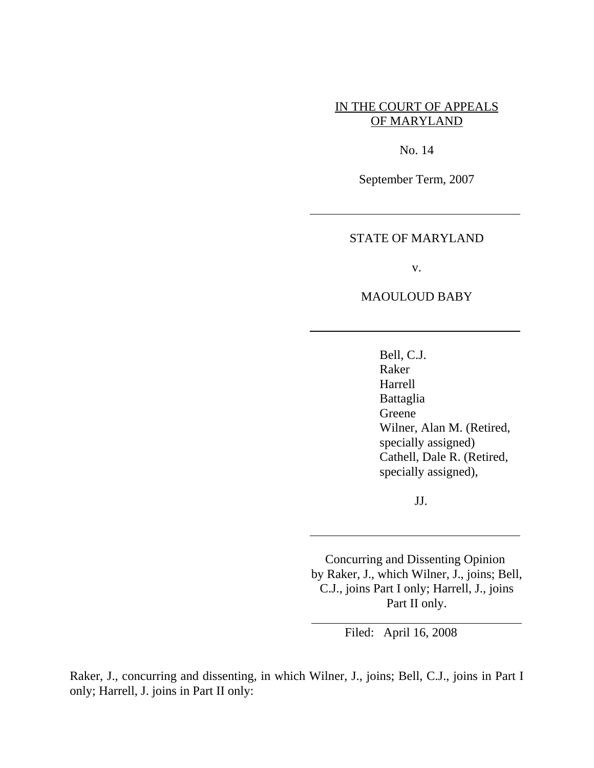# IN THE COURT OF APPEALS OF MARYLAND

No. 14

September Term, 2007

# STATE OF MARYLAND

v.

#### MAOULOUD BABY

Bell, C.J. Raker Harrell Battaglia Greene Wilner, Alan M. (Retired, specially assigned) Cathell, Dale R. (Retired, specially assigned),

JJ.

Concurring and Dissenting Opinion by Raker, J., which Wilner, J., joins; Bell, C.J., joins Part I only; Harrell, J., joins Part II only.

Filed: April 16, 2008

Raker, J., concurring and dissenting, in which Wilner, J., joins; Bell, C.J., joins in Part I only; Harrell, J. joins in Part II only:

 $\overline{a}$ 

 $\overline{a}$ 

 $\overline{a}$ 

 $\ddot{\phantom{a}}$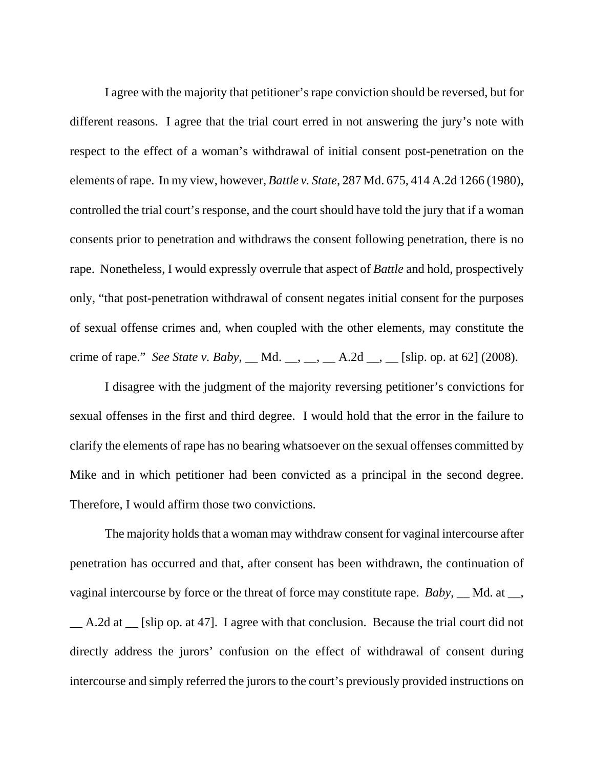I agree with the majority that petitioner's rape conviction should be reversed, but for different reasons. I agree that the trial court erred in not answering the jury's note with respect to the effect of a woman's withdrawal of initial consent post-penetration on the elements of rape. In my view, however, *Battle v. State*, 287 Md. 675, 414 A.2d 1266 (1980), controlled the trial court's response, and the court should have told the jury that if a woman consents prior to penetration and withdraws the consent following penetration, there is no rape. Nonetheless, I would expressly overrule that aspect of *Battle* and hold, prospectively only, "that post-penetration withdrawal of consent negates initial consent for the purposes of sexual offense crimes and, when coupled with the other elements, may constitute the crime of rape." *See State v. Baby*, \_\_ Md. \_\_, \_\_, \_\_ A.2d \_\_, \_\_ [slip. op. at 62] (2008).

I disagree with the judgment of the majority reversing petitioner's convictions for sexual offenses in the first and third degree. I would hold that the error in the failure to clarify the elements of rape has no bearing whatsoever on the sexual offenses committed by Mike and in which petitioner had been convicted as a principal in the second degree. Therefore, I would affirm those two convictions.

The majority holds that a woman may withdraw consent for vaginal intercourse after penetration has occurred and that, after consent has been withdrawn, the continuation of vaginal intercourse by force or the threat of force may constitute rape. *Baby*, \_\_ Md. at \_\_, \_\_ A.2d at \_\_ [slip op. at 47]. I agree with that conclusion. Because the trial court did not directly address the jurors' confusion on the effect of withdrawal of consent during intercourse and simply referred the jurors to the court's previously provided instructions on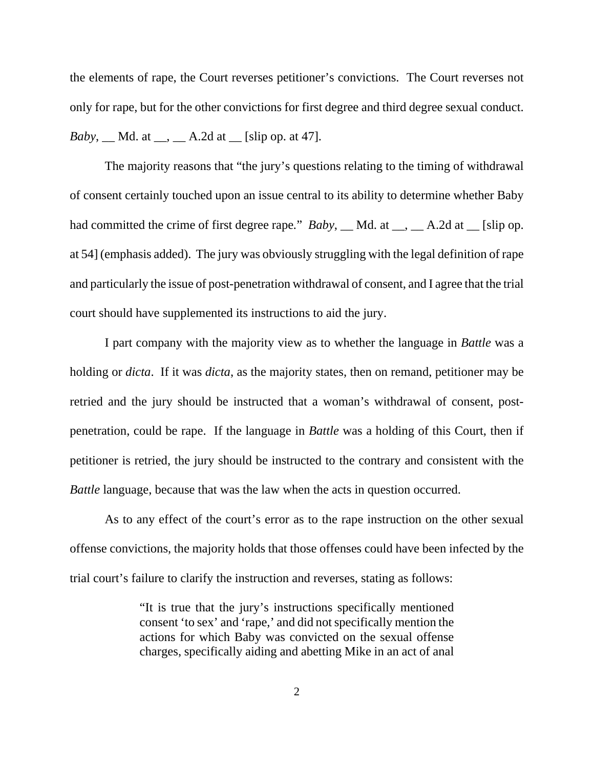the elements of rape, the Court reverses petitioner's convictions. The Court reverses not only for rape, but for the other convictions for first degree and third degree sexual conduct. *Baby*, \_\_ Md. at \_\_, \_\_ A.2d at \_\_ [slip op. at 47].

The majority reasons that "the jury's questions relating to the timing of withdrawal of consent certainly touched upon an issue central to its ability to determine whether Baby had committed the crime of first degree rape." *Baby*, \_\_ Md. at \_\_, \_\_ A.2d at \_\_ [slip op. at 54] (emphasis added). The jury was obviously struggling with the legal definition of rape and particularly the issue of post-penetration withdrawal of consent, and I agree that the trial court should have supplemented its instructions to aid the jury.

I part company with the majority view as to whether the language in *Battle* was a holding or *dicta*. If it was *dicta*, as the majority states, then on remand, petitioner may be retried and the jury should be instructed that a woman's withdrawal of consent, postpenetration, could be rape. If the language in *Battle* was a holding of this Court, then if petitioner is retried, the jury should be instructed to the contrary and consistent with the *Battle* language, because that was the law when the acts in question occurred.

As to any effect of the court's error as to the rape instruction on the other sexual offense convictions, the majority holds that those offenses could have been infected by the trial court's failure to clarify the instruction and reverses, stating as follows:

> "It is true that the jury's instructions specifically mentioned consent 'to sex' and 'rape,' and did not specifically mention the actions for which Baby was convicted on the sexual offense charges, specifically aiding and abetting Mike in an act of anal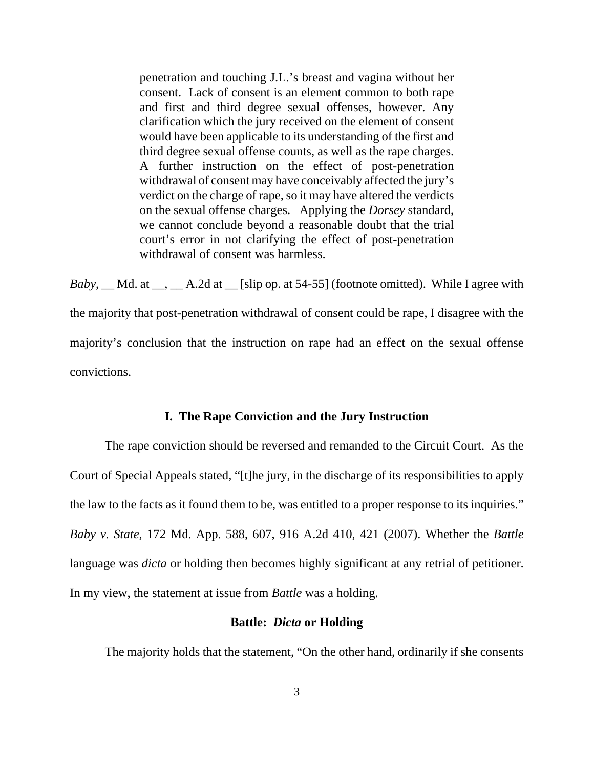penetration and touching J.L.'s breast and vagina without her consent. Lack of consent is an element common to both rape and first and third degree sexual offenses, however. Any clarification which the jury received on the element of consent would have been applicable to its understanding of the first and third degree sexual offense counts, as well as the rape charges. A further instruction on the effect of post-penetration withdrawal of consent may have conceivably affected the jury's verdict on the charge of rape, so it may have altered the verdicts on the sexual offense charges. Applying the *Dorsey* standard, we cannot conclude beyond a reasonable doubt that the trial court's error in not clarifying the effect of post-penetration withdrawal of consent was harmless.

*Baby*, \_\_Md. at \_\_, \_\_A.2d at \_\_ [slip op. at 54-55] (footnote omitted). While I agree with the majority that post-penetration withdrawal of consent could be rape, I disagree with the majority's conclusion that the instruction on rape had an effect on the sexual offense convictions.

## **I. The Rape Conviction and the Jury Instruction**

The rape conviction should be reversed and remanded to the Circuit Court. As the Court of Special Appeals stated, "[t]he jury, in the discharge of its responsibilities to apply the law to the facts as it found them to be, was entitled to a proper response to its inquiries." *Baby v. State,* 172 Md. App. 588, 607, 916 A.2d 410, 421 (2007). Whether the *Battle* language was *dicta* or holding then becomes highly significant at any retrial of petitioner. In my view, the statement at issue from *Battle* was a holding.

### **Battle:** *Dicta* **or Holding**

The majority holds that the statement, "On the other hand, ordinarily if she consents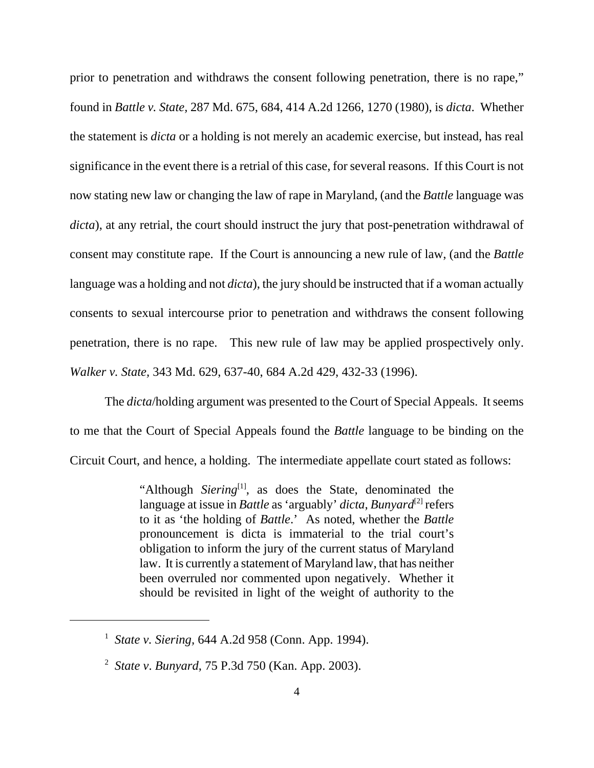prior to penetration and withdraws the consent following penetration, there is no rape," found in *Battle v. State,* 287 Md. 675, 684, 414 A.2d 1266, 1270 (1980), is *dicta*. Whether the statement is *dicta* or a holding is not merely an academic exercise, but instead, has real significance in the event there is a retrial of this case, for several reasons. If this Court is not now stating new law or changing the law of rape in Maryland, (and the *Battle* language was *dicta*), at any retrial, the court should instruct the jury that post-penetration withdrawal of consent may constitute rape. If the Court is announcing a new rule of law, (and the *Battle* language was a holding and not *dicta*), the jury should be instructed that if a woman actually consents to sexual intercourse prior to penetration and withdraws the consent following penetration, there is no rape. This new rule of law may be applied prospectively only. *Walker v. State,* 343 Md. 629, 637-40, 684 A.2d 429, 432-33 (1996).

The *dicta*/holding argument was presented to the Court of Special Appeals. It seems to me that the Court of Special Appeals found the *Battle* language to be binding on the Circuit Court, and hence, a holding. The intermediate appellate court stated as follows:

> "Although *Siering*[1], as does the State, denominated the language at issue in *Battle* as 'arguably' *dicta*, *Bunyard*[2] refers to it as 'the holding of *Battle*.' As noted, whether the *Battle* pronouncement is dicta is immaterial to the trial court's obligation to inform the jury of the current status of Maryland law. It is currently a statement of Maryland law, that has neither been overruled nor commented upon negatively. Whether it should be revisited in light of the weight of authority to the

<sup>1</sup> *State v. Siering,* 644 A.2d 958 (Conn. App. 1994).

<sup>2</sup> *State v*. *Bunyard*, 75 P.3d 750 (Kan. App. 2003).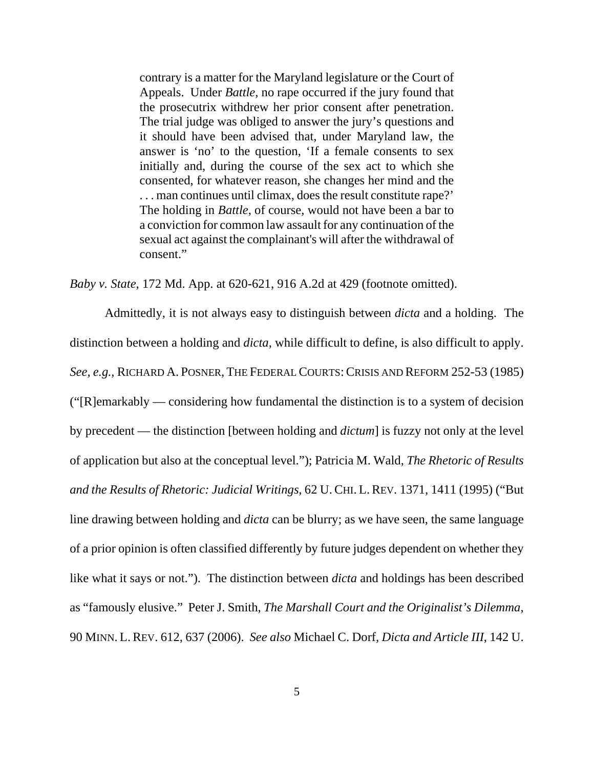contrary is a matter for the Maryland legislature or the Court of Appeals. Under *Battle*, no rape occurred if the jury found that the prosecutrix withdrew her prior consent after penetration. The trial judge was obliged to answer the jury's questions and it should have been advised that, under Maryland law, the answer is 'no' to the question, 'If a female consents to sex initially and, during the course of the sex act to which she consented, for whatever reason, she changes her mind and the . . . man continues until climax, does the result constitute rape?' The holding in *Battle*, of course, would not have been a bar to a conviction for common law assault for any continuation of the sexual act against the complainant's will after the withdrawal of consent."

*Baby v. State,* 172 Md. App. at 620-621, 916 A.2d at 429 (footnote omitted).

Admittedly, it is not always easy to distinguish between *dicta* and a holding. The distinction between a holding and *dicta*, while difficult to define, is also difficult to apply. *See, e.g.,* RICHARD A. POSNER, THE FEDERAL COURTS:CRISIS AND REFORM 252-53 (1985) ("[R]emarkably — considering how fundamental the distinction is to a system of decision by precedent — the distinction [between holding and *dictum*] is fuzzy not only at the level of application but also at the conceptual level."); Patricia M. Wald, *The Rhetoric of Results and the Results of Rhetoric: Judicial Writings*, 62 U. CHI. L. REV. 1371, 1411 (1995) ("But line drawing between holding and *dicta* can be blurry; as we have seen, the same language of a prior opinion is often classified differently by future judges dependent on whether they like what it says or not."). The distinction between *dicta* and holdings has been described as "famously elusive." Peter J. Smith, *The Marshall Court and the Originalist's Dilemma*, 90 MINN. L. REV. 612, 637 (2006). *See also* Michael C. Dorf, *Dicta and Article III*, 142 U.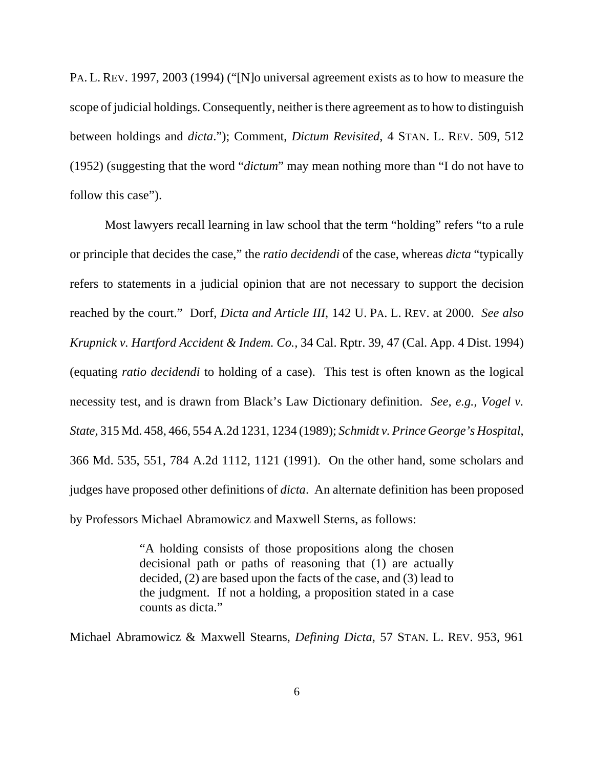PA. L. REV. 1997, 2003 (1994) ("[N]o universal agreement exists as to how to measure the scope of judicial holdings. Consequently, neither is there agreement as to how to distinguish between holdings and *dicta*."); Comment, *Dictum Revisited*, 4 STAN. L. REV. 509, 512 (1952) (suggesting that the word "*dictum*" may mean nothing more than "I do not have to follow this case").

Most lawyers recall learning in law school that the term "holding" refers "to a rule or principle that decides the case," the *ratio decidendi* of the case, whereas *dicta* "typically refers to statements in a judicial opinion that are not necessary to support the decision reached by the court." Dorf, *Dicta and Article III*, 142 U. PA. L. REV. at 2000. *See also Krupnick v. Hartford Accident & Indem. Co.,* 34 Cal. Rptr. 39, 47 (Cal. App. 4 Dist. 1994) (equating *ratio decidendi* to holding of a case). This test is often known as the logical necessity test, and is drawn from Black's Law Dictionary definition. *See, e.g., Vogel v. State,* 315 Md. 458, 466, 554 A.2d 1231, 1234 (1989); *Schmidt v. Prince George's Hospital*, 366 Md. 535, 551, 784 A.2d 1112, 1121 (1991). On the other hand, some scholars and judges have proposed other definitions of *dicta*. An alternate definition has been proposed by Professors Michael Abramowicz and Maxwell Sterns, as follows:

> "A holding consists of those propositions along the chosen decisional path or paths of reasoning that (1) are actually decided, (2) are based upon the facts of the case, and (3) lead to the judgment. If not a holding, a proposition stated in a case counts as dicta."

Michael Abramowicz & Maxwell Stearns, *Defining Dicta*, 57 STAN. L. REV. 953, 961

6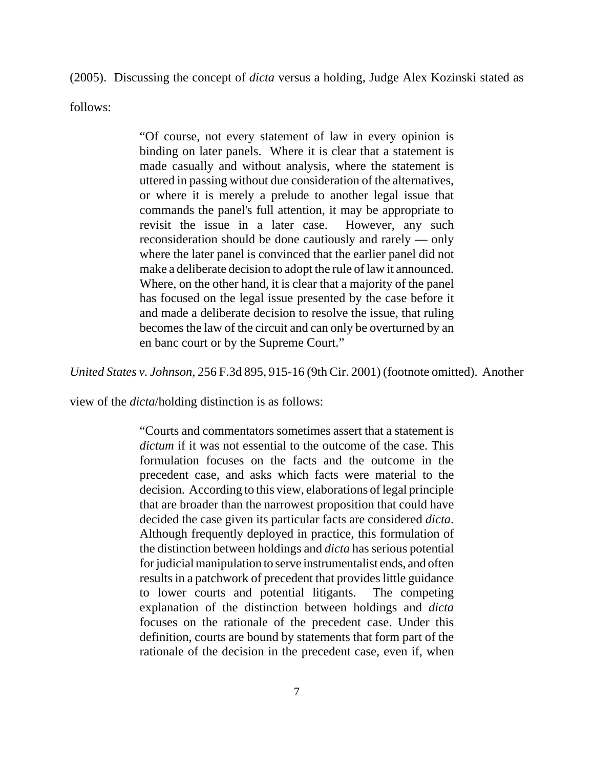(2005). Discussing the concept of *dicta* versus a holding, Judge Alex Kozinski stated as

follows:

"Of course, not every statement of law in every opinion is binding on later panels. Where it is clear that a statement is made casually and without analysis, where the statement is uttered in passing without due consideration of the alternatives, or where it is merely a prelude to another legal issue that commands the panel's full attention, it may be appropriate to revisit the issue in a later case. However, any such reconsideration should be done cautiously and rarely — only where the later panel is convinced that the earlier panel did not make a deliberate decision to adopt the rule of law it announced. Where, on the other hand, it is clear that a majority of the panel has focused on the legal issue presented by the case before it and made a deliberate decision to resolve the issue, that ruling becomes the law of the circuit and can only be overturned by an en banc court or by the Supreme Court."

*United States v. Johnson,* 256 F.3d 895, 915-16 (9th Cir. 2001) (footnote omitted). Another

view of the *dicta*/holding distinction is as follows:

"Courts and commentators sometimes assert that a statement is *dictum* if it was not essential to the outcome of the case. This formulation focuses on the facts and the outcome in the precedent case, and asks which facts were material to the decision. According to this view, elaborations of legal principle that are broader than the narrowest proposition that could have decided the case given its particular facts are considered *dicta*. Although frequently deployed in practice, this formulation of the distinction between holdings and *dicta* has serious potential for judicial manipulation to serve instrumentalist ends, and often results in a patchwork of precedent that provides little guidance to lower courts and potential litigants. The competing explanation of the distinction between holdings and *dicta* focuses on the rationale of the precedent case. Under this definition, courts are bound by statements that form part of the rationale of the decision in the precedent case, even if, when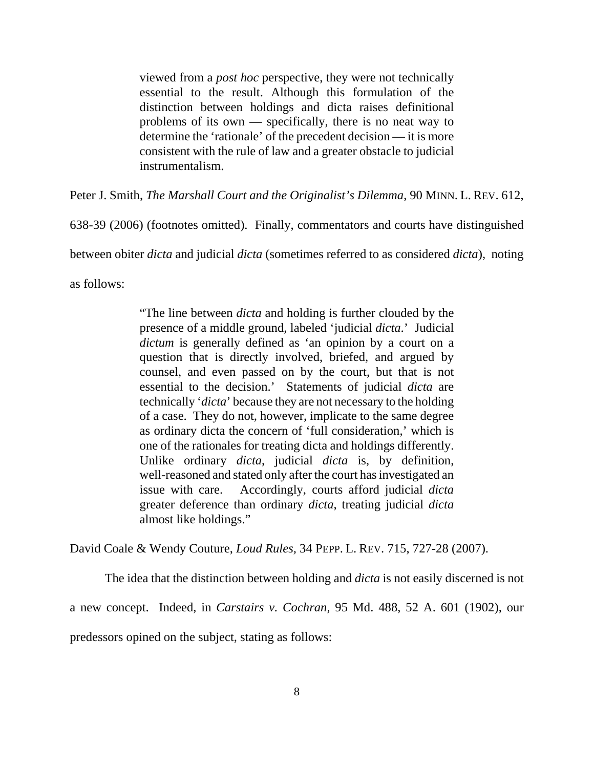viewed from a *post hoc* perspective, they were not technically essential to the result. Although this formulation of the distinction between holdings and dicta raises definitional problems of its own — specifically, there is no neat way to determine the 'rationale' of the precedent decision — it is more consistent with the rule of law and a greater obstacle to judicial instrumentalism.

Peter J. Smith, *The Marshall Court and the Originalist's Dilemma*, 90 MINN. L. REV. 612,

638-39 (2006) (footnotes omitted). Finally, commentators and courts have distinguished

between obiter *dicta* and judicial *dicta* (sometimes referred to as considered *dicta*), noting

as follows:

"The line between *dicta* and holding is further clouded by the presence of a middle ground, labeled 'judicial *dicta*.' Judicial *dictum* is generally defined as 'an opinion by a court on a question that is directly involved, briefed, and argued by counsel, and even passed on by the court, but that is not essential to the decision.' Statements of judicial *dicta* are technically '*dicta*' because they are not necessary to the holding of a case. They do not, however, implicate to the same degree as ordinary dicta the concern of 'full consideration,' which is one of the rationales for treating dicta and holdings differently. Unlike ordinary *dicta*, judicial *dicta* is, by definition, well-reasoned and stated only after the court has investigated an issue with care. Accordingly, courts afford judicial *dicta* greater deference than ordinary *dicta*, treating judicial *dicta* almost like holdings."

David Coale & Wendy Couture, *Loud Rules,* 34 PEPP. L. REV. 715, 727-28 (2007).

The idea that the distinction between holding and *dicta* is not easily discerned is not

a new concept. Indeed, in *Carstairs v. Cochran,* 95 Md. 488, 52 A. 601 (1902), our

predessors opined on the subject, stating as follows: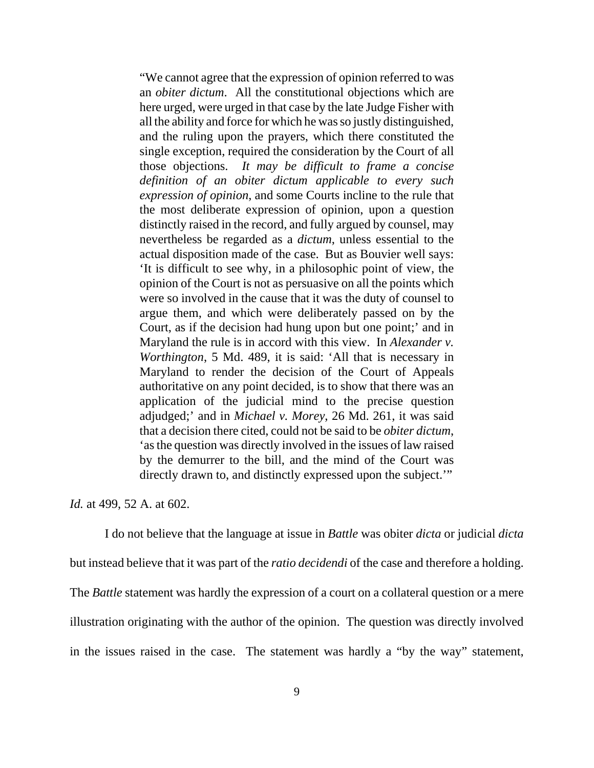"We cannot agree that the expression of opinion referred to was an *obiter dictum*. All the constitutional objections which are here urged, were urged in that case by the late Judge Fisher with all the ability and force for which he was so justly distinguished, and the ruling upon the prayers, which there constituted the single exception, required the consideration by the Court of all those objections. *It may be difficult to frame a concise definition of an obiter dictum applicable to every such expression of opinion*, and some Courts incline to the rule that the most deliberate expression of opinion, upon a question distinctly raised in the record, and fully argued by counsel, may nevertheless be regarded as a *dictum*, unless essential to the actual disposition made of the case. But as Bouvier well says: 'It is difficult to see why, in a philosophic point of view, the opinion of the Court is not as persuasive on all the points which were so involved in the cause that it was the duty of counsel to argue them, and which were deliberately passed on by the Court, as if the decision had hung upon but one point;' and in Maryland the rule is in accord with this view. In *Alexander v. Worthington*, 5 Md. 489, it is said: 'All that is necessary in Maryland to render the decision of the Court of Appeals authoritative on any point decided, is to show that there was an application of the judicial mind to the precise question adjudged;' and in *Michael v. Morey*, 26 Md. 261, it was said that a decision there cited, could not be said to be *obiter dictum*, 'as the question was directly involved in the issues of law raised by the demurrer to the bill, and the mind of the Court was directly drawn to, and distinctly expressed upon the subject.'"

*Id.* at 499, 52 A. at 602.

I do not believe that the language at issue in *Battle* was obiter *dicta* or judicial *dicta* but instead believe that it was part of the *ratio decidendi* of the case and therefore a holding. The *Battle* statement was hardly the expression of a court on a collateral question or a mere illustration originating with the author of the opinion. The question was directly involved in the issues raised in the case. The statement was hardly a "by the way" statement,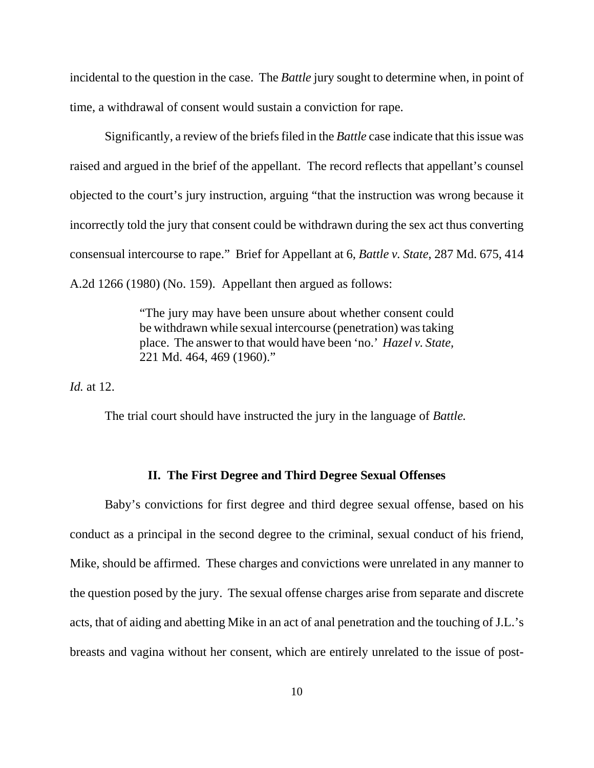incidental to the question in the case. The *Battle* jury sought to determine when, in point of time, a withdrawal of consent would sustain a conviction for rape.

Significantly, a review of the briefs filed in the *Battle* case indicate that this issue was raised and argued in the brief of the appellant. The record reflects that appellant's counsel objected to the court's jury instruction, arguing "that the instruction was wrong because it incorrectly told the jury that consent could be withdrawn during the sex act thus converting consensual intercourse to rape." Brief for Appellant at 6, *Battle v. State*, 287 Md. 675, 414 A.2d 1266 (1980) (No. 159). Appellant then argued as follows:

> "The jury may have been unsure about whether consent could be withdrawn while sexual intercourse (penetration) was taking place. The answer to that would have been 'no.' *Hazel v. State,* 221 Md. 464, 469 (1960)."

*Id.* at 12.

The trial court should have instructed the jury in the language of *Battle.*

## **II. The First Degree and Third Degree Sexual Offenses**

Baby's convictions for first degree and third degree sexual offense, based on his conduct as a principal in the second degree to the criminal, sexual conduct of his friend, Mike, should be affirmed. These charges and convictions were unrelated in any manner to the question posed by the jury. The sexual offense charges arise from separate and discrete acts, that of aiding and abetting Mike in an act of anal penetration and the touching of J.L.'s breasts and vagina without her consent, which are entirely unrelated to the issue of post